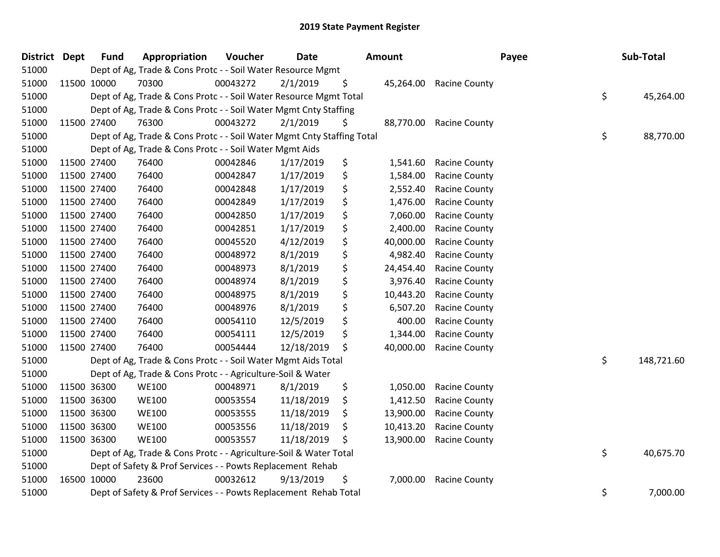| <b>District</b> | <b>Dept</b> | <b>Fund</b> | Appropriation                                                          | Voucher  | <b>Date</b> | Amount          |                      | Payee | Sub-Total  |
|-----------------|-------------|-------------|------------------------------------------------------------------------|----------|-------------|-----------------|----------------------|-------|------------|
| 51000           |             |             | Dept of Ag, Trade & Cons Protc - - Soil Water Resource Mgmt            |          |             |                 |                      |       |            |
| 51000           | 11500 10000 |             | 70300                                                                  | 00043272 | 2/1/2019    | \$<br>45,264.00 | <b>Racine County</b> |       |            |
| 51000           |             |             | Dept of Ag, Trade & Cons Protc - - Soil Water Resource Mgmt Total      |          |             |                 |                      | \$    | 45,264.00  |
| 51000           |             |             | Dept of Ag, Trade & Cons Protc - - Soil Water Mgmt Cnty Staffing       |          |             |                 |                      |       |            |
| 51000           |             | 11500 27400 | 76300                                                                  | 00043272 | 2/1/2019    | \$<br>88,770.00 | <b>Racine County</b> |       |            |
| 51000           |             |             | Dept of Ag, Trade & Cons Protc - - Soil Water Mgmt Cnty Staffing Total |          |             |                 |                      | \$    | 88,770.00  |
| 51000           |             |             | Dept of Ag, Trade & Cons Protc - - Soil Water Mgmt Aids                |          |             |                 |                      |       |            |
| 51000           | 11500 27400 |             | 76400                                                                  | 00042846 | 1/17/2019   | \$<br>1,541.60  | <b>Racine County</b> |       |            |
| 51000           | 11500 27400 |             | 76400                                                                  | 00042847 | 1/17/2019   | \$<br>1,584.00  | <b>Racine County</b> |       |            |
| 51000           | 11500 27400 |             | 76400                                                                  | 00042848 | 1/17/2019   | \$<br>2,552.40  | <b>Racine County</b> |       |            |
| 51000           | 11500 27400 |             | 76400                                                                  | 00042849 | 1/17/2019   | \$<br>1,476.00  | <b>Racine County</b> |       |            |
| 51000           | 11500 27400 |             | 76400                                                                  | 00042850 | 1/17/2019   | \$<br>7,060.00  | <b>Racine County</b> |       |            |
| 51000           | 11500 27400 |             | 76400                                                                  | 00042851 | 1/17/2019   | \$<br>2,400.00  | Racine County        |       |            |
| 51000           | 11500 27400 |             | 76400                                                                  | 00045520 | 4/12/2019   | \$<br>40,000.00 | <b>Racine County</b> |       |            |
| 51000           | 11500 27400 |             | 76400                                                                  | 00048972 | 8/1/2019    | \$<br>4,982.40  | <b>Racine County</b> |       |            |
| 51000           |             | 11500 27400 | 76400                                                                  | 00048973 | 8/1/2019    | \$<br>24,454.40 | <b>Racine County</b> |       |            |
| 51000           | 11500 27400 |             | 76400                                                                  | 00048974 | 8/1/2019    | \$<br>3,976.40  | <b>Racine County</b> |       |            |
| 51000           | 11500 27400 |             | 76400                                                                  | 00048975 | 8/1/2019    | \$<br>10,443.20 | <b>Racine County</b> |       |            |
| 51000           | 11500 27400 |             | 76400                                                                  | 00048976 | 8/1/2019    | \$<br>6,507.20  | <b>Racine County</b> |       |            |
| 51000           | 11500 27400 |             | 76400                                                                  | 00054110 | 12/5/2019   | \$<br>400.00    | <b>Racine County</b> |       |            |
| 51000           | 11500 27400 |             | 76400                                                                  | 00054111 | 12/5/2019   | \$<br>1,344.00  | <b>Racine County</b> |       |            |
| 51000           | 11500 27400 |             | 76400                                                                  | 00054444 | 12/18/2019  | \$<br>40,000.00 | <b>Racine County</b> |       |            |
| 51000           |             |             | Dept of Ag, Trade & Cons Protc - - Soil Water Mgmt Aids Total          |          |             |                 |                      | \$    | 148,721.60 |
| 51000           |             |             | Dept of Ag, Trade & Cons Protc - - Agriculture-Soil & Water            |          |             |                 |                      |       |            |
| 51000           | 11500 36300 |             | <b>WE100</b>                                                           | 00048971 | 8/1/2019    | \$<br>1,050.00  | <b>Racine County</b> |       |            |
| 51000           |             | 11500 36300 | <b>WE100</b>                                                           | 00053554 | 11/18/2019  | \$<br>1,412.50  | <b>Racine County</b> |       |            |
| 51000           | 11500 36300 |             | <b>WE100</b>                                                           | 00053555 | 11/18/2019  | \$<br>13,900.00 | <b>Racine County</b> |       |            |
| 51000           | 11500 36300 |             | <b>WE100</b>                                                           | 00053556 | 11/18/2019  | \$<br>10,413.20 | <b>Racine County</b> |       |            |
| 51000           | 11500 36300 |             | <b>WE100</b>                                                           | 00053557 | 11/18/2019  | \$<br>13,900.00 | <b>Racine County</b> |       |            |
| 51000           |             |             | Dept of Ag, Trade & Cons Protc - - Agriculture-Soil & Water Total      |          |             |                 |                      | \$    | 40,675.70  |
| 51000           |             |             | Dept of Safety & Prof Services - - Powts Replacement Rehab             |          |             |                 |                      |       |            |
| 51000           | 16500 10000 |             | 23600                                                                  | 00032612 | 9/13/2019   | \$<br>7,000.00  | <b>Racine County</b> |       |            |
| 51000           |             |             | Dept of Safety & Prof Services - - Powts Replacement Rehab Total       |          |             |                 |                      | \$    | 7,000.00   |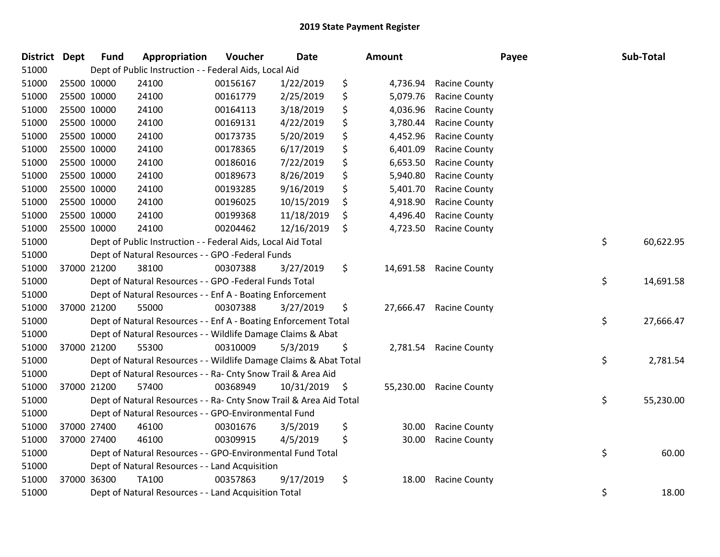| District | <b>Dept</b> | <b>Fund</b> | Appropriation                                                      | Voucher  | <b>Date</b> | Amount          |                      | Payee | Sub-Total       |
|----------|-------------|-------------|--------------------------------------------------------------------|----------|-------------|-----------------|----------------------|-------|-----------------|
| 51000    |             |             | Dept of Public Instruction - - Federal Aids, Local Aid             |          |             |                 |                      |       |                 |
| 51000    | 25500 10000 |             | 24100                                                              | 00156167 | 1/22/2019   | \$<br>4,736.94  | <b>Racine County</b> |       |                 |
| 51000    | 25500 10000 |             | 24100                                                              | 00161779 | 2/25/2019   | \$<br>5,079.76  | <b>Racine County</b> |       |                 |
| 51000    | 25500 10000 |             | 24100                                                              | 00164113 | 3/18/2019   | \$<br>4,036.96  | <b>Racine County</b> |       |                 |
| 51000    | 25500 10000 |             | 24100                                                              | 00169131 | 4/22/2019   | \$<br>3,780.44  | <b>Racine County</b> |       |                 |
| 51000    | 25500 10000 |             | 24100                                                              | 00173735 | 5/20/2019   | \$<br>4,452.96  | Racine County        |       |                 |
| 51000    | 25500 10000 |             | 24100                                                              | 00178365 | 6/17/2019   | \$<br>6,401.09  | Racine County        |       |                 |
| 51000    | 25500 10000 |             | 24100                                                              | 00186016 | 7/22/2019   | \$<br>6,653.50  | <b>Racine County</b> |       |                 |
| 51000    | 25500 10000 |             | 24100                                                              | 00189673 | 8/26/2019   | \$<br>5,940.80  | Racine County        |       |                 |
| 51000    | 25500 10000 |             | 24100                                                              | 00193285 | 9/16/2019   | \$<br>5,401.70  | <b>Racine County</b> |       |                 |
| 51000    | 25500 10000 |             | 24100                                                              | 00196025 | 10/15/2019  | \$<br>4,918.90  | <b>Racine County</b> |       |                 |
| 51000    | 25500 10000 |             | 24100                                                              | 00199368 | 11/18/2019  | \$<br>4,496.40  | <b>Racine County</b> |       |                 |
| 51000    | 25500 10000 |             | 24100                                                              | 00204462 | 12/16/2019  | \$<br>4,723.50  | <b>Racine County</b> |       |                 |
| 51000    |             |             | Dept of Public Instruction - - Federal Aids, Local Aid Total       |          |             |                 |                      |       | \$<br>60,622.95 |
| 51000    |             |             | Dept of Natural Resources - - GPO -Federal Funds                   |          |             |                 |                      |       |                 |
| 51000    |             | 37000 21200 | 38100                                                              | 00307388 | 3/27/2019   | \$<br>14,691.58 | <b>Racine County</b> |       |                 |
| 51000    |             |             | Dept of Natural Resources - - GPO -Federal Funds Total             |          |             |                 |                      |       | \$<br>14,691.58 |
| 51000    |             |             | Dept of Natural Resources - - Enf A - Boating Enforcement          |          |             |                 |                      |       |                 |
| 51000    | 37000 21200 |             | 55000                                                              | 00307388 | 3/27/2019   | \$<br>27,666.47 | <b>Racine County</b> |       |                 |
| 51000    |             |             | Dept of Natural Resources - - Enf A - Boating Enforcement Total    |          |             |                 |                      |       | \$<br>27,666.47 |
| 51000    |             |             | Dept of Natural Resources - - Wildlife Damage Claims & Abat        |          |             |                 |                      |       |                 |
| 51000    | 37000 21200 |             | 55300                                                              | 00310009 | 5/3/2019    | \$<br>2,781.54  | <b>Racine County</b> |       |                 |
| 51000    |             |             | Dept of Natural Resources - - Wildlife Damage Claims & Abat Total  |          |             |                 |                      |       | \$<br>2,781.54  |
| 51000    |             |             | Dept of Natural Resources - - Ra- Cnty Snow Trail & Area Aid       |          |             |                 |                      |       |                 |
| 51000    | 37000 21200 |             | 57400                                                              | 00368949 | 10/31/2019  | \$<br>55,230.00 | <b>Racine County</b> |       |                 |
| 51000    |             |             | Dept of Natural Resources - - Ra- Cnty Snow Trail & Area Aid Total |          |             |                 |                      |       | \$<br>55,230.00 |
| 51000    |             |             | Dept of Natural Resources - - GPO-Environmental Fund               |          |             |                 |                      |       |                 |
| 51000    |             | 37000 27400 | 46100                                                              | 00301676 | 3/5/2019    | \$<br>30.00     | <b>Racine County</b> |       |                 |
| 51000    | 37000 27400 |             | 46100                                                              | 00309915 | 4/5/2019    | \$<br>30.00     | <b>Racine County</b> |       |                 |
| 51000    |             |             | Dept of Natural Resources - - GPO-Environmental Fund Total         |          |             |                 |                      |       | \$<br>60.00     |
| 51000    |             |             | Dept of Natural Resources - - Land Acquisition                     |          |             |                 |                      |       |                 |
| 51000    |             | 37000 36300 | <b>TA100</b>                                                       | 00357863 | 9/17/2019   | \$<br>18.00     | <b>Racine County</b> |       |                 |
| 51000    |             |             | Dept of Natural Resources - - Land Acquisition Total               |          |             |                 |                      |       | \$<br>18.00     |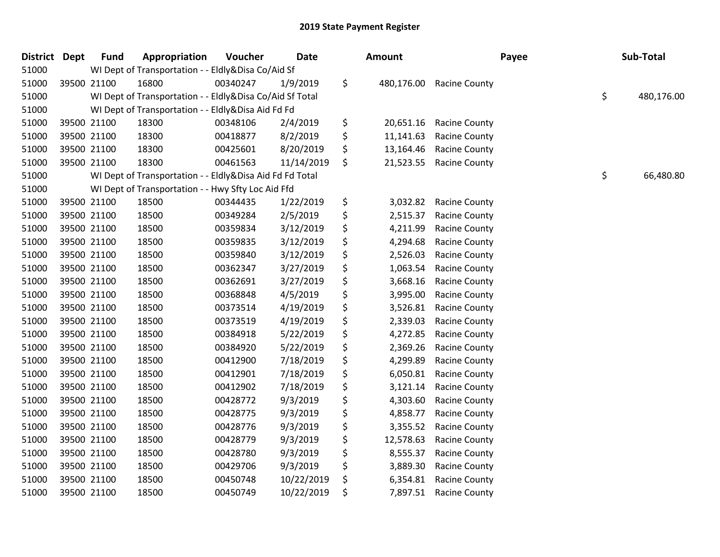| District Dept | <b>Fund</b> | Appropriation                                            | Voucher  | Date       | <b>Amount</b>    |                      | Payee | Sub-Total        |
|---------------|-------------|----------------------------------------------------------|----------|------------|------------------|----------------------|-------|------------------|
| 51000         |             | WI Dept of Transportation - - Eldly&Disa Co/Aid Sf       |          |            |                  |                      |       |                  |
| 51000         | 39500 21100 | 16800                                                    | 00340247 | 1/9/2019   | \$<br>480,176.00 | <b>Racine County</b> |       |                  |
| 51000         |             | WI Dept of Transportation - - Eldly&Disa Co/Aid Sf Total |          |            |                  |                      |       | \$<br>480,176.00 |
| 51000         |             | WI Dept of Transportation - - Eldly&Disa Aid Fd Fd       |          |            |                  |                      |       |                  |
| 51000         | 39500 21100 | 18300                                                    | 00348106 | 2/4/2019   | \$<br>20,651.16  | <b>Racine County</b> |       |                  |
| 51000         | 39500 21100 | 18300                                                    | 00418877 | 8/2/2019   | \$<br>11,141.63  | <b>Racine County</b> |       |                  |
| 51000         | 39500 21100 | 18300                                                    | 00425601 | 8/20/2019  | \$<br>13,164.46  | <b>Racine County</b> |       |                  |
| 51000         | 39500 21100 | 18300                                                    | 00461563 | 11/14/2019 | \$<br>21,523.55  | <b>Racine County</b> |       |                  |
| 51000         |             | WI Dept of Transportation - - Eldly&Disa Aid Fd Fd Total |          |            |                  |                      |       | \$<br>66,480.80  |
| 51000         |             | WI Dept of Transportation - - Hwy Sfty Loc Aid Ffd       |          |            |                  |                      |       |                  |
| 51000         | 39500 21100 | 18500                                                    | 00344435 | 1/22/2019  | \$<br>3,032.82   | <b>Racine County</b> |       |                  |
| 51000         | 39500 21100 | 18500                                                    | 00349284 | 2/5/2019   | \$<br>2,515.37   | <b>Racine County</b> |       |                  |
| 51000         | 39500 21100 | 18500                                                    | 00359834 | 3/12/2019  | \$<br>4,211.99   | <b>Racine County</b> |       |                  |
| 51000         | 39500 21100 | 18500                                                    | 00359835 | 3/12/2019  | \$<br>4,294.68   | <b>Racine County</b> |       |                  |
| 51000         | 39500 21100 | 18500                                                    | 00359840 | 3/12/2019  | \$<br>2,526.03   | Racine County        |       |                  |
| 51000         | 39500 21100 | 18500                                                    | 00362347 | 3/27/2019  | \$<br>1,063.54   | <b>Racine County</b> |       |                  |
| 51000         | 39500 21100 | 18500                                                    | 00362691 | 3/27/2019  | \$<br>3,668.16   | Racine County        |       |                  |
| 51000         | 39500 21100 | 18500                                                    | 00368848 | 4/5/2019   | \$<br>3,995.00   | <b>Racine County</b> |       |                  |
| 51000         | 39500 21100 | 18500                                                    | 00373514 | 4/19/2019  | \$<br>3,526.81   | <b>Racine County</b> |       |                  |
| 51000         | 39500 21100 | 18500                                                    | 00373519 | 4/19/2019  | \$<br>2,339.03   | <b>Racine County</b> |       |                  |
| 51000         | 39500 21100 | 18500                                                    | 00384918 | 5/22/2019  | \$<br>4,272.85   | <b>Racine County</b> |       |                  |
| 51000         | 39500 21100 | 18500                                                    | 00384920 | 5/22/2019  | \$<br>2,369.26   | <b>Racine County</b> |       |                  |
| 51000         | 39500 21100 | 18500                                                    | 00412900 | 7/18/2019  | \$<br>4,299.89   | Racine County        |       |                  |
| 51000         | 39500 21100 | 18500                                                    | 00412901 | 7/18/2019  | \$<br>6,050.81   | <b>Racine County</b> |       |                  |
| 51000         | 39500 21100 | 18500                                                    | 00412902 | 7/18/2019  | \$<br>3,121.14   | <b>Racine County</b> |       |                  |
| 51000         | 39500 21100 | 18500                                                    | 00428772 | 9/3/2019   | \$<br>4,303.60   | <b>Racine County</b> |       |                  |
| 51000         | 39500 21100 | 18500                                                    | 00428775 | 9/3/2019   | \$<br>4,858.77   | <b>Racine County</b> |       |                  |
| 51000         | 39500 21100 | 18500                                                    | 00428776 | 9/3/2019   | \$<br>3,355.52   | <b>Racine County</b> |       |                  |
| 51000         | 39500 21100 | 18500                                                    | 00428779 | 9/3/2019   | \$<br>12,578.63  | <b>Racine County</b> |       |                  |
| 51000         | 39500 21100 | 18500                                                    | 00428780 | 9/3/2019   | \$<br>8,555.37   | <b>Racine County</b> |       |                  |
| 51000         | 39500 21100 | 18500                                                    | 00429706 | 9/3/2019   | \$<br>3,889.30   | <b>Racine County</b> |       |                  |
| 51000         | 39500 21100 | 18500                                                    | 00450748 | 10/22/2019 | \$<br>6,354.81   | <b>Racine County</b> |       |                  |
| 51000         | 39500 21100 | 18500                                                    | 00450749 | 10/22/2019 | \$<br>7,897.51   | <b>Racine County</b> |       |                  |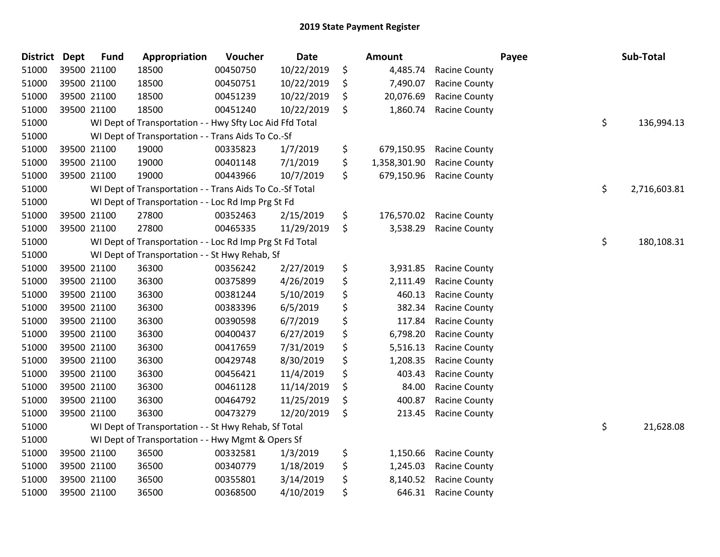| <b>District</b> | <b>Dept</b> | <b>Fund</b> | Appropriation                                            | Voucher  | <b>Date</b> | <b>Amount</b>      |                      | Payee | Sub-Total    |
|-----------------|-------------|-------------|----------------------------------------------------------|----------|-------------|--------------------|----------------------|-------|--------------|
| 51000           |             | 39500 21100 | 18500                                                    | 00450750 | 10/22/2019  | \$<br>4,485.74     | <b>Racine County</b> |       |              |
| 51000           |             | 39500 21100 | 18500                                                    | 00450751 | 10/22/2019  | \$<br>7,490.07     | <b>Racine County</b> |       |              |
| 51000           |             | 39500 21100 | 18500                                                    | 00451239 | 10/22/2019  | \$<br>20,076.69    | Racine County        |       |              |
| 51000           |             | 39500 21100 | 18500                                                    | 00451240 | 10/22/2019  | \$<br>1,860.74     | <b>Racine County</b> |       |              |
| 51000           |             |             | WI Dept of Transportation - - Hwy Sfty Loc Aid Ffd Total |          |             |                    |                      | \$    | 136,994.13   |
| 51000           |             |             | WI Dept of Transportation - - Trans Aids To Co.-Sf       |          |             |                    |                      |       |              |
| 51000           |             | 39500 21100 | 19000                                                    | 00335823 | 1/7/2019    | \$<br>679,150.95   | <b>Racine County</b> |       |              |
| 51000           |             | 39500 21100 | 19000                                                    | 00401148 | 7/1/2019    | \$<br>1,358,301.90 | <b>Racine County</b> |       |              |
| 51000           |             | 39500 21100 | 19000                                                    | 00443966 | 10/7/2019   | \$<br>679,150.96   | <b>Racine County</b> |       |              |
| 51000           |             |             | WI Dept of Transportation - - Trans Aids To Co.-Sf Total |          |             |                    |                      | \$    | 2,716,603.81 |
| 51000           |             |             | WI Dept of Transportation - - Loc Rd Imp Prg St Fd       |          |             |                    |                      |       |              |
| 51000           |             | 39500 21100 | 27800                                                    | 00352463 | 2/15/2019   | \$<br>176,570.02   | <b>Racine County</b> |       |              |
| 51000           |             | 39500 21100 | 27800                                                    | 00465335 | 11/29/2019  | \$<br>3,538.29     | <b>Racine County</b> |       |              |
| 51000           |             |             | WI Dept of Transportation - - Loc Rd Imp Prg St Fd Total |          |             |                    |                      | \$    | 180,108.31   |
| 51000           |             |             | WI Dept of Transportation - - St Hwy Rehab, Sf           |          |             |                    |                      |       |              |
| 51000           |             | 39500 21100 | 36300                                                    | 00356242 | 2/27/2019   | \$<br>3,931.85     | <b>Racine County</b> |       |              |
| 51000           |             | 39500 21100 | 36300                                                    | 00375899 | 4/26/2019   | \$<br>2,111.49     | <b>Racine County</b> |       |              |
| 51000           |             | 39500 21100 | 36300                                                    | 00381244 | 5/10/2019   | \$<br>460.13       | <b>Racine County</b> |       |              |
| 51000           |             | 39500 21100 | 36300                                                    | 00383396 | 6/5/2019    | \$<br>382.34       | <b>Racine County</b> |       |              |
| 51000           |             | 39500 21100 | 36300                                                    | 00390598 | 6/7/2019    | \$<br>117.84       | <b>Racine County</b> |       |              |
| 51000           |             | 39500 21100 | 36300                                                    | 00400437 | 6/27/2019   | \$<br>6,798.20     | Racine County        |       |              |
| 51000           |             | 39500 21100 | 36300                                                    | 00417659 | 7/31/2019   | \$<br>5,516.13     | <b>Racine County</b> |       |              |
| 51000           |             | 39500 21100 | 36300                                                    | 00429748 | 8/30/2019   | \$<br>1,208.35     | <b>Racine County</b> |       |              |
| 51000           |             | 39500 21100 | 36300                                                    | 00456421 | 11/4/2019   | \$<br>403.43       | <b>Racine County</b> |       |              |
| 51000           |             | 39500 21100 | 36300                                                    | 00461128 | 11/14/2019  | \$<br>84.00        | <b>Racine County</b> |       |              |
| 51000           |             | 39500 21100 | 36300                                                    | 00464792 | 11/25/2019  | \$<br>400.87       | Racine County        |       |              |
| 51000           |             | 39500 21100 | 36300                                                    | 00473279 | 12/20/2019  | \$<br>213.45       | <b>Racine County</b> |       |              |
| 51000           |             |             | WI Dept of Transportation - - St Hwy Rehab, Sf Total     |          |             |                    |                      | \$    | 21,628.08    |
| 51000           |             |             | WI Dept of Transportation - - Hwy Mgmt & Opers Sf        |          |             |                    |                      |       |              |
| 51000           |             | 39500 21100 | 36500                                                    | 00332581 | 1/3/2019    | \$<br>1,150.66     | <b>Racine County</b> |       |              |
| 51000           |             | 39500 21100 | 36500                                                    | 00340779 | 1/18/2019   | \$<br>1,245.03     | <b>Racine County</b> |       |              |
| 51000           |             | 39500 21100 | 36500                                                    | 00355801 | 3/14/2019   | \$<br>8,140.52     | <b>Racine County</b> |       |              |
| 51000           |             | 39500 21100 | 36500                                                    | 00368500 | 4/10/2019   | \$<br>646.31       | <b>Racine County</b> |       |              |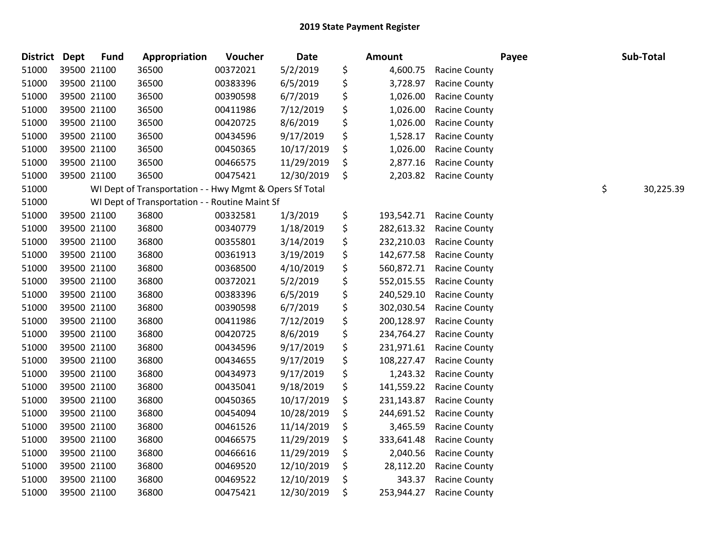| <b>District Dept</b> | <b>Fund</b> | Appropriation                                           | Voucher  | <b>Date</b> | Amount           |                      | Payee | Sub-Total       |
|----------------------|-------------|---------------------------------------------------------|----------|-------------|------------------|----------------------|-------|-----------------|
| 51000                | 39500 21100 | 36500                                                   | 00372021 | 5/2/2019    | \$<br>4,600.75   | <b>Racine County</b> |       |                 |
| 51000                | 39500 21100 | 36500                                                   | 00383396 | 6/5/2019    | \$<br>3,728.97   | Racine County        |       |                 |
| 51000                | 39500 21100 | 36500                                                   | 00390598 | 6/7/2019    | \$<br>1,026.00   | <b>Racine County</b> |       |                 |
| 51000                | 39500 21100 | 36500                                                   | 00411986 | 7/12/2019   | \$<br>1,026.00   | <b>Racine County</b> |       |                 |
| 51000                | 39500 21100 | 36500                                                   | 00420725 | 8/6/2019    | \$<br>1,026.00   | <b>Racine County</b> |       |                 |
| 51000                | 39500 21100 | 36500                                                   | 00434596 | 9/17/2019   | \$<br>1,528.17   | <b>Racine County</b> |       |                 |
| 51000                | 39500 21100 | 36500                                                   | 00450365 | 10/17/2019  | \$<br>1,026.00   | <b>Racine County</b> |       |                 |
| 51000                | 39500 21100 | 36500                                                   | 00466575 | 11/29/2019  | \$<br>2,877.16   | <b>Racine County</b> |       |                 |
| 51000                | 39500 21100 | 36500                                                   | 00475421 | 12/30/2019  | \$<br>2,203.82   | Racine County        |       |                 |
| 51000                |             | WI Dept of Transportation - - Hwy Mgmt & Opers Sf Total |          |             |                  |                      |       | \$<br>30,225.39 |
| 51000                |             | WI Dept of Transportation - - Routine Maint Sf          |          |             |                  |                      |       |                 |
| 51000                | 39500 21100 | 36800                                                   | 00332581 | 1/3/2019    | \$<br>193,542.71 | <b>Racine County</b> |       |                 |
| 51000                | 39500 21100 | 36800                                                   | 00340779 | 1/18/2019   | \$<br>282,613.32 | <b>Racine County</b> |       |                 |
| 51000                | 39500 21100 | 36800                                                   | 00355801 | 3/14/2019   | \$<br>232,210.03 | <b>Racine County</b> |       |                 |
| 51000                | 39500 21100 | 36800                                                   | 00361913 | 3/19/2019   | \$<br>142,677.58 | <b>Racine County</b> |       |                 |
| 51000                | 39500 21100 | 36800                                                   | 00368500 | 4/10/2019   | \$<br>560,872.71 | <b>Racine County</b> |       |                 |
| 51000                | 39500 21100 | 36800                                                   | 00372021 | 5/2/2019    | \$<br>552,015.55 | <b>Racine County</b> |       |                 |
| 51000                | 39500 21100 | 36800                                                   | 00383396 | 6/5/2019    | \$<br>240,529.10 | <b>Racine County</b> |       |                 |
| 51000                | 39500 21100 | 36800                                                   | 00390598 | 6/7/2019    | \$<br>302,030.54 | <b>Racine County</b> |       |                 |
| 51000                | 39500 21100 | 36800                                                   | 00411986 | 7/12/2019   | \$<br>200,128.97 | <b>Racine County</b> |       |                 |
| 51000                | 39500 21100 | 36800                                                   | 00420725 | 8/6/2019    | \$<br>234,764.27 | <b>Racine County</b> |       |                 |
| 51000                | 39500 21100 | 36800                                                   | 00434596 | 9/17/2019   | \$<br>231,971.61 | <b>Racine County</b> |       |                 |
| 51000                | 39500 21100 | 36800                                                   | 00434655 | 9/17/2019   | \$<br>108,227.47 | <b>Racine County</b> |       |                 |
| 51000                | 39500 21100 | 36800                                                   | 00434973 | 9/17/2019   | \$<br>1,243.32   | <b>Racine County</b> |       |                 |
| 51000                | 39500 21100 | 36800                                                   | 00435041 | 9/18/2019   | \$<br>141,559.22 | Racine County        |       |                 |
| 51000                | 39500 21100 | 36800                                                   | 00450365 | 10/17/2019  | \$<br>231,143.87 | <b>Racine County</b> |       |                 |
| 51000                | 39500 21100 | 36800                                                   | 00454094 | 10/28/2019  | \$<br>244,691.52 | <b>Racine County</b> |       |                 |
| 51000                | 39500 21100 | 36800                                                   | 00461526 | 11/14/2019  | \$<br>3,465.59   | <b>Racine County</b> |       |                 |
| 51000                | 39500 21100 | 36800                                                   | 00466575 | 11/29/2019  | \$<br>333,641.48 | <b>Racine County</b> |       |                 |
| 51000                | 39500 21100 | 36800                                                   | 00466616 | 11/29/2019  | \$<br>2,040.56   | <b>Racine County</b> |       |                 |
| 51000                | 39500 21100 | 36800                                                   | 00469520 | 12/10/2019  | \$<br>28,112.20  | <b>Racine County</b> |       |                 |
| 51000                | 39500 21100 | 36800                                                   | 00469522 | 12/10/2019  | \$<br>343.37     | <b>Racine County</b> |       |                 |
| 51000                | 39500 21100 | 36800                                                   | 00475421 | 12/30/2019  | \$<br>253,944.27 | <b>Racine County</b> |       |                 |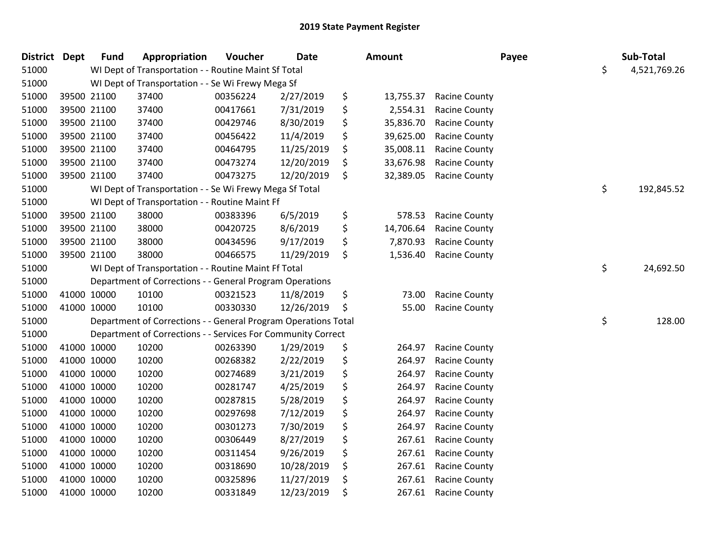| District Dept |             | <b>Fund</b> | Appropriation                                                  | Voucher  | <b>Date</b> | Amount          |                      | Payee | Sub-Total    |
|---------------|-------------|-------------|----------------------------------------------------------------|----------|-------------|-----------------|----------------------|-------|--------------|
| 51000         |             |             | WI Dept of Transportation - - Routine Maint Sf Total           |          |             |                 |                      | \$    | 4,521,769.26 |
| 51000         |             |             | WI Dept of Transportation - - Se Wi Frewy Mega Sf              |          |             |                 |                      |       |              |
| 51000         |             | 39500 21100 | 37400                                                          | 00356224 | 2/27/2019   | \$<br>13,755.37 | <b>Racine County</b> |       |              |
| 51000         |             | 39500 21100 | 37400                                                          | 00417661 | 7/31/2019   | \$<br>2,554.31  | <b>Racine County</b> |       |              |
| 51000         |             | 39500 21100 | 37400                                                          | 00429746 | 8/30/2019   | \$<br>35,836.70 | <b>Racine County</b> |       |              |
| 51000         |             | 39500 21100 | 37400                                                          | 00456422 | 11/4/2019   | \$<br>39,625.00 | <b>Racine County</b> |       |              |
| 51000         |             | 39500 21100 | 37400                                                          | 00464795 | 11/25/2019  | \$<br>35,008.11 | <b>Racine County</b> |       |              |
| 51000         |             | 39500 21100 | 37400                                                          | 00473274 | 12/20/2019  | \$<br>33,676.98 | <b>Racine County</b> |       |              |
| 51000         |             | 39500 21100 | 37400                                                          | 00473275 | 12/20/2019  | \$<br>32,389.05 | <b>Racine County</b> |       |              |
| 51000         |             |             | WI Dept of Transportation - - Se Wi Frewy Mega Sf Total        |          |             |                 |                      | \$    | 192,845.52   |
| 51000         |             |             | WI Dept of Transportation - - Routine Maint Ff                 |          |             |                 |                      |       |              |
| 51000         |             | 39500 21100 | 38000                                                          | 00383396 | 6/5/2019    | \$<br>578.53    | <b>Racine County</b> |       |              |
| 51000         |             | 39500 21100 | 38000                                                          | 00420725 | 8/6/2019    | \$<br>14,706.64 | <b>Racine County</b> |       |              |
| 51000         |             | 39500 21100 | 38000                                                          | 00434596 | 9/17/2019   | \$<br>7,870.93  | <b>Racine County</b> |       |              |
| 51000         |             | 39500 21100 | 38000                                                          | 00466575 | 11/29/2019  | \$<br>1,536.40  | <b>Racine County</b> |       |              |
| 51000         |             |             | WI Dept of Transportation - - Routine Maint Ff Total           |          |             |                 |                      | \$    | 24,692.50    |
| 51000         |             |             | Department of Corrections - - General Program Operations       |          |             |                 |                      |       |              |
| 51000         | 41000 10000 |             | 10100                                                          | 00321523 | 11/8/2019   | \$<br>73.00     | <b>Racine County</b> |       |              |
| 51000         | 41000 10000 |             | 10100                                                          | 00330330 | 12/26/2019  | \$<br>55.00     | <b>Racine County</b> |       |              |
| 51000         |             |             | Department of Corrections - - General Program Operations Total |          |             |                 |                      | \$    | 128.00       |
| 51000         |             |             | Department of Corrections - - Services For Community Correct   |          |             |                 |                      |       |              |
| 51000         |             | 41000 10000 | 10200                                                          | 00263390 | 1/29/2019   | \$<br>264.97    | <b>Racine County</b> |       |              |
| 51000         | 41000 10000 |             | 10200                                                          | 00268382 | 2/22/2019   | \$<br>264.97    | <b>Racine County</b> |       |              |
| 51000         | 41000 10000 |             | 10200                                                          | 00274689 | 3/21/2019   | \$<br>264.97    | <b>Racine County</b> |       |              |
| 51000         | 41000 10000 |             | 10200                                                          | 00281747 | 4/25/2019   | \$<br>264.97    | <b>Racine County</b> |       |              |
| 51000         |             | 41000 10000 | 10200                                                          | 00287815 | 5/28/2019   | \$<br>264.97    | <b>Racine County</b> |       |              |
| 51000         |             | 41000 10000 | 10200                                                          | 00297698 | 7/12/2019   | \$<br>264.97    | <b>Racine County</b> |       |              |
| 51000         | 41000 10000 |             | 10200                                                          | 00301273 | 7/30/2019   | \$<br>264.97    | <b>Racine County</b> |       |              |
| 51000         | 41000 10000 |             | 10200                                                          | 00306449 | 8/27/2019   | \$<br>267.61    | <b>Racine County</b> |       |              |
| 51000         | 41000 10000 |             | 10200                                                          | 00311454 | 9/26/2019   | \$<br>267.61    | <b>Racine County</b> |       |              |
| 51000         |             | 41000 10000 | 10200                                                          | 00318690 | 10/28/2019  | \$<br>267.61    | <b>Racine County</b> |       |              |
| 51000         |             | 41000 10000 | 10200                                                          | 00325896 | 11/27/2019  | \$<br>267.61    | <b>Racine County</b> |       |              |
| 51000         |             | 41000 10000 | 10200                                                          | 00331849 | 12/23/2019  | \$<br>267.61    | <b>Racine County</b> |       |              |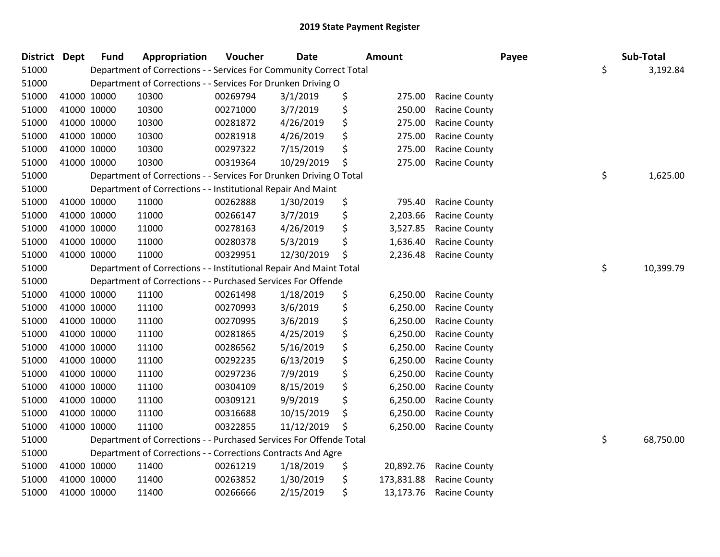| <b>District</b> | <b>Dept</b> | <b>Fund</b> | Appropriation                                                      | Voucher  | <b>Date</b> | Amount           |                      | Payee | Sub-Total       |
|-----------------|-------------|-------------|--------------------------------------------------------------------|----------|-------------|------------------|----------------------|-------|-----------------|
| 51000           |             |             | Department of Corrections - - Services For Community Correct Total |          |             |                  |                      |       | \$<br>3,192.84  |
| 51000           |             |             | Department of Corrections - - Services For Drunken Driving O       |          |             |                  |                      |       |                 |
| 51000           |             | 41000 10000 | 10300                                                              | 00269794 | 3/1/2019    | \$<br>275.00     | <b>Racine County</b> |       |                 |
| 51000           | 41000 10000 |             | 10300                                                              | 00271000 | 3/7/2019    | \$<br>250.00     | Racine County        |       |                 |
| 51000           | 41000 10000 |             | 10300                                                              | 00281872 | 4/26/2019   | \$<br>275.00     | <b>Racine County</b> |       |                 |
| 51000           |             | 41000 10000 | 10300                                                              | 00281918 | 4/26/2019   | \$<br>275.00     | <b>Racine County</b> |       |                 |
| 51000           |             | 41000 10000 | 10300                                                              | 00297322 | 7/15/2019   | \$<br>275.00     | Racine County        |       |                 |
| 51000           | 41000 10000 |             | 10300                                                              | 00319364 | 10/29/2019  | \$<br>275.00     | <b>Racine County</b> |       |                 |
| 51000           |             |             | Department of Corrections - - Services For Drunken Driving O Total |          |             |                  |                      |       | \$<br>1,625.00  |
| 51000           |             |             | Department of Corrections - - Institutional Repair And Maint       |          |             |                  |                      |       |                 |
| 51000           |             | 41000 10000 | 11000                                                              | 00262888 | 1/30/2019   | \$<br>795.40     | <b>Racine County</b> |       |                 |
| 51000           |             | 41000 10000 | 11000                                                              | 00266147 | 3/7/2019    | \$<br>2,203.66   | <b>Racine County</b> |       |                 |
| 51000           | 41000 10000 |             | 11000                                                              | 00278163 | 4/26/2019   | \$<br>3,527.85   | <b>Racine County</b> |       |                 |
| 51000           | 41000 10000 |             | 11000                                                              | 00280378 | 5/3/2019    | \$<br>1,636.40   | <b>Racine County</b> |       |                 |
| 51000           |             | 41000 10000 | 11000                                                              | 00329951 | 12/30/2019  | \$<br>2,236.48   | <b>Racine County</b> |       |                 |
| 51000           |             |             | Department of Corrections - - Institutional Repair And Maint Total |          |             |                  |                      |       | \$<br>10,399.79 |
| 51000           |             |             | Department of Corrections - - Purchased Services For Offende       |          |             |                  |                      |       |                 |
| 51000           |             | 41000 10000 | 11100                                                              | 00261498 | 1/18/2019   | \$<br>6,250.00   | <b>Racine County</b> |       |                 |
| 51000           | 41000 10000 |             | 11100                                                              | 00270993 | 3/6/2019    | \$<br>6,250.00   | <b>Racine County</b> |       |                 |
| 51000           | 41000 10000 |             | 11100                                                              | 00270995 | 3/6/2019    | \$<br>6,250.00   | Racine County        |       |                 |
| 51000           |             | 41000 10000 | 11100                                                              | 00281865 | 4/25/2019   | \$<br>6,250.00   | <b>Racine County</b> |       |                 |
| 51000           |             | 41000 10000 | 11100                                                              | 00286562 | 5/16/2019   | \$<br>6,250.00   | Racine County        |       |                 |
| 51000           | 41000 10000 |             | 11100                                                              | 00292235 | 6/13/2019   | \$<br>6,250.00   | <b>Racine County</b> |       |                 |
| 51000           | 41000 10000 |             | 11100                                                              | 00297236 | 7/9/2019    | \$<br>6,250.00   | <b>Racine County</b> |       |                 |
| 51000           | 41000 10000 |             | 11100                                                              | 00304109 | 8/15/2019   | \$<br>6,250.00   | <b>Racine County</b> |       |                 |
| 51000           |             | 41000 10000 | 11100                                                              | 00309121 | 9/9/2019    | \$<br>6,250.00   | <b>Racine County</b> |       |                 |
| 51000           |             | 41000 10000 | 11100                                                              | 00316688 | 10/15/2019  | \$<br>6,250.00   | <b>Racine County</b> |       |                 |
| 51000           |             | 41000 10000 | 11100                                                              | 00322855 | 11/12/2019  | \$<br>6,250.00   | <b>Racine County</b> |       |                 |
| 51000           |             |             | Department of Corrections - - Purchased Services For Offende Total |          |             |                  |                      |       | \$<br>68,750.00 |
| 51000           |             |             | Department of Corrections - - Corrections Contracts And Agre       |          |             |                  |                      |       |                 |
| 51000           |             | 41000 10000 | 11400                                                              | 00261219 | 1/18/2019   | \$<br>20,892.76  | <b>Racine County</b> |       |                 |
| 51000           |             | 41000 10000 | 11400                                                              | 00263852 | 1/30/2019   | \$<br>173,831.88 | <b>Racine County</b> |       |                 |
| 51000           |             | 41000 10000 | 11400                                                              | 00266666 | 2/15/2019   | \$<br>13,173.76  | <b>Racine County</b> |       |                 |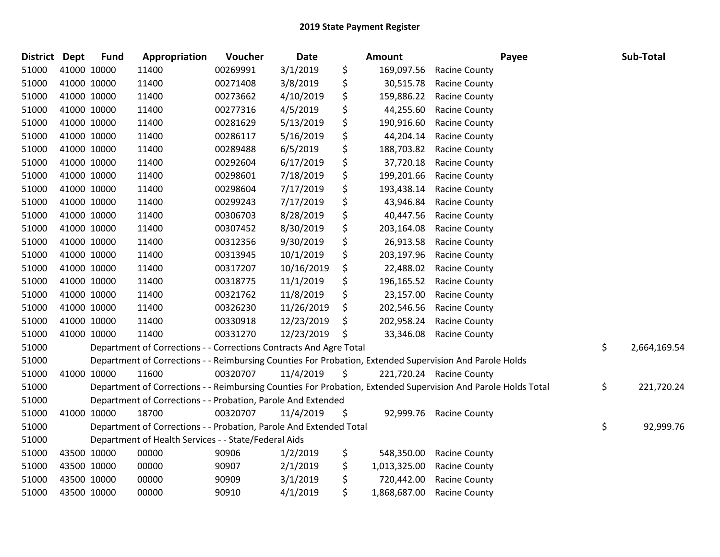| District Dept |             | <b>Fund</b> | Appropriation                                                                                                 | Voucher  | Date       | <b>Amount</b>      |                          | Payee | Sub-Total    |
|---------------|-------------|-------------|---------------------------------------------------------------------------------------------------------------|----------|------------|--------------------|--------------------------|-------|--------------|
| 51000         | 41000 10000 |             | 11400                                                                                                         | 00269991 | 3/1/2019   | \$<br>169,097.56   | <b>Racine County</b>     |       |              |
| 51000         | 41000 10000 |             | 11400                                                                                                         | 00271408 | 3/8/2019   | \$<br>30,515.78    | <b>Racine County</b>     |       |              |
| 51000         | 41000 10000 |             | 11400                                                                                                         | 00273662 | 4/10/2019  | \$<br>159,886.22   | <b>Racine County</b>     |       |              |
| 51000         | 41000 10000 |             | 11400                                                                                                         | 00277316 | 4/5/2019   | \$<br>44,255.60    | <b>Racine County</b>     |       |              |
| 51000         | 41000 10000 |             | 11400                                                                                                         | 00281629 | 5/13/2019  | \$<br>190,916.60   | <b>Racine County</b>     |       |              |
| 51000         | 41000 10000 |             | 11400                                                                                                         | 00286117 | 5/16/2019  | \$<br>44,204.14    | <b>Racine County</b>     |       |              |
| 51000         | 41000 10000 |             | 11400                                                                                                         | 00289488 | 6/5/2019   | \$<br>188,703.82   | <b>Racine County</b>     |       |              |
| 51000         | 41000 10000 |             | 11400                                                                                                         | 00292604 | 6/17/2019  | \$<br>37,720.18    | <b>Racine County</b>     |       |              |
| 51000         | 41000 10000 |             | 11400                                                                                                         | 00298601 | 7/18/2019  | \$<br>199,201.66   | Racine County            |       |              |
| 51000         | 41000 10000 |             | 11400                                                                                                         | 00298604 | 7/17/2019  | \$<br>193,438.14   | <b>Racine County</b>     |       |              |
| 51000         | 41000 10000 |             | 11400                                                                                                         | 00299243 | 7/17/2019  | \$<br>43,946.84    | <b>Racine County</b>     |       |              |
| 51000         | 41000 10000 |             | 11400                                                                                                         | 00306703 | 8/28/2019  | \$<br>40,447.56    | <b>Racine County</b>     |       |              |
| 51000         | 41000 10000 |             | 11400                                                                                                         | 00307452 | 8/30/2019  | \$<br>203,164.08   | <b>Racine County</b>     |       |              |
| 51000         | 41000 10000 |             | 11400                                                                                                         | 00312356 | 9/30/2019  | \$<br>26,913.58    | <b>Racine County</b>     |       |              |
| 51000         | 41000 10000 |             | 11400                                                                                                         | 00313945 | 10/1/2019  | \$<br>203,197.96   | Racine County            |       |              |
| 51000         | 41000 10000 |             | 11400                                                                                                         | 00317207 | 10/16/2019 | \$<br>22,488.02    | <b>Racine County</b>     |       |              |
| 51000         | 41000 10000 |             | 11400                                                                                                         | 00318775 | 11/1/2019  | \$<br>196,165.52   | <b>Racine County</b>     |       |              |
| 51000         | 41000 10000 |             | 11400                                                                                                         | 00321762 | 11/8/2019  | \$<br>23,157.00    | <b>Racine County</b>     |       |              |
| 51000         | 41000 10000 |             | 11400                                                                                                         | 00326230 | 11/26/2019 | \$<br>202,546.56   | Racine County            |       |              |
| 51000         | 41000 10000 |             | 11400                                                                                                         | 00330918 | 12/23/2019 | \$<br>202,958.24   | <b>Racine County</b>     |       |              |
| 51000         | 41000 10000 |             | 11400                                                                                                         | 00331270 | 12/23/2019 | \$<br>33,346.08    | <b>Racine County</b>     |       |              |
| 51000         |             |             | Department of Corrections - - Corrections Contracts And Agre Total                                            |          |            |                    |                          | \$    | 2,664,169.54 |
| 51000         |             |             | Department of Corrections - - Reimbursing Counties For Probation, Extended Supervision And Parole Holds       |          |            |                    |                          |       |              |
| 51000         | 41000 10000 |             | 11600                                                                                                         | 00320707 | 11/4/2019  | \$                 | 221,720.24 Racine County |       |              |
| 51000         |             |             | Department of Corrections - - Reimbursing Counties For Probation, Extended Supervision And Parole Holds Total |          |            |                    |                          | \$    | 221,720.24   |
| 51000         |             |             | Department of Corrections - - Probation, Parole And Extended                                                  |          |            |                    |                          |       |              |
| 51000         | 41000 10000 |             | 18700                                                                                                         | 00320707 | 11/4/2019  | \$<br>92,999.76    | <b>Racine County</b>     |       |              |
| 51000         |             |             | Department of Corrections - - Probation, Parole And Extended Total                                            |          |            |                    |                          | \$    | 92,999.76    |
| 51000         |             |             | Department of Health Services - - State/Federal Aids                                                          |          |            |                    |                          |       |              |
| 51000         | 43500 10000 |             | 00000                                                                                                         | 90906    | 1/2/2019   | \$<br>548,350.00   | <b>Racine County</b>     |       |              |
| 51000         | 43500 10000 |             | 00000                                                                                                         | 90907    | 2/1/2019   | \$<br>1,013,325.00 | <b>Racine County</b>     |       |              |
| 51000         | 43500 10000 |             | 00000                                                                                                         | 90909    | 3/1/2019   | \$<br>720,442.00   | <b>Racine County</b>     |       |              |
| 51000         | 43500 10000 |             | 00000                                                                                                         | 90910    | 4/1/2019   | \$<br>1,868,687.00 | <b>Racine County</b>     |       |              |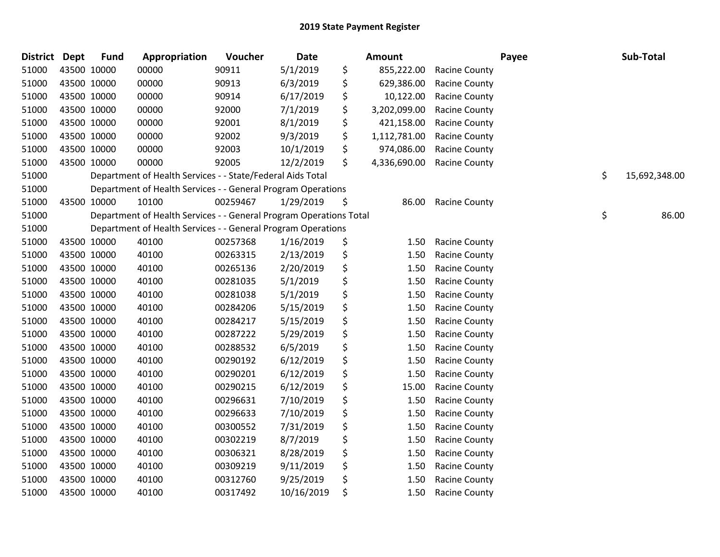| <b>District</b> | Dept        | <b>Fund</b> | Appropriation                                                      | Voucher  | Date       | Amount             |                      | Payee | Sub-Total           |
|-----------------|-------------|-------------|--------------------------------------------------------------------|----------|------------|--------------------|----------------------|-------|---------------------|
| 51000           | 43500 10000 |             | 00000                                                              | 90911    | 5/1/2019   | \$<br>855,222.00   | <b>Racine County</b> |       |                     |
| 51000           | 43500 10000 |             | 00000                                                              | 90913    | 6/3/2019   | \$<br>629,386.00   | <b>Racine County</b> |       |                     |
| 51000           | 43500 10000 |             | 00000                                                              | 90914    | 6/17/2019  | \$<br>10,122.00    | <b>Racine County</b> |       |                     |
| 51000           | 43500 10000 |             | 00000                                                              | 92000    | 7/1/2019   | \$<br>3,202,099.00 | Racine County        |       |                     |
| 51000           | 43500 10000 |             | 00000                                                              | 92001    | 8/1/2019   | \$<br>421,158.00   | Racine County        |       |                     |
| 51000           | 43500 10000 |             | 00000                                                              | 92002    | 9/3/2019   | \$<br>1,112,781.00 | Racine County        |       |                     |
| 51000           | 43500 10000 |             | 00000                                                              | 92003    | 10/1/2019  | \$<br>974,086.00   | <b>Racine County</b> |       |                     |
| 51000           | 43500 10000 |             | 00000                                                              | 92005    | 12/2/2019  | \$<br>4,336,690.00 | Racine County        |       |                     |
| 51000           |             |             | Department of Health Services - - State/Federal Aids Total         |          |            |                    |                      |       | \$<br>15,692,348.00 |
| 51000           |             |             | Department of Health Services - - General Program Operations       |          |            |                    |                      |       |                     |
| 51000           | 43500 10000 |             | 10100                                                              | 00259467 | 1/29/2019  | \$<br>86.00        | Racine County        |       |                     |
| 51000           |             |             | Department of Health Services - - General Program Operations Total |          |            |                    |                      |       | \$<br>86.00         |
| 51000           |             |             | Department of Health Services - - General Program Operations       |          |            |                    |                      |       |                     |
| 51000           | 43500 10000 |             | 40100                                                              | 00257368 | 1/16/2019  | \$<br>1.50         | <b>Racine County</b> |       |                     |
| 51000           | 43500 10000 |             | 40100                                                              | 00263315 | 2/13/2019  | \$<br>1.50         | Racine County        |       |                     |
| 51000           | 43500 10000 |             | 40100                                                              | 00265136 | 2/20/2019  | \$<br>1.50         | Racine County        |       |                     |
| 51000           | 43500 10000 |             | 40100                                                              | 00281035 | 5/1/2019   | \$<br>1.50         | Racine County        |       |                     |
| 51000           | 43500 10000 |             | 40100                                                              | 00281038 | 5/1/2019   | \$<br>1.50         | <b>Racine County</b> |       |                     |
| 51000           | 43500 10000 |             | 40100                                                              | 00284206 | 5/15/2019  | \$<br>1.50         | Racine County        |       |                     |
| 51000           | 43500 10000 |             | 40100                                                              | 00284217 | 5/15/2019  | \$<br>1.50         | Racine County        |       |                     |
| 51000           | 43500 10000 |             | 40100                                                              | 00287222 | 5/29/2019  | \$<br>1.50         | <b>Racine County</b> |       |                     |
| 51000           | 43500 10000 |             | 40100                                                              | 00288532 | 6/5/2019   | \$<br>1.50         | <b>Racine County</b> |       |                     |
| 51000           | 43500 10000 |             | 40100                                                              | 00290192 | 6/12/2019  | \$<br>1.50         | <b>Racine County</b> |       |                     |
| 51000           | 43500 10000 |             | 40100                                                              | 00290201 | 6/12/2019  | \$<br>1.50         | Racine County        |       |                     |
| 51000           | 43500 10000 |             | 40100                                                              | 00290215 | 6/12/2019  | \$<br>15.00        | <b>Racine County</b> |       |                     |
| 51000           | 43500 10000 |             | 40100                                                              | 00296631 | 7/10/2019  | \$<br>1.50         | Racine County        |       |                     |
| 51000           | 43500 10000 |             | 40100                                                              | 00296633 | 7/10/2019  | \$<br>1.50         | <b>Racine County</b> |       |                     |
| 51000           | 43500 10000 |             | 40100                                                              | 00300552 | 7/31/2019  | \$<br>1.50         | <b>Racine County</b> |       |                     |
| 51000           | 43500 10000 |             | 40100                                                              | 00302219 | 8/7/2019   | \$<br>1.50         | Racine County        |       |                     |
| 51000           | 43500 10000 |             | 40100                                                              | 00306321 | 8/28/2019  | \$<br>1.50         | Racine County        |       |                     |
| 51000           | 43500 10000 |             | 40100                                                              | 00309219 | 9/11/2019  | \$<br>1.50         | Racine County        |       |                     |
| 51000           | 43500 10000 |             | 40100                                                              | 00312760 | 9/25/2019  | \$<br>1.50         | <b>Racine County</b> |       |                     |
| 51000           | 43500 10000 |             | 40100                                                              | 00317492 | 10/16/2019 | \$<br>1.50         | <b>Racine County</b> |       |                     |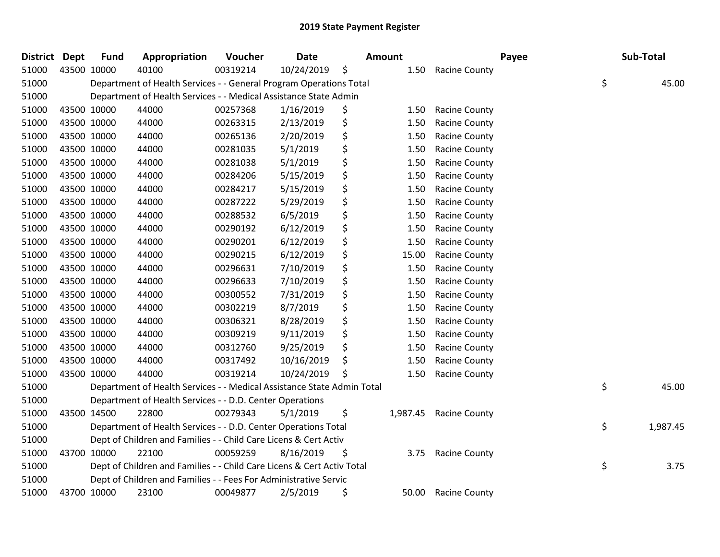| <b>District Dept</b> | <b>Fund</b> | Appropriation                                                          | Voucher  | <b>Date</b> | Amount         |                      | Payee | Sub-Total      |
|----------------------|-------------|------------------------------------------------------------------------|----------|-------------|----------------|----------------------|-------|----------------|
| 51000                | 43500 10000 | 40100                                                                  | 00319214 | 10/24/2019  | \$<br>1.50     | <b>Racine County</b> |       |                |
| 51000                |             | Department of Health Services - - General Program Operations Total     |          |             |                |                      |       | \$<br>45.00    |
| 51000                |             | Department of Health Services - - Medical Assistance State Admin       |          |             |                |                      |       |                |
| 51000                | 43500 10000 | 44000                                                                  | 00257368 | 1/16/2019   | \$<br>1.50     | <b>Racine County</b> |       |                |
| 51000                | 43500 10000 | 44000                                                                  | 00263315 | 2/13/2019   | \$<br>1.50     | <b>Racine County</b> |       |                |
| 51000                | 43500 10000 | 44000                                                                  | 00265136 | 2/20/2019   | \$<br>1.50     | <b>Racine County</b> |       |                |
| 51000                | 43500 10000 | 44000                                                                  | 00281035 | 5/1/2019    | \$<br>1.50     | <b>Racine County</b> |       |                |
| 51000                | 43500 10000 | 44000                                                                  | 00281038 | 5/1/2019    | \$<br>1.50     | <b>Racine County</b> |       |                |
| 51000                | 43500 10000 | 44000                                                                  | 00284206 | 5/15/2019   | \$<br>1.50     | <b>Racine County</b> |       |                |
| 51000                | 43500 10000 | 44000                                                                  | 00284217 | 5/15/2019   | \$<br>1.50     | <b>Racine County</b> |       |                |
| 51000                | 43500 10000 | 44000                                                                  | 00287222 | 5/29/2019   | \$<br>1.50     | <b>Racine County</b> |       |                |
| 51000                | 43500 10000 | 44000                                                                  | 00288532 | 6/5/2019    | \$<br>1.50     | <b>Racine County</b> |       |                |
| 51000                | 43500 10000 | 44000                                                                  | 00290192 | 6/12/2019   | \$<br>1.50     | <b>Racine County</b> |       |                |
| 51000                | 43500 10000 | 44000                                                                  | 00290201 | 6/12/2019   | \$<br>1.50     | <b>Racine County</b> |       |                |
| 51000                | 43500 10000 | 44000                                                                  | 00290215 | 6/12/2019   | \$<br>15.00    | <b>Racine County</b> |       |                |
| 51000                | 43500 10000 | 44000                                                                  | 00296631 | 7/10/2019   | \$<br>1.50     | <b>Racine County</b> |       |                |
| 51000                | 43500 10000 | 44000                                                                  | 00296633 | 7/10/2019   | \$<br>1.50     | <b>Racine County</b> |       |                |
| 51000                | 43500 10000 | 44000                                                                  | 00300552 | 7/31/2019   | \$<br>1.50     | <b>Racine County</b> |       |                |
| 51000                | 43500 10000 | 44000                                                                  | 00302219 | 8/7/2019    | \$<br>1.50     | <b>Racine County</b> |       |                |
| 51000                | 43500 10000 | 44000                                                                  | 00306321 | 8/28/2019   | \$<br>1.50     | <b>Racine County</b> |       |                |
| 51000                | 43500 10000 | 44000                                                                  | 00309219 | 9/11/2019   | \$<br>1.50     | <b>Racine County</b> |       |                |
| 51000                | 43500 10000 | 44000                                                                  | 00312760 | 9/25/2019   | \$<br>1.50     | <b>Racine County</b> |       |                |
| 51000                | 43500 10000 | 44000                                                                  | 00317492 | 10/16/2019  | \$<br>1.50     | <b>Racine County</b> |       |                |
| 51000                | 43500 10000 | 44000                                                                  | 00319214 | 10/24/2019  | \$<br>1.50     | <b>Racine County</b> |       |                |
| 51000                |             | Department of Health Services - - Medical Assistance State Admin Total |          |             |                |                      |       | \$<br>45.00    |
| 51000                |             | Department of Health Services - - D.D. Center Operations               |          |             |                |                      |       |                |
| 51000                | 43500 14500 | 22800                                                                  | 00279343 | 5/1/2019    | \$<br>1,987.45 | <b>Racine County</b> |       |                |
| 51000                |             | Department of Health Services - - D.D. Center Operations Total         |          |             |                |                      |       | \$<br>1,987.45 |
| 51000                |             | Dept of Children and Families - - Child Care Licens & Cert Activ       |          |             |                |                      |       |                |
| 51000                | 43700 10000 | 22100                                                                  | 00059259 | 8/16/2019   | \$<br>3.75     | <b>Racine County</b> |       |                |
| 51000                |             | Dept of Children and Families - - Child Care Licens & Cert Activ Total |          |             |                |                      |       | \$<br>3.75     |
| 51000                |             | Dept of Children and Families - - Fees For Administrative Servic       |          |             |                |                      |       |                |
| 51000                | 43700 10000 | 23100                                                                  | 00049877 | 2/5/2019    | \$<br>50.00    | <b>Racine County</b> |       |                |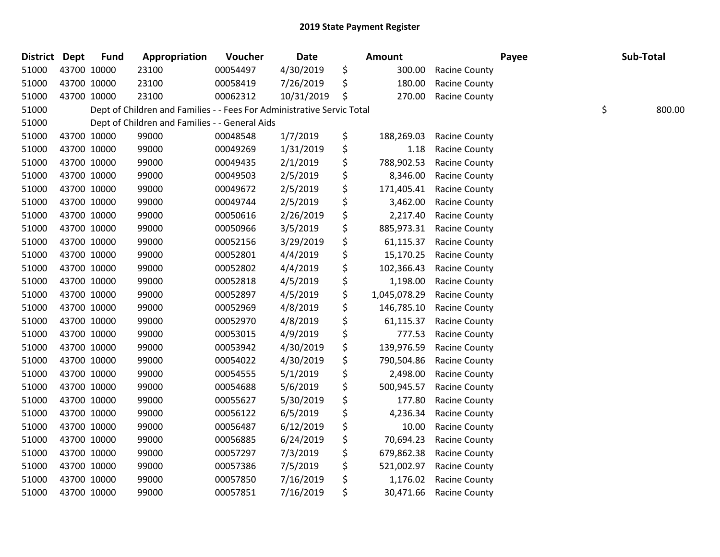| District Dept |             | <b>Fund</b> | Appropriation                                                          | Voucher  | Date       | Amount             |                      | Payee | Sub-Total    |
|---------------|-------------|-------------|------------------------------------------------------------------------|----------|------------|--------------------|----------------------|-------|--------------|
| 51000         |             | 43700 10000 | 23100                                                                  | 00054497 | 4/30/2019  | \$<br>300.00       | Racine County        |       |              |
| 51000         |             | 43700 10000 | 23100                                                                  | 00058419 | 7/26/2019  | \$<br>180.00       | Racine County        |       |              |
| 51000         |             | 43700 10000 | 23100                                                                  | 00062312 | 10/31/2019 | \$<br>270.00       | <b>Racine County</b> |       |              |
| 51000         |             |             | Dept of Children and Families - - Fees For Administrative Servic Total |          |            |                    |                      |       | \$<br>800.00 |
| 51000         |             |             | Dept of Children and Families - - General Aids                         |          |            |                    |                      |       |              |
| 51000         |             | 43700 10000 | 99000                                                                  | 00048548 | 1/7/2019   | \$<br>188,269.03   | Racine County        |       |              |
| 51000         |             | 43700 10000 | 99000                                                                  | 00049269 | 1/31/2019  | \$<br>1.18         | <b>Racine County</b> |       |              |
| 51000         |             | 43700 10000 | 99000                                                                  | 00049435 | 2/1/2019   | \$<br>788,902.53   | <b>Racine County</b> |       |              |
| 51000         |             | 43700 10000 | 99000                                                                  | 00049503 | 2/5/2019   | \$<br>8,346.00     | Racine County        |       |              |
| 51000         |             | 43700 10000 | 99000                                                                  | 00049672 | 2/5/2019   | \$<br>171,405.41   | <b>Racine County</b> |       |              |
| 51000         |             | 43700 10000 | 99000                                                                  | 00049744 | 2/5/2019   | \$<br>3,462.00     | <b>Racine County</b> |       |              |
| 51000         |             | 43700 10000 | 99000                                                                  | 00050616 | 2/26/2019  | \$<br>2,217.40     | Racine County        |       |              |
| 51000         |             | 43700 10000 | 99000                                                                  | 00050966 | 3/5/2019   | \$<br>885,973.31   | <b>Racine County</b> |       |              |
| 51000         |             | 43700 10000 | 99000                                                                  | 00052156 | 3/29/2019  | \$<br>61,115.37    | Racine County        |       |              |
| 51000         |             | 43700 10000 | 99000                                                                  | 00052801 | 4/4/2019   | \$<br>15,170.25    | Racine County        |       |              |
| 51000         |             | 43700 10000 | 99000                                                                  | 00052802 | 4/4/2019   | \$<br>102,366.43   | Racine County        |       |              |
| 51000         |             | 43700 10000 | 99000                                                                  | 00052818 | 4/5/2019   | \$<br>1,198.00     | <b>Racine County</b> |       |              |
| 51000         | 43700 10000 |             | 99000                                                                  | 00052897 | 4/5/2019   | \$<br>1,045,078.29 | <b>Racine County</b> |       |              |
| 51000         |             | 43700 10000 | 99000                                                                  | 00052969 | 4/8/2019   | \$<br>146,785.10   | Racine County        |       |              |
| 51000         |             | 43700 10000 | 99000                                                                  | 00052970 | 4/8/2019   | \$<br>61,115.37    | <b>Racine County</b> |       |              |
| 51000         |             | 43700 10000 | 99000                                                                  | 00053015 | 4/9/2019   | \$<br>777.53       | <b>Racine County</b> |       |              |
| 51000         |             | 43700 10000 | 99000                                                                  | 00053942 | 4/30/2019  | \$<br>139,976.59   | Racine County        |       |              |
| 51000         |             | 43700 10000 | 99000                                                                  | 00054022 | 4/30/2019  | \$<br>790,504.86   | <b>Racine County</b> |       |              |
| 51000         |             | 43700 10000 | 99000                                                                  | 00054555 | 5/1/2019   | \$<br>2,498.00     | Racine County        |       |              |
| 51000         |             | 43700 10000 | 99000                                                                  | 00054688 | 5/6/2019   | \$<br>500,945.57   | <b>Racine County</b> |       |              |
| 51000         |             | 43700 10000 | 99000                                                                  | 00055627 | 5/30/2019  | \$<br>177.80       | <b>Racine County</b> |       |              |
| 51000         |             | 43700 10000 | 99000                                                                  | 00056122 | 6/5/2019   | \$<br>4,236.34     | <b>Racine County</b> |       |              |
| 51000         |             | 43700 10000 | 99000                                                                  | 00056487 | 6/12/2019  | \$<br>10.00        | <b>Racine County</b> |       |              |
| 51000         |             | 43700 10000 | 99000                                                                  | 00056885 | 6/24/2019  | \$<br>70,694.23    | Racine County        |       |              |
| 51000         |             | 43700 10000 | 99000                                                                  | 00057297 | 7/3/2019   | \$<br>679,862.38   | Racine County        |       |              |
| 51000         |             | 43700 10000 | 99000                                                                  | 00057386 | 7/5/2019   | \$<br>521,002.97   | <b>Racine County</b> |       |              |
| 51000         |             | 43700 10000 | 99000                                                                  | 00057850 | 7/16/2019  | \$<br>1,176.02     | <b>Racine County</b> |       |              |
| 51000         | 43700 10000 |             | 99000                                                                  | 00057851 | 7/16/2019  | \$<br>30,471.66    | <b>Racine County</b> |       |              |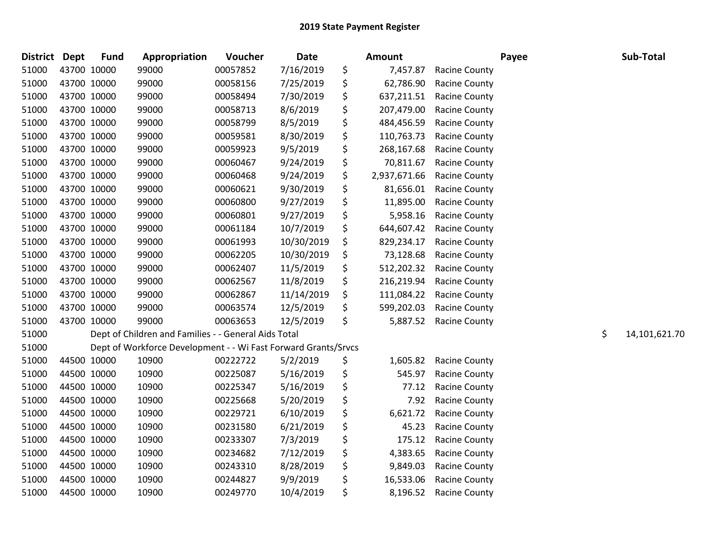| <b>District</b> | <b>Dept</b> | <b>Fund</b> | Appropriation                                                  | Voucher  | <b>Date</b> | <b>Amount</b>      |                      | Payee | Sub-Total           |
|-----------------|-------------|-------------|----------------------------------------------------------------|----------|-------------|--------------------|----------------------|-------|---------------------|
| 51000           |             | 43700 10000 | 99000                                                          | 00057852 | 7/16/2019   | \$<br>7,457.87     | <b>Racine County</b> |       |                     |
| 51000           |             | 43700 10000 | 99000                                                          | 00058156 | 7/25/2019   | \$<br>62,786.90    | <b>Racine County</b> |       |                     |
| 51000           |             | 43700 10000 | 99000                                                          | 00058494 | 7/30/2019   | \$<br>637,211.51   | <b>Racine County</b> |       |                     |
| 51000           |             | 43700 10000 | 99000                                                          | 00058713 | 8/6/2019    | \$<br>207,479.00   | <b>Racine County</b> |       |                     |
| 51000           |             | 43700 10000 | 99000                                                          | 00058799 | 8/5/2019    | \$<br>484,456.59   | <b>Racine County</b> |       |                     |
| 51000           |             | 43700 10000 | 99000                                                          | 00059581 | 8/30/2019   | \$<br>110,763.73   | <b>Racine County</b> |       |                     |
| 51000           |             | 43700 10000 | 99000                                                          | 00059923 | 9/5/2019    | \$<br>268,167.68   | <b>Racine County</b> |       |                     |
| 51000           |             | 43700 10000 | 99000                                                          | 00060467 | 9/24/2019   | \$<br>70,811.67    | <b>Racine County</b> |       |                     |
| 51000           |             | 43700 10000 | 99000                                                          | 00060468 | 9/24/2019   | \$<br>2,937,671.66 | <b>Racine County</b> |       |                     |
| 51000           |             | 43700 10000 | 99000                                                          | 00060621 | 9/30/2019   | \$<br>81,656.01    | <b>Racine County</b> |       |                     |
| 51000           |             | 43700 10000 | 99000                                                          | 00060800 | 9/27/2019   | \$<br>11,895.00    | <b>Racine County</b> |       |                     |
| 51000           |             | 43700 10000 | 99000                                                          | 00060801 | 9/27/2019   | \$<br>5,958.16     | <b>Racine County</b> |       |                     |
| 51000           |             | 43700 10000 | 99000                                                          | 00061184 | 10/7/2019   | \$<br>644,607.42   | <b>Racine County</b> |       |                     |
| 51000           |             | 43700 10000 | 99000                                                          | 00061993 | 10/30/2019  | \$<br>829,234.17   | <b>Racine County</b> |       |                     |
| 51000           |             | 43700 10000 | 99000                                                          | 00062205 | 10/30/2019  | \$<br>73,128.68    | <b>Racine County</b> |       |                     |
| 51000           |             | 43700 10000 | 99000                                                          | 00062407 | 11/5/2019   | \$<br>512,202.32   | <b>Racine County</b> |       |                     |
| 51000           |             | 43700 10000 | 99000                                                          | 00062567 | 11/8/2019   | \$<br>216,219.94   | <b>Racine County</b> |       |                     |
| 51000           |             | 43700 10000 | 99000                                                          | 00062867 | 11/14/2019  | \$<br>111,084.22   | <b>Racine County</b> |       |                     |
| 51000           |             | 43700 10000 | 99000                                                          | 00063574 | 12/5/2019   | \$<br>599,202.03   | <b>Racine County</b> |       |                     |
| 51000           |             | 43700 10000 | 99000                                                          | 00063653 | 12/5/2019   | \$<br>5,887.52     | <b>Racine County</b> |       |                     |
| 51000           |             |             | Dept of Children and Families - - General Aids Total           |          |             |                    |                      |       | \$<br>14,101,621.70 |
| 51000           |             |             | Dept of Workforce Development - - Wi Fast Forward Grants/Srvcs |          |             |                    |                      |       |                     |
| 51000           |             | 44500 10000 | 10900                                                          | 00222722 | 5/2/2019    | \$<br>1,605.82     | <b>Racine County</b> |       |                     |
| 51000           |             | 44500 10000 | 10900                                                          | 00225087 | 5/16/2019   | \$<br>545.97       | <b>Racine County</b> |       |                     |
| 51000           |             | 44500 10000 | 10900                                                          | 00225347 | 5/16/2019   | \$<br>77.12        | Racine County        |       |                     |
| 51000           |             | 44500 10000 | 10900                                                          | 00225668 | 5/20/2019   | \$<br>7.92         | Racine County        |       |                     |
| 51000           |             | 44500 10000 | 10900                                                          | 00229721 | 6/10/2019   | \$<br>6,621.72     | <b>Racine County</b> |       |                     |
| 51000           |             | 44500 10000 | 10900                                                          | 00231580 | 6/21/2019   | \$<br>45.23        | <b>Racine County</b> |       |                     |
| 51000           |             | 44500 10000 | 10900                                                          | 00233307 | 7/3/2019    | \$<br>175.12       | <b>Racine County</b> |       |                     |
| 51000           |             | 44500 10000 | 10900                                                          | 00234682 | 7/12/2019   | \$<br>4,383.65     | <b>Racine County</b> |       |                     |
| 51000           |             | 44500 10000 | 10900                                                          | 00243310 | 8/28/2019   | \$<br>9,849.03     | <b>Racine County</b> |       |                     |
| 51000           |             | 44500 10000 | 10900                                                          | 00244827 | 9/9/2019    | \$<br>16,533.06    | <b>Racine County</b> |       |                     |
| 51000           |             | 44500 10000 | 10900                                                          | 00249770 | 10/4/2019   | \$<br>8,196.52     | <b>Racine County</b> |       |                     |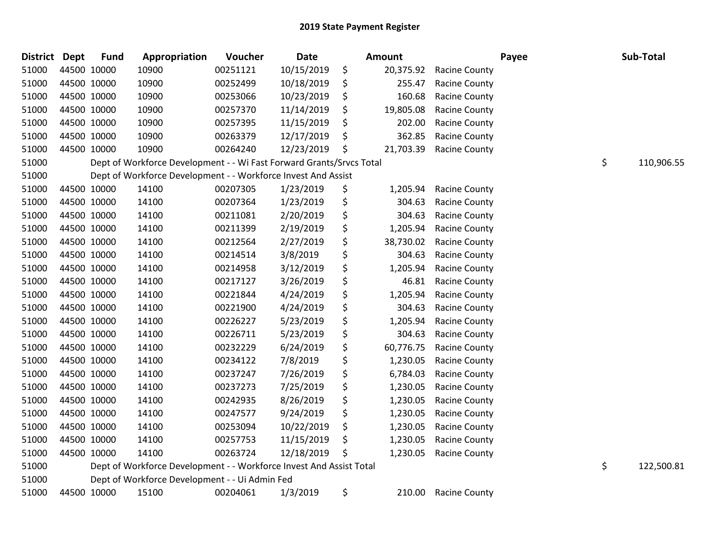| <b>District Dept</b> |             | <b>Fund</b> | Appropriation                                                        | Voucher  | Date       | Amount          |                      | Payee | Sub-Total        |
|----------------------|-------------|-------------|----------------------------------------------------------------------|----------|------------|-----------------|----------------------|-------|------------------|
| 51000                |             | 44500 10000 | 10900                                                                | 00251121 | 10/15/2019 | \$<br>20,375.92 | <b>Racine County</b> |       |                  |
| 51000                | 44500 10000 |             | 10900                                                                | 00252499 | 10/18/2019 | \$<br>255.47    | Racine County        |       |                  |
| 51000                |             | 44500 10000 | 10900                                                                | 00253066 | 10/23/2019 | \$<br>160.68    | Racine County        |       |                  |
| 51000                |             | 44500 10000 | 10900                                                                | 00257370 | 11/14/2019 | \$<br>19,805.08 | <b>Racine County</b> |       |                  |
| 51000                |             | 44500 10000 | 10900                                                                | 00257395 | 11/15/2019 | \$<br>202.00    | Racine County        |       |                  |
| 51000                | 44500 10000 |             | 10900                                                                | 00263379 | 12/17/2019 | \$<br>362.85    | <b>Racine County</b> |       |                  |
| 51000                | 44500 10000 |             | 10900                                                                | 00264240 | 12/23/2019 | \$<br>21,703.39 | <b>Racine County</b> |       |                  |
| 51000                |             |             | Dept of Workforce Development - - Wi Fast Forward Grants/Srvcs Total |          |            |                 |                      |       | \$<br>110,906.55 |
| 51000                |             |             | Dept of Workforce Development - - Workforce Invest And Assist        |          |            |                 |                      |       |                  |
| 51000                |             | 44500 10000 | 14100                                                                | 00207305 | 1/23/2019  | \$<br>1,205.94  | <b>Racine County</b> |       |                  |
| 51000                | 44500 10000 |             | 14100                                                                | 00207364 | 1/23/2019  | \$<br>304.63    | <b>Racine County</b> |       |                  |
| 51000                | 44500 10000 |             | 14100                                                                | 00211081 | 2/20/2019  | \$<br>304.63    | <b>Racine County</b> |       |                  |
| 51000                | 44500 10000 |             | 14100                                                                | 00211399 | 2/19/2019  | \$<br>1,205.94  | <b>Racine County</b> |       |                  |
| 51000                |             | 44500 10000 | 14100                                                                | 00212564 | 2/27/2019  | \$<br>38,730.02 | <b>Racine County</b> |       |                  |
| 51000                |             | 44500 10000 | 14100                                                                | 00214514 | 3/8/2019   | \$<br>304.63    | <b>Racine County</b> |       |                  |
| 51000                |             | 44500 10000 | 14100                                                                | 00214958 | 3/12/2019  | \$<br>1,205.94  | <b>Racine County</b> |       |                  |
| 51000                | 44500 10000 |             | 14100                                                                | 00217127 | 3/26/2019  | \$<br>46.81     | Racine County        |       |                  |
| 51000                | 44500 10000 |             | 14100                                                                | 00221844 | 4/24/2019  | \$<br>1,205.94  | Racine County        |       |                  |
| 51000                |             | 44500 10000 | 14100                                                                | 00221900 | 4/24/2019  | \$<br>304.63    | Racine County        |       |                  |
| 51000                |             | 44500 10000 | 14100                                                                | 00226227 | 5/23/2019  | \$<br>1,205.94  | <b>Racine County</b> |       |                  |
| 51000                |             | 44500 10000 | 14100                                                                | 00226711 | 5/23/2019  | \$<br>304.63    | <b>Racine County</b> |       |                  |
| 51000                | 44500 10000 |             | 14100                                                                | 00232229 | 6/24/2019  | \$<br>60,776.75 | <b>Racine County</b> |       |                  |
| 51000                |             | 44500 10000 | 14100                                                                | 00234122 | 7/8/2019   | \$<br>1,230.05  | <b>Racine County</b> |       |                  |
| 51000                |             | 44500 10000 | 14100                                                                | 00237247 | 7/26/2019  | \$<br>6,784.03  | <b>Racine County</b> |       |                  |
| 51000                |             | 44500 10000 | 14100                                                                | 00237273 | 7/25/2019  | \$<br>1,230.05  | <b>Racine County</b> |       |                  |
| 51000                |             | 44500 10000 | 14100                                                                | 00242935 | 8/26/2019  | \$<br>1,230.05  | <b>Racine County</b> |       |                  |
| 51000                | 44500 10000 |             | 14100                                                                | 00247577 | 9/24/2019  | \$<br>1,230.05  | Racine County        |       |                  |
| 51000                | 44500 10000 |             | 14100                                                                | 00253094 | 10/22/2019 | \$<br>1,230.05  | <b>Racine County</b> |       |                  |
| 51000                |             | 44500 10000 | 14100                                                                | 00257753 | 11/15/2019 | \$<br>1,230.05  | <b>Racine County</b> |       |                  |
| 51000                |             | 44500 10000 | 14100                                                                | 00263724 | 12/18/2019 | \$<br>1,230.05  | <b>Racine County</b> |       |                  |
| 51000                |             |             | Dept of Workforce Development - - Workforce Invest And Assist Total  |          |            |                 |                      |       | \$<br>122,500.81 |
| 51000                |             |             | Dept of Workforce Development - - Ui Admin Fed                       |          |            |                 |                      |       |                  |
| 51000                |             | 44500 10000 | 15100                                                                | 00204061 | 1/3/2019   | \$<br>210.00    | <b>Racine County</b> |       |                  |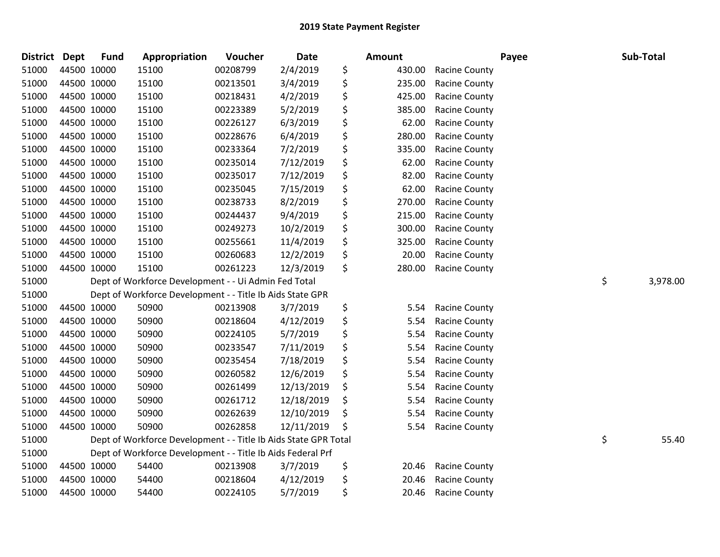| <b>District</b> | <b>Dept</b> | <b>Fund</b> | Appropriation                                                   | Voucher  | <b>Date</b> |    | Amount |                      | Payee | Sub-Total      |
|-----------------|-------------|-------------|-----------------------------------------------------------------|----------|-------------|----|--------|----------------------|-------|----------------|
| 51000           | 44500 10000 |             | 15100                                                           | 00208799 | 2/4/2019    | \$ | 430.00 | <b>Racine County</b> |       |                |
| 51000           | 44500 10000 |             | 15100                                                           | 00213501 | 3/4/2019    | \$ | 235.00 | <b>Racine County</b> |       |                |
| 51000           | 44500 10000 |             | 15100                                                           | 00218431 | 4/2/2019    | \$ | 425.00 | <b>Racine County</b> |       |                |
| 51000           | 44500 10000 |             | 15100                                                           | 00223389 | 5/2/2019    | \$ | 385.00 | <b>Racine County</b> |       |                |
| 51000           | 44500 10000 |             | 15100                                                           | 00226127 | 6/3/2019    | \$ | 62.00  | <b>Racine County</b> |       |                |
| 51000           | 44500 10000 |             | 15100                                                           | 00228676 | 6/4/2019    | \$ | 280.00 | <b>Racine County</b> |       |                |
| 51000           | 44500 10000 |             | 15100                                                           | 00233364 | 7/2/2019    | \$ | 335.00 | <b>Racine County</b> |       |                |
| 51000           | 44500 10000 |             | 15100                                                           | 00235014 | 7/12/2019   | \$ | 62.00  | Racine County        |       |                |
| 51000           | 44500 10000 |             | 15100                                                           | 00235017 | 7/12/2019   | \$ | 82.00  | <b>Racine County</b> |       |                |
| 51000           | 44500 10000 |             | 15100                                                           | 00235045 | 7/15/2019   | \$ | 62.00  | <b>Racine County</b> |       |                |
| 51000           | 44500 10000 |             | 15100                                                           | 00238733 | 8/2/2019    | \$ | 270.00 | <b>Racine County</b> |       |                |
| 51000           | 44500 10000 |             | 15100                                                           | 00244437 | 9/4/2019    | \$ | 215.00 | <b>Racine County</b> |       |                |
| 51000           | 44500 10000 |             | 15100                                                           | 00249273 | 10/2/2019   | \$ | 300.00 | Racine County        |       |                |
| 51000           | 44500 10000 |             | 15100                                                           | 00255661 | 11/4/2019   | \$ | 325.00 | <b>Racine County</b> |       |                |
| 51000           | 44500 10000 |             | 15100                                                           | 00260683 | 12/2/2019   | \$ | 20.00  | <b>Racine County</b> |       |                |
| 51000           | 44500 10000 |             | 15100                                                           | 00261223 | 12/3/2019   | \$ | 280.00 | <b>Racine County</b> |       |                |
| 51000           |             |             | Dept of Workforce Development - - Ui Admin Fed Total            |          |             |    |        |                      |       | \$<br>3,978.00 |
| 51000           |             |             | Dept of Workforce Development - - Title Ib Aids State GPR       |          |             |    |        |                      |       |                |
| 51000           | 44500 10000 |             | 50900                                                           | 00213908 | 3/7/2019    | \$ | 5.54   | <b>Racine County</b> |       |                |
| 51000           | 44500 10000 |             | 50900                                                           | 00218604 | 4/12/2019   | \$ | 5.54   | <b>Racine County</b> |       |                |
| 51000           | 44500 10000 |             | 50900                                                           | 00224105 | 5/7/2019    | \$ | 5.54   | <b>Racine County</b> |       |                |
| 51000           | 44500 10000 |             | 50900                                                           | 00233547 | 7/11/2019   | \$ | 5.54   | <b>Racine County</b> |       |                |
| 51000           | 44500 10000 |             | 50900                                                           | 00235454 | 7/18/2019   | \$ | 5.54   | <b>Racine County</b> |       |                |
| 51000           | 44500 10000 |             | 50900                                                           | 00260582 | 12/6/2019   | \$ | 5.54   | <b>Racine County</b> |       |                |
| 51000           | 44500 10000 |             | 50900                                                           | 00261499 | 12/13/2019  | \$ | 5.54   | <b>Racine County</b> |       |                |
| 51000           | 44500 10000 |             | 50900                                                           | 00261712 | 12/18/2019  | \$ | 5.54   | Racine County        |       |                |
| 51000           | 44500 10000 |             | 50900                                                           | 00262639 | 12/10/2019  | \$ | 5.54   | Racine County        |       |                |
| 51000           | 44500 10000 |             | 50900                                                           | 00262858 | 12/11/2019  | Ŝ  | 5.54   | <b>Racine County</b> |       |                |
| 51000           |             |             | Dept of Workforce Development - - Title Ib Aids State GPR Total |          |             |    |        |                      |       | \$<br>55.40    |
| 51000           |             |             | Dept of Workforce Development - - Title Ib Aids Federal Prf     |          |             |    |        |                      |       |                |
| 51000           | 44500 10000 |             | 54400                                                           | 00213908 | 3/7/2019    | \$ | 20.46  | <b>Racine County</b> |       |                |
| 51000           | 44500 10000 |             | 54400                                                           | 00218604 | 4/12/2019   | \$ | 20.46  | <b>Racine County</b> |       |                |
| 51000           | 44500 10000 |             | 54400                                                           | 00224105 | 5/7/2019    | \$ | 20.46  | <b>Racine County</b> |       |                |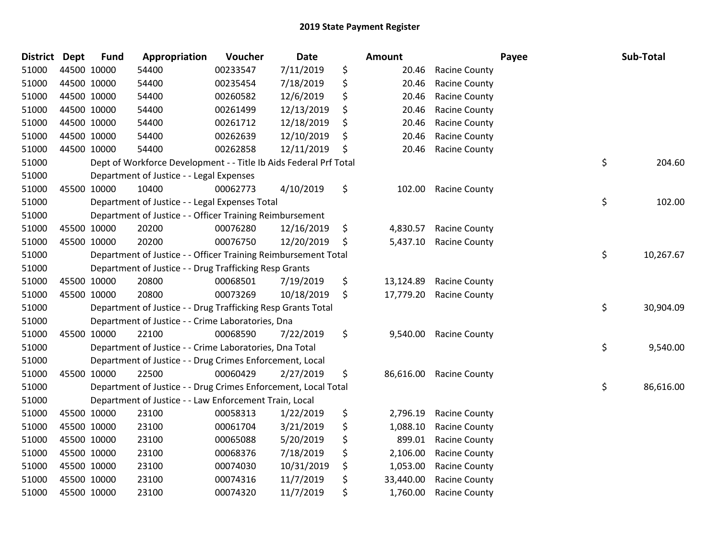| <b>District</b> | <b>Dept</b> | <b>Fund</b> | Appropriation                                                     | Voucher  | Date       | <b>Amount</b>   |                      | Payee | Sub-Total |           |
|-----------------|-------------|-------------|-------------------------------------------------------------------|----------|------------|-----------------|----------------------|-------|-----------|-----------|
| 51000           | 44500 10000 |             | 54400                                                             | 00233547 | 7/11/2019  | \$<br>20.46     | <b>Racine County</b> |       |           |           |
| 51000           | 44500 10000 |             | 54400                                                             | 00235454 | 7/18/2019  | \$<br>20.46     | <b>Racine County</b> |       |           |           |
| 51000           | 44500 10000 |             | 54400                                                             | 00260582 | 12/6/2019  | \$<br>20.46     | <b>Racine County</b> |       |           |           |
| 51000           | 44500 10000 |             | 54400                                                             | 00261499 | 12/13/2019 | \$<br>20.46     | <b>Racine County</b> |       |           |           |
| 51000           | 44500 10000 |             | 54400                                                             | 00261712 | 12/18/2019 | \$<br>20.46     | <b>Racine County</b> |       |           |           |
| 51000           | 44500 10000 |             | 54400                                                             | 00262639 | 12/10/2019 | \$<br>20.46     | <b>Racine County</b> |       |           |           |
| 51000           | 44500 10000 |             | 54400                                                             | 00262858 | 12/11/2019 | \$<br>20.46     | <b>Racine County</b> |       |           |           |
| 51000           |             |             | Dept of Workforce Development - - Title Ib Aids Federal Prf Total |          |            |                 |                      | \$    |           | 204.60    |
| 51000           |             |             | Department of Justice - - Legal Expenses                          |          |            |                 |                      |       |           |           |
| 51000           | 45500 10000 |             | 10400                                                             | 00062773 | 4/10/2019  | \$<br>102.00    | <b>Racine County</b> |       |           |           |
| 51000           |             |             | Department of Justice - - Legal Expenses Total                    |          |            |                 |                      | \$    |           | 102.00    |
| 51000           |             |             | Department of Justice - - Officer Training Reimbursement          |          |            |                 |                      |       |           |           |
| 51000           | 45500 10000 |             | 20200                                                             | 00076280 | 12/16/2019 | \$<br>4,830.57  | <b>Racine County</b> |       |           |           |
| 51000           | 45500 10000 |             | 20200                                                             | 00076750 | 12/20/2019 | \$<br>5,437.10  | <b>Racine County</b> |       |           |           |
| 51000           |             |             | Department of Justice - - Officer Training Reimbursement Total    |          |            |                 |                      | \$    |           | 10,267.67 |
| 51000           |             |             | Department of Justice - - Drug Trafficking Resp Grants            |          |            |                 |                      |       |           |           |
| 51000           | 45500 10000 |             | 20800                                                             | 00068501 | 7/19/2019  | \$<br>13,124.89 | <b>Racine County</b> |       |           |           |
| 51000           | 45500 10000 |             | 20800                                                             | 00073269 | 10/18/2019 | \$<br>17,779.20 | <b>Racine County</b> |       |           |           |
| 51000           |             |             | Department of Justice - - Drug Trafficking Resp Grants Total      |          |            |                 |                      | \$    |           | 30,904.09 |
| 51000           |             |             | Department of Justice - - Crime Laboratories, Dna                 |          |            |                 |                      |       |           |           |
| 51000           | 45500 10000 |             | 22100                                                             | 00068590 | 7/22/2019  | \$<br>9,540.00  | <b>Racine County</b> |       |           |           |
| 51000           |             |             | Department of Justice - - Crime Laboratories, Dna Total           |          |            |                 |                      | \$    |           | 9,540.00  |
| 51000           |             |             | Department of Justice - - Drug Crimes Enforcement, Local          |          |            |                 |                      |       |           |           |
| 51000           | 45500 10000 |             | 22500                                                             | 00060429 | 2/27/2019  | \$<br>86,616.00 | <b>Racine County</b> |       |           |           |
| 51000           |             |             | Department of Justice - - Drug Crimes Enforcement, Local Total    |          |            |                 |                      | \$    |           | 86,616.00 |
| 51000           |             |             | Department of Justice - - Law Enforcement Train, Local            |          |            |                 |                      |       |           |           |
| 51000           | 45500 10000 |             | 23100                                                             | 00058313 | 1/22/2019  | \$<br>2,796.19  | <b>Racine County</b> |       |           |           |
| 51000           | 45500 10000 |             | 23100                                                             | 00061704 | 3/21/2019  | \$<br>1,088.10  | <b>Racine County</b> |       |           |           |
| 51000           | 45500 10000 |             | 23100                                                             | 00065088 | 5/20/2019  | \$<br>899.01    | <b>Racine County</b> |       |           |           |
| 51000           | 45500 10000 |             | 23100                                                             | 00068376 | 7/18/2019  | \$<br>2,106.00  | <b>Racine County</b> |       |           |           |
| 51000           | 45500 10000 |             | 23100                                                             | 00074030 | 10/31/2019 | \$<br>1,053.00  | <b>Racine County</b> |       |           |           |
| 51000           | 45500 10000 |             | 23100                                                             | 00074316 | 11/7/2019  | \$<br>33,440.00 | Racine County        |       |           |           |
| 51000           | 45500 10000 |             | 23100                                                             | 00074320 | 11/7/2019  | \$<br>1,760.00  | <b>Racine County</b> |       |           |           |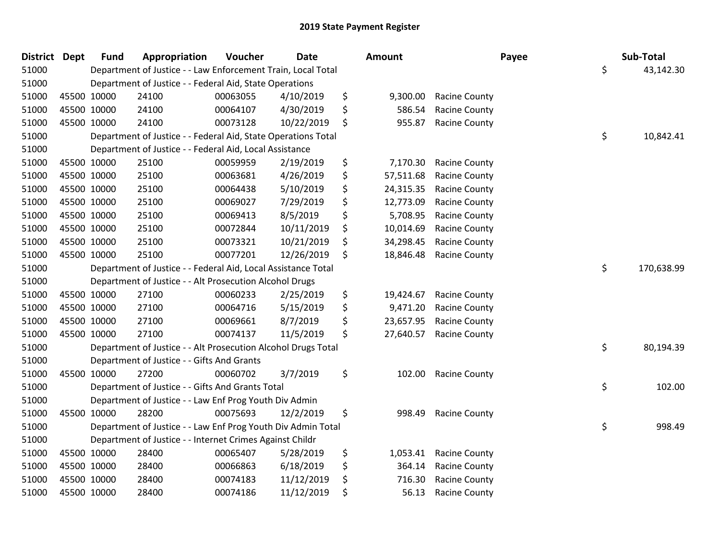| <b>District Dept</b> |             | <b>Fund</b> | Appropriation                                                 | Voucher  | <b>Date</b> | Amount          |                      | Payee | Sub-Total  |
|----------------------|-------------|-------------|---------------------------------------------------------------|----------|-------------|-----------------|----------------------|-------|------------|
| 51000                |             |             | Department of Justice - - Law Enforcement Train, Local Total  |          |             |                 |                      | \$    | 43,142.30  |
| 51000                |             |             | Department of Justice - - Federal Aid, State Operations       |          |             |                 |                      |       |            |
| 51000                | 45500 10000 |             | 24100                                                         | 00063055 | 4/10/2019   | \$<br>9,300.00  | <b>Racine County</b> |       |            |
| 51000                | 45500 10000 |             | 24100                                                         | 00064107 | 4/30/2019   | \$<br>586.54    | <b>Racine County</b> |       |            |
| 51000                | 45500 10000 |             | 24100                                                         | 00073128 | 10/22/2019  | \$<br>955.87    | <b>Racine County</b> |       |            |
| 51000                |             |             | Department of Justice - - Federal Aid, State Operations Total |          |             |                 |                      | \$    | 10,842.41  |
| 51000                |             |             | Department of Justice - - Federal Aid, Local Assistance       |          |             |                 |                      |       |            |
| 51000                | 45500 10000 |             | 25100                                                         | 00059959 | 2/19/2019   | \$<br>7,170.30  | <b>Racine County</b> |       |            |
| 51000                | 45500 10000 |             | 25100                                                         | 00063681 | 4/26/2019   | \$<br>57,511.68 | <b>Racine County</b> |       |            |
| 51000                | 45500 10000 |             | 25100                                                         | 00064438 | 5/10/2019   | \$<br>24,315.35 | <b>Racine County</b> |       |            |
| 51000                | 45500 10000 |             | 25100                                                         | 00069027 | 7/29/2019   | \$<br>12,773.09 | <b>Racine County</b> |       |            |
| 51000                | 45500 10000 |             | 25100                                                         | 00069413 | 8/5/2019    | \$<br>5,708.95  | Racine County        |       |            |
| 51000                | 45500 10000 |             | 25100                                                         | 00072844 | 10/11/2019  | \$<br>10,014.69 | <b>Racine County</b> |       |            |
| 51000                | 45500 10000 |             | 25100                                                         | 00073321 | 10/21/2019  | \$<br>34,298.45 | Racine County        |       |            |
| 51000                | 45500 10000 |             | 25100                                                         | 00077201 | 12/26/2019  | \$<br>18,846.48 | <b>Racine County</b> |       |            |
| 51000                |             |             | Department of Justice - - Federal Aid, Local Assistance Total |          |             |                 |                      | \$    | 170,638.99 |
| 51000                |             |             | Department of Justice - - Alt Prosecution Alcohol Drugs       |          |             |                 |                      |       |            |
| 51000                | 45500 10000 |             | 27100                                                         | 00060233 | 2/25/2019   | \$<br>19,424.67 | <b>Racine County</b> |       |            |
| 51000                | 45500 10000 |             | 27100                                                         | 00064716 | 5/15/2019   | \$<br>9,471.20  | Racine County        |       |            |
| 51000                | 45500 10000 |             | 27100                                                         | 00069661 | 8/7/2019    | \$<br>23,657.95 | Racine County        |       |            |
| 51000                | 45500 10000 |             | 27100                                                         | 00074137 | 11/5/2019   | \$<br>27,640.57 | <b>Racine County</b> |       |            |
| 51000                |             |             | Department of Justice - - Alt Prosecution Alcohol Drugs Total |          |             |                 |                      | \$    | 80,194.39  |
| 51000                |             |             | Department of Justice - - Gifts And Grants                    |          |             |                 |                      |       |            |
| 51000                | 45500 10000 |             | 27200                                                         | 00060702 | 3/7/2019    | \$<br>102.00    | <b>Racine County</b> |       |            |
| 51000                |             |             | Department of Justice - - Gifts And Grants Total              |          |             |                 |                      | \$    | 102.00     |
| 51000                |             |             | Department of Justice - - Law Enf Prog Youth Div Admin        |          |             |                 |                      |       |            |
| 51000                | 45500 10000 |             | 28200                                                         | 00075693 | 12/2/2019   | \$<br>998.49    | <b>Racine County</b> |       |            |
| 51000                |             |             | Department of Justice - - Law Enf Prog Youth Div Admin Total  |          |             |                 |                      | \$    | 998.49     |
| 51000                |             |             | Department of Justice - - Internet Crimes Against Childr      |          |             |                 |                      |       |            |
| 51000                | 45500 10000 |             | 28400                                                         | 00065407 | 5/28/2019   | \$<br>1,053.41  | <b>Racine County</b> |       |            |
| 51000                | 45500 10000 |             | 28400                                                         | 00066863 | 6/18/2019   | \$<br>364.14    | Racine County        |       |            |
| 51000                | 45500 10000 |             | 28400                                                         | 00074183 | 11/12/2019  | \$<br>716.30    | <b>Racine County</b> |       |            |
| 51000                | 45500 10000 |             | 28400                                                         | 00074186 | 11/12/2019  | \$<br>56.13     | <b>Racine County</b> |       |            |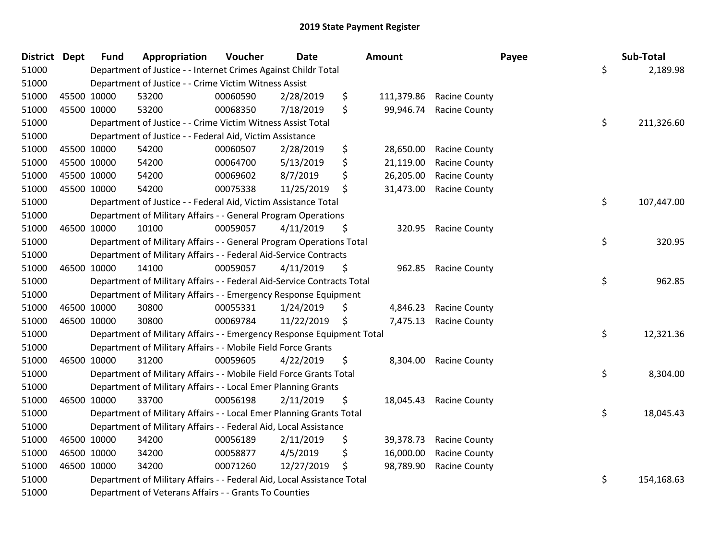| District | <b>Dept</b> | <b>Fund</b> | Appropriation                                                          | Voucher  | <b>Date</b> |     | <b>Amount</b> |                      | Payee | Sub-Total  |
|----------|-------------|-------------|------------------------------------------------------------------------|----------|-------------|-----|---------------|----------------------|-------|------------|
| 51000    |             |             | Department of Justice - - Internet Crimes Against Childr Total         |          |             |     |               |                      | \$    | 2,189.98   |
| 51000    |             |             | Department of Justice - - Crime Victim Witness Assist                  |          |             |     |               |                      |       |            |
| 51000    |             | 45500 10000 | 53200                                                                  | 00060590 | 2/28/2019   | \$  | 111,379.86    | <b>Racine County</b> |       |            |
| 51000    |             | 45500 10000 | 53200                                                                  | 00068350 | 7/18/2019   | \$  | 99,946.74     | <b>Racine County</b> |       |            |
| 51000    |             |             | Department of Justice - - Crime Victim Witness Assist Total            |          |             |     |               |                      | \$    | 211,326.60 |
| 51000    |             |             | Department of Justice - - Federal Aid, Victim Assistance               |          |             |     |               |                      |       |            |
| 51000    |             | 45500 10000 | 54200                                                                  | 00060507 | 2/28/2019   | \$  | 28,650.00     | <b>Racine County</b> |       |            |
| 51000    |             | 45500 10000 | 54200                                                                  | 00064700 | 5/13/2019   | \$  | 21,119.00     | <b>Racine County</b> |       |            |
| 51000    |             | 45500 10000 | 54200                                                                  | 00069602 | 8/7/2019    | \$  | 26,205.00     | <b>Racine County</b> |       |            |
| 51000    |             | 45500 10000 | 54200                                                                  | 00075338 | 11/25/2019  | \$  | 31,473.00     | <b>Racine County</b> |       |            |
| 51000    |             |             | Department of Justice - - Federal Aid, Victim Assistance Total         |          |             |     |               |                      | \$    | 107,447.00 |
| 51000    |             |             | Department of Military Affairs - - General Program Operations          |          |             |     |               |                      |       |            |
| 51000    |             | 46500 10000 | 10100                                                                  | 00059057 | 4/11/2019   | \$  | 320.95        | <b>Racine County</b> |       |            |
| 51000    |             |             | Department of Military Affairs - - General Program Operations Total    |          |             |     |               |                      | \$    | 320.95     |
| 51000    |             |             | Department of Military Affairs - - Federal Aid-Service Contracts       |          |             |     |               |                      |       |            |
| 51000    |             | 46500 10000 | 14100                                                                  | 00059057 | 4/11/2019   | \$  | 962.85        | <b>Racine County</b> |       |            |
| 51000    |             |             | Department of Military Affairs - - Federal Aid-Service Contracts Total |          |             |     |               |                      | \$    | 962.85     |
| 51000    |             |             | Department of Military Affairs - - Emergency Response Equipment        |          |             |     |               |                      |       |            |
| 51000    |             | 46500 10000 | 30800                                                                  | 00055331 | 1/24/2019   | \$  | 4,846.23      | <b>Racine County</b> |       |            |
| 51000    |             | 46500 10000 | 30800                                                                  | 00069784 | 11/22/2019  | \$. | 7,475.13      | <b>Racine County</b> |       |            |
| 51000    |             |             | Department of Military Affairs - - Emergency Response Equipment Total  |          |             |     |               |                      | \$    | 12,321.36  |
| 51000    |             |             | Department of Military Affairs - - Mobile Field Force Grants           |          |             |     |               |                      |       |            |
| 51000    |             | 46500 10000 | 31200                                                                  | 00059605 | 4/22/2019   | \$  | 8,304.00      | <b>Racine County</b> |       |            |
| 51000    |             |             | Department of Military Affairs - - Mobile Field Force Grants Total     |          |             |     |               |                      | \$    | 8,304.00   |
| 51000    |             |             | Department of Military Affairs - - Local Emer Planning Grants          |          |             |     |               |                      |       |            |
| 51000    |             | 46500 10000 | 33700                                                                  | 00056198 | 2/11/2019   | \$  | 18,045.43     | <b>Racine County</b> |       |            |
| 51000    |             |             | Department of Military Affairs - - Local Emer Planning Grants Total    |          |             |     |               |                      | \$    | 18,045.43  |
| 51000    |             |             | Department of Military Affairs - - Federal Aid, Local Assistance       |          |             |     |               |                      |       |            |
| 51000    |             | 46500 10000 | 34200                                                                  | 00056189 | 2/11/2019   | \$  | 39,378.73     | <b>Racine County</b> |       |            |
| 51000    |             | 46500 10000 | 34200                                                                  | 00058877 | 4/5/2019    | \$  | 16,000.00     | <b>Racine County</b> |       |            |
| 51000    |             | 46500 10000 | 34200                                                                  | 00071260 | 12/27/2019  | \$  | 98,789.90     | <b>Racine County</b> |       |            |
| 51000    |             |             | Department of Military Affairs - - Federal Aid, Local Assistance Total |          |             |     |               |                      | \$    | 154,168.63 |
| 51000    |             |             | Department of Veterans Affairs - - Grants To Counties                  |          |             |     |               |                      |       |            |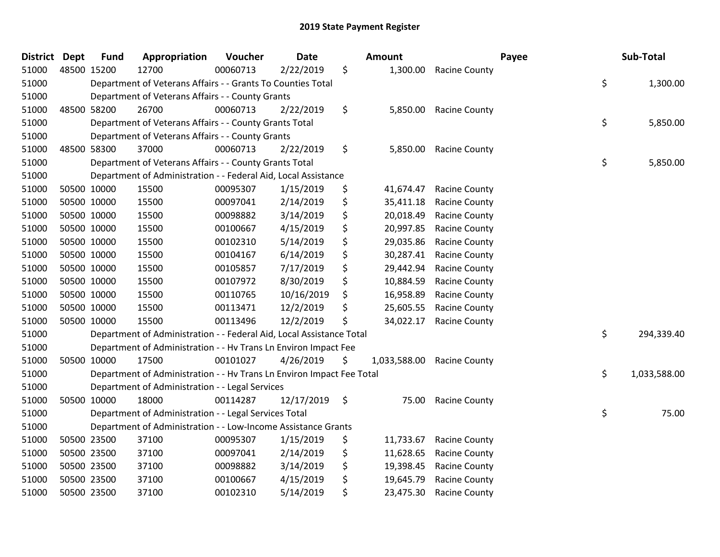| <b>District</b> | Dept | <b>Fund</b> | Appropriation                                                         | Voucher  | <b>Date</b> | Amount             |                      | Payee | Sub-Total    |
|-----------------|------|-------------|-----------------------------------------------------------------------|----------|-------------|--------------------|----------------------|-------|--------------|
| 51000           |      | 48500 15200 | 12700                                                                 | 00060713 | 2/22/2019   | \$<br>1,300.00     | <b>Racine County</b> |       |              |
| 51000           |      |             | Department of Veterans Affairs - - Grants To Counties Total           |          |             |                    |                      | \$    | 1,300.00     |
| 51000           |      |             | Department of Veterans Affairs - - County Grants                      |          |             |                    |                      |       |              |
| 51000           |      | 48500 58200 | 26700                                                                 | 00060713 | 2/22/2019   | \$<br>5,850.00     | <b>Racine County</b> |       |              |
| 51000           |      |             | Department of Veterans Affairs - - County Grants Total                |          |             |                    |                      | \$    | 5,850.00     |
| 51000           |      |             | Department of Veterans Affairs - - County Grants                      |          |             |                    |                      |       |              |
| 51000           |      | 48500 58300 | 37000                                                                 | 00060713 | 2/22/2019   | \$<br>5,850.00     | <b>Racine County</b> |       |              |
| 51000           |      |             | Department of Veterans Affairs - - County Grants Total                |          |             |                    |                      | \$    | 5,850.00     |
| 51000           |      |             | Department of Administration - - Federal Aid, Local Assistance        |          |             |                    |                      |       |              |
| 51000           |      | 50500 10000 | 15500                                                                 | 00095307 | 1/15/2019   | \$<br>41,674.47    | <b>Racine County</b> |       |              |
| 51000           |      | 50500 10000 | 15500                                                                 | 00097041 | 2/14/2019   | \$<br>35,411.18    | <b>Racine County</b> |       |              |
| 51000           |      | 50500 10000 | 15500                                                                 | 00098882 | 3/14/2019   | \$<br>20,018.49    | <b>Racine County</b> |       |              |
| 51000           |      | 50500 10000 | 15500                                                                 | 00100667 | 4/15/2019   | \$<br>20,997.85    | <b>Racine County</b> |       |              |
| 51000           |      | 50500 10000 | 15500                                                                 | 00102310 | 5/14/2019   | \$<br>29,035.86    | <b>Racine County</b> |       |              |
| 51000           |      | 50500 10000 | 15500                                                                 | 00104167 | 6/14/2019   | \$<br>30,287.41    | Racine County        |       |              |
| 51000           |      | 50500 10000 | 15500                                                                 | 00105857 | 7/17/2019   | \$<br>29,442.94    | <b>Racine County</b> |       |              |
| 51000           |      | 50500 10000 | 15500                                                                 | 00107972 | 8/30/2019   | \$<br>10,884.59    | Racine County        |       |              |
| 51000           |      | 50500 10000 | 15500                                                                 | 00110765 | 10/16/2019  | \$<br>16,958.89    | Racine County        |       |              |
| 51000           |      | 50500 10000 | 15500                                                                 | 00113471 | 12/2/2019   | \$<br>25,605.55    | <b>Racine County</b> |       |              |
| 51000           |      | 50500 10000 | 15500                                                                 | 00113496 | 12/2/2019   | \$<br>34,022.17    | <b>Racine County</b> |       |              |
| 51000           |      |             | Department of Administration - - Federal Aid, Local Assistance Total  |          |             |                    |                      | \$    | 294,339.40   |
| 51000           |      |             | Department of Administration - - Hv Trans Ln Environ Impact Fee       |          |             |                    |                      |       |              |
| 51000           |      | 50500 10000 | 17500                                                                 | 00101027 | 4/26/2019   | \$<br>1,033,588.00 | <b>Racine County</b> |       |              |
| 51000           |      |             | Department of Administration - - Hv Trans Ln Environ Impact Fee Total |          |             |                    |                      | \$    | 1,033,588.00 |
| 51000           |      |             | Department of Administration - - Legal Services                       |          |             |                    |                      |       |              |
| 51000           |      | 50500 10000 | 18000                                                                 | 00114287 | 12/17/2019  | \$<br>75.00        | <b>Racine County</b> |       |              |
| 51000           |      |             | Department of Administration - - Legal Services Total                 |          |             |                    |                      | \$    | 75.00        |
| 51000           |      |             | Department of Administration - - Low-Income Assistance Grants         |          |             |                    |                      |       |              |
| 51000           |      | 50500 23500 | 37100                                                                 | 00095307 | 1/15/2019   | \$<br>11,733.67    | <b>Racine County</b> |       |              |
| 51000           |      | 50500 23500 | 37100                                                                 | 00097041 | 2/14/2019   | \$<br>11,628.65    | <b>Racine County</b> |       |              |
| 51000           |      | 50500 23500 | 37100                                                                 | 00098882 | 3/14/2019   | \$<br>19,398.45    | <b>Racine County</b> |       |              |
| 51000           |      | 50500 23500 | 37100                                                                 | 00100667 | 4/15/2019   | \$<br>19,645.79    | <b>Racine County</b> |       |              |
| 51000           |      | 50500 23500 | 37100                                                                 | 00102310 | 5/14/2019   | \$<br>23,475.30    | <b>Racine County</b> |       |              |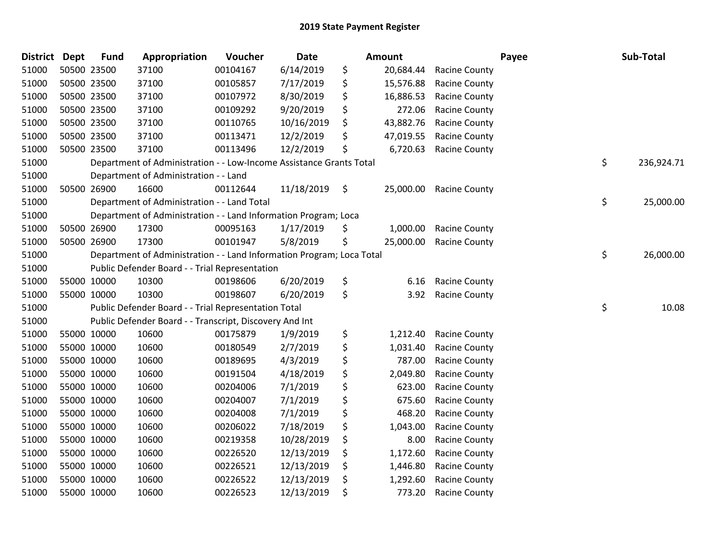| <b>District</b> | <b>Dept</b> | <b>Fund</b> | Appropriation                                                         | Voucher  | Date       |     | <b>Amount</b> |                      | Payee | Sub-Total        |
|-----------------|-------------|-------------|-----------------------------------------------------------------------|----------|------------|-----|---------------|----------------------|-------|------------------|
| 51000           | 50500 23500 |             | 37100                                                                 | 00104167 | 6/14/2019  | \$  | 20,684.44     | <b>Racine County</b> |       |                  |
| 51000           | 50500 23500 |             | 37100                                                                 | 00105857 | 7/17/2019  | \$  | 15,576.88     | <b>Racine County</b> |       |                  |
| 51000           | 50500 23500 |             | 37100                                                                 | 00107972 | 8/30/2019  | \$  | 16,886.53     | <b>Racine County</b> |       |                  |
| 51000           |             | 50500 23500 | 37100                                                                 | 00109292 | 9/20/2019  | \$  | 272.06        | <b>Racine County</b> |       |                  |
| 51000           | 50500 23500 |             | 37100                                                                 | 00110765 | 10/16/2019 | \$  | 43,882.76     | <b>Racine County</b> |       |                  |
| 51000           | 50500 23500 |             | 37100                                                                 | 00113471 | 12/2/2019  | \$  | 47,019.55     | <b>Racine County</b> |       |                  |
| 51000           |             | 50500 23500 | 37100                                                                 | 00113496 | 12/2/2019  | \$  | 6,720.63      | <b>Racine County</b> |       |                  |
| 51000           |             |             | Department of Administration - - Low-Income Assistance Grants Total   |          |            |     |               |                      |       | \$<br>236,924.71 |
| 51000           |             |             | Department of Administration - - Land                                 |          |            |     |               |                      |       |                  |
| 51000           |             | 50500 26900 | 16600                                                                 | 00112644 | 11/18/2019 | \$  | 25,000.00     | <b>Racine County</b> |       |                  |
| 51000           |             |             | Department of Administration - - Land Total                           |          |            |     |               |                      |       | \$<br>25,000.00  |
| 51000           |             |             | Department of Administration - - Land Information Program; Loca       |          |            |     |               |                      |       |                  |
| 51000           |             | 50500 26900 | 17300                                                                 | 00095163 | 1/17/2019  | \$  | 1,000.00      | <b>Racine County</b> |       |                  |
| 51000           |             | 50500 26900 | 17300                                                                 | 00101947 | 5/8/2019   | \$  | 25,000.00     | <b>Racine County</b> |       |                  |
| 51000           |             |             | Department of Administration - - Land Information Program; Loca Total |          |            |     |               |                      |       | \$<br>26,000.00  |
| 51000           |             |             | Public Defender Board - - Trial Representation                        |          |            |     |               |                      |       |                  |
| 51000           |             | 55000 10000 | 10300                                                                 | 00198606 | 6/20/2019  | \$  | 6.16          | <b>Racine County</b> |       |                  |
| 51000           |             | 55000 10000 | 10300                                                                 | 00198607 | 6/20/2019  | \$  | 3.92          | <b>Racine County</b> |       |                  |
| 51000           |             |             | Public Defender Board - - Trial Representation Total                  |          |            |     |               |                      |       | \$<br>10.08      |
| 51000           |             |             | Public Defender Board - - Transcript, Discovery And Int               |          |            |     |               |                      |       |                  |
| 51000           |             | 55000 10000 | 10600                                                                 | 00175879 | 1/9/2019   | \$  | 1,212.40      | <b>Racine County</b> |       |                  |
| 51000           |             | 55000 10000 | 10600                                                                 | 00180549 | 2/7/2019   | \$  | 1,031.40      | Racine County        |       |                  |
| 51000           | 55000 10000 |             | 10600                                                                 | 00189695 | 4/3/2019   | \$  | 787.00        | <b>Racine County</b> |       |                  |
| 51000           |             | 55000 10000 | 10600                                                                 | 00191504 | 4/18/2019  | \$  | 2,049.80      | <b>Racine County</b> |       |                  |
| 51000           |             | 55000 10000 | 10600                                                                 | 00204006 | 7/1/2019   | \$  | 623.00        | <b>Racine County</b> |       |                  |
| 51000           | 55000 10000 |             | 10600                                                                 | 00204007 | 7/1/2019   | \$  | 675.60        | <b>Racine County</b> |       |                  |
| 51000           | 55000 10000 |             | 10600                                                                 | 00204008 | 7/1/2019   | \$  | 468.20        | <b>Racine County</b> |       |                  |
| 51000           | 55000 10000 |             | 10600                                                                 | 00206022 | 7/18/2019  | \$  | 1,043.00      | <b>Racine County</b> |       |                  |
| 51000           |             | 55000 10000 | 10600                                                                 | 00219358 | 10/28/2019 | \$  | 8.00          | <b>Racine County</b> |       |                  |
| 51000           | 55000 10000 |             | 10600                                                                 | 00226520 | 12/13/2019 | \$  | 1,172.60      | Racine County        |       |                  |
| 51000           | 55000 10000 |             | 10600                                                                 | 00226521 | 12/13/2019 | \$. | 1,446.80      | <b>Racine County</b> |       |                  |
| 51000           |             | 55000 10000 | 10600                                                                 | 00226522 | 12/13/2019 | \$  | 1,292.60      | <b>Racine County</b> |       |                  |
| 51000           | 55000 10000 |             | 10600                                                                 | 00226523 | 12/13/2019 | \$  | 773.20        | <b>Racine County</b> |       |                  |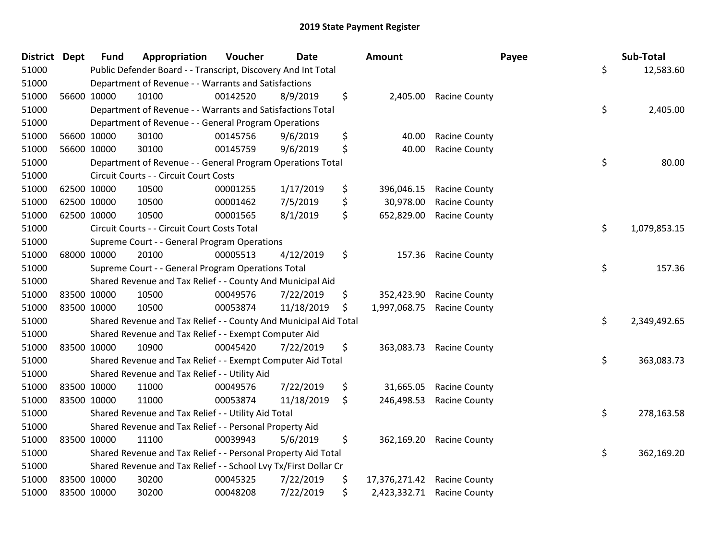| <b>District Dept</b> |             | <b>Fund</b> | Appropriation                                                    | Voucher  | <b>Date</b> | Amount              |                            | Payee | Sub-Total    |
|----------------------|-------------|-------------|------------------------------------------------------------------|----------|-------------|---------------------|----------------------------|-------|--------------|
| 51000                |             |             | Public Defender Board - - Transcript, Discovery And Int Total    |          |             |                     |                            | \$    | 12,583.60    |
| 51000                |             |             | Department of Revenue - - Warrants and Satisfactions             |          |             |                     |                            |       |              |
| 51000                | 56600 10000 |             | 10100                                                            | 00142520 | 8/9/2019    | \$                  | 2,405.00 Racine County     |       |              |
| 51000                |             |             | Department of Revenue - - Warrants and Satisfactions Total       |          |             |                     |                            | \$    | 2,405.00     |
| 51000                |             |             | Department of Revenue - - General Program Operations             |          |             |                     |                            |       |              |
| 51000                | 56600 10000 |             | 30100                                                            | 00145756 | 9/6/2019    | \$<br>40.00         | <b>Racine County</b>       |       |              |
| 51000                | 56600 10000 |             | 30100                                                            | 00145759 | 9/6/2019    | \$<br>40.00         | <b>Racine County</b>       |       |              |
| 51000                |             |             | Department of Revenue - - General Program Operations Total       |          |             |                     |                            | \$    | 80.00        |
| 51000                |             |             | Circuit Courts - - Circuit Court Costs                           |          |             |                     |                            |       |              |
| 51000                | 62500 10000 |             | 10500                                                            | 00001255 | 1/17/2019   | \$<br>396,046.15    | <b>Racine County</b>       |       |              |
| 51000                | 62500 10000 |             | 10500                                                            | 00001462 | 7/5/2019    | \$<br>30,978.00     | <b>Racine County</b>       |       |              |
| 51000                | 62500 10000 |             | 10500                                                            | 00001565 | 8/1/2019    | \$<br>652,829.00    | <b>Racine County</b>       |       |              |
| 51000                |             |             | Circuit Courts - - Circuit Court Costs Total                     |          |             |                     |                            | \$    | 1,079,853.15 |
| 51000                |             |             | Supreme Court - - General Program Operations                     |          |             |                     |                            |       |              |
| 51000                | 68000 10000 |             | 20100                                                            | 00005513 | 4/12/2019   | \$<br>157.36        | <b>Racine County</b>       |       |              |
| 51000                |             |             | Supreme Court - - General Program Operations Total               |          |             |                     |                            | \$    | 157.36       |
| 51000                |             |             | Shared Revenue and Tax Relief - - County And Municipal Aid       |          |             |                     |                            |       |              |
| 51000                | 83500 10000 |             | 10500                                                            | 00049576 | 7/22/2019   | \$<br>352,423.90    | <b>Racine County</b>       |       |              |
| 51000                | 83500 10000 |             | 10500                                                            | 00053874 | 11/18/2019  | \$<br>1,997,068.75  | <b>Racine County</b>       |       |              |
| 51000                |             |             | Shared Revenue and Tax Relief - - County And Municipal Aid Total |          |             |                     |                            | \$    | 2,349,492.65 |
| 51000                |             |             | Shared Revenue and Tax Relief - - Exempt Computer Aid            |          |             |                     |                            |       |              |
| 51000                | 83500 10000 |             | 10900                                                            | 00045420 | 7/22/2019   | \$                  | 363,083.73 Racine County   |       |              |
| 51000                |             |             | Shared Revenue and Tax Relief - - Exempt Computer Aid Total      |          |             |                     |                            | \$    | 363,083.73   |
| 51000                |             |             | Shared Revenue and Tax Relief - - Utility Aid                    |          |             |                     |                            |       |              |
| 51000                | 83500 10000 |             | 11000                                                            | 00049576 | 7/22/2019   | \$<br>31,665.05     | <b>Racine County</b>       |       |              |
| 51000                | 83500 10000 |             | 11000                                                            | 00053874 | 11/18/2019  | \$<br>246,498.53    | <b>Racine County</b>       |       |              |
| 51000                |             |             | Shared Revenue and Tax Relief - - Utility Aid Total              |          |             |                     |                            | \$    | 278,163.58   |
| 51000                |             |             | Shared Revenue and Tax Relief - - Personal Property Aid          |          |             |                     |                            |       |              |
| 51000                | 83500 10000 |             | 11100                                                            | 00039943 | 5/6/2019    | \$                  | 362,169.20 Racine County   |       |              |
| 51000                |             |             | Shared Revenue and Tax Relief - - Personal Property Aid Total    |          |             |                     |                            | \$    | 362,169.20   |
| 51000                |             |             | Shared Revenue and Tax Relief - - School Lvy Tx/First Dollar Cr  |          |             |                     |                            |       |              |
| 51000                | 83500 10000 |             | 30200                                                            | 00045325 | 7/22/2019   | \$<br>17,376,271.42 | <b>Racine County</b>       |       |              |
| 51000                | 83500 10000 |             | 30200                                                            | 00048208 | 7/22/2019   | \$                  | 2,423,332.71 Racine County |       |              |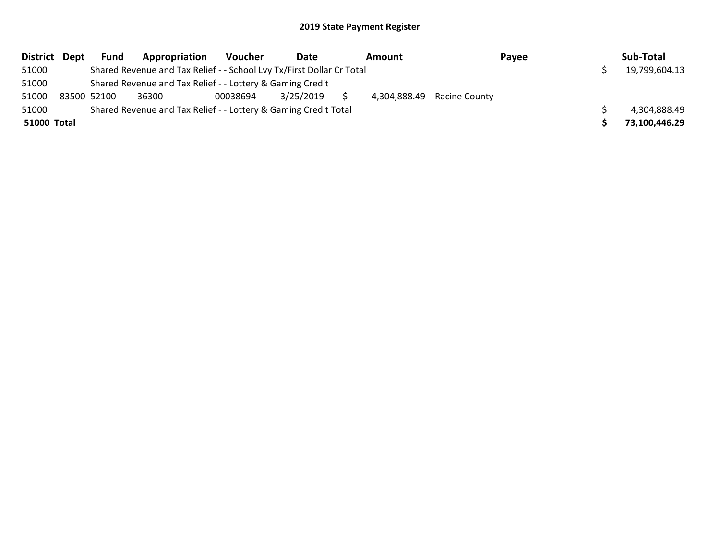| District Dept |             | Fund | Appropriation                                                         | <b>Voucher</b> | Date      | Amount |                            | Payee | Sub-Total     |
|---------------|-------------|------|-----------------------------------------------------------------------|----------------|-----------|--------|----------------------------|-------|---------------|
| 51000         |             |      | Shared Revenue and Tax Relief - - School Lvy Tx/First Dollar Cr Total |                |           |        |                            |       | 19,799,604.13 |
| 51000         |             |      | Shared Revenue and Tax Relief - - Lottery & Gaming Credit             |                |           |        |                            |       |               |
| 51000         | 83500 52100 |      | 36300                                                                 | 00038694       | 3/25/2019 |        | 4,304,888.49 Racine County |       |               |
| 51000         |             |      | Shared Revenue and Tax Relief - - Lottery & Gaming Credit Total       |                |           |        |                            |       | 4,304,888.49  |
| 51000 Total   |             |      |                                                                       |                |           |        |                            |       | 73,100,446.29 |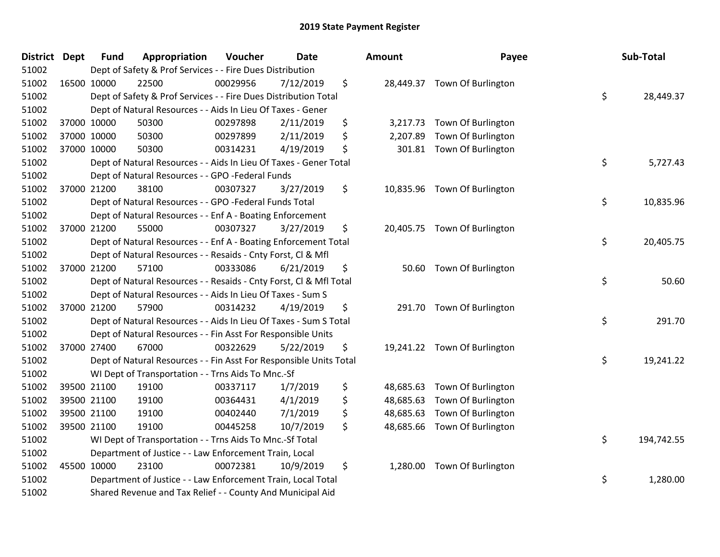| District Dept | <b>Fund</b> | Appropriation                                                      | Voucher  | <b>Date</b> | Amount          | Payee                        | Sub-Total        |
|---------------|-------------|--------------------------------------------------------------------|----------|-------------|-----------------|------------------------------|------------------|
| 51002         |             | Dept of Safety & Prof Services - - Fire Dues Distribution          |          |             |                 |                              |                  |
| 51002         | 16500 10000 | 22500                                                              | 00029956 | 7/12/2019   | \$              | 28,449.37 Town Of Burlington |                  |
| 51002         |             | Dept of Safety & Prof Services - - Fire Dues Distribution Total    |          |             |                 |                              | \$<br>28,449.37  |
| 51002         |             | Dept of Natural Resources - - Aids In Lieu Of Taxes - Gener        |          |             |                 |                              |                  |
| 51002         | 37000 10000 | 50300                                                              | 00297898 | 2/11/2019   | \$<br>3,217.73  | Town Of Burlington           |                  |
| 51002         | 37000 10000 | 50300                                                              | 00297899 | 2/11/2019   | \$<br>2,207.89  | Town Of Burlington           |                  |
| 51002         | 37000 10000 | 50300                                                              | 00314231 | 4/19/2019   | \$<br>301.81    | Town Of Burlington           |                  |
| 51002         |             | Dept of Natural Resources - - Aids In Lieu Of Taxes - Gener Total  |          |             |                 |                              | \$<br>5,727.43   |
| 51002         |             | Dept of Natural Resources - - GPO -Federal Funds                   |          |             |                 |                              |                  |
| 51002         | 37000 21200 | 38100                                                              | 00307327 | 3/27/2019   | \$              | 10,835.96 Town Of Burlington |                  |
| 51002         |             | Dept of Natural Resources - - GPO -Federal Funds Total             |          |             |                 |                              | \$<br>10,835.96  |
| 51002         |             | Dept of Natural Resources - - Enf A - Boating Enforcement          |          |             |                 |                              |                  |
| 51002         | 37000 21200 | 55000                                                              | 00307327 | 3/27/2019   | \$              | 20,405.75 Town Of Burlington |                  |
| 51002         |             | Dept of Natural Resources - - Enf A - Boating Enforcement Total    |          |             |                 |                              | \$<br>20,405.75  |
| 51002         |             | Dept of Natural Resources - - Resaids - Cnty Forst, Cl & Mfl       |          |             |                 |                              |                  |
| 51002         | 37000 21200 | 57100                                                              | 00333086 | 6/21/2019   | \$<br>50.60     | Town Of Burlington           |                  |
| 51002         |             | Dept of Natural Resources - - Resaids - Cnty Forst, Cl & Mfl Total |          |             |                 |                              | \$<br>50.60      |
| 51002         |             | Dept of Natural Resources - - Aids In Lieu Of Taxes - Sum S        |          |             |                 |                              |                  |
| 51002         | 37000 21200 | 57900                                                              | 00314232 | 4/19/2019   | \$              | 291.70 Town Of Burlington    |                  |
| 51002         |             | Dept of Natural Resources - - Aids In Lieu Of Taxes - Sum S Total  |          |             |                 |                              | \$<br>291.70     |
| 51002         |             | Dept of Natural Resources - - Fin Asst For Responsible Units       |          |             |                 |                              |                  |
| 51002         | 37000 27400 | 67000                                                              | 00322629 | 5/22/2019   | \$              | 19,241.22 Town Of Burlington |                  |
| 51002         |             | Dept of Natural Resources - - Fin Asst For Responsible Units Total |          |             |                 |                              | \$<br>19,241.22  |
| 51002         |             | WI Dept of Transportation - - Trns Aids To Mnc.-Sf                 |          |             |                 |                              |                  |
| 51002         | 39500 21100 | 19100                                                              | 00337117 | 1/7/2019    | \$<br>48,685.63 | Town Of Burlington           |                  |
| 51002         | 39500 21100 | 19100                                                              | 00364431 | 4/1/2019    | \$<br>48,685.63 | Town Of Burlington           |                  |
| 51002         | 39500 21100 | 19100                                                              | 00402440 | 7/1/2019    | \$<br>48,685.63 | Town Of Burlington           |                  |
| 51002         | 39500 21100 | 19100                                                              | 00445258 | 10/7/2019   | \$              | 48,685.66 Town Of Burlington |                  |
| 51002         |             | WI Dept of Transportation - - Trns Aids To Mnc.-Sf Total           |          |             |                 |                              | \$<br>194,742.55 |
| 51002         |             | Department of Justice - - Law Enforcement Train, Local             |          |             |                 |                              |                  |
| 51002         | 45500 10000 | 23100                                                              | 00072381 | 10/9/2019   | \$              | 1,280.00 Town Of Burlington  |                  |
| 51002         |             | Department of Justice - - Law Enforcement Train, Local Total       |          |             |                 |                              | \$<br>1,280.00   |
| 51002         |             | Shared Revenue and Tax Relief - - County And Municipal Aid         |          |             |                 |                              |                  |

| າounτ     | rayee              | Sup-Total        |
|-----------|--------------------|------------------|
| 28,449.37 | Town Of Burlington | \$<br>28,449.37  |
| 3,217.73  | Town Of Burlington |                  |
| 2,207.89  | Town Of Burlington |                  |
| 301.81    | Town Of Burlington |                  |
|           |                    | \$<br>5,727.43   |
| 10,835.96 | Town Of Burlington |                  |
|           |                    | \$<br>10,835.96  |
| 20,405.75 | Town Of Burlington |                  |
|           |                    | \$<br>20,405.75  |
|           |                    |                  |
| 50.60     | Town Of Burlington | \$<br>50.60      |
|           |                    |                  |
| 291.70    | Town Of Burlington |                  |
|           |                    | \$<br>291.70     |
| 19,241.22 | Town Of Burlington |                  |
|           |                    | \$<br>19,241.22  |
| 48,685.63 | Town Of Burlington |                  |
| 48,685.63 | Town Of Burlington |                  |
| 48,685.63 | Town Of Burlington |                  |
| 48,685.66 | Town Of Burlington |                  |
|           |                    | \$<br>194,742.55 |
| 1,280.00  | Town Of Burlington |                  |
|           |                    | \$<br>1,280.00   |
|           |                    |                  |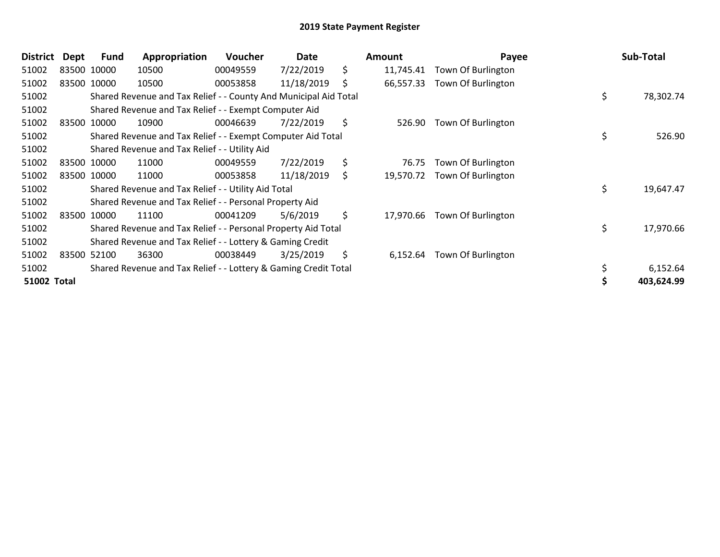| <b>District</b>    | Dept | Fund        | Appropriation                                                    | Voucher  | Date       | Amount          | Payee              | Sub-Total       |
|--------------------|------|-------------|------------------------------------------------------------------|----------|------------|-----------------|--------------------|-----------------|
| 51002              |      | 83500 10000 | 10500                                                            | 00049559 | 7/22/2019  | \$<br>11,745.41 | Town Of Burlington |                 |
| 51002              |      | 83500 10000 | 10500                                                            | 00053858 | 11/18/2019 | \$<br>66,557.33 | Town Of Burlington |                 |
| 51002              |      |             | Shared Revenue and Tax Relief - - County And Municipal Aid Total |          |            |                 |                    | \$<br>78,302.74 |
| 51002              |      |             | Shared Revenue and Tax Relief - - Exempt Computer Aid            |          |            |                 |                    |                 |
| 51002              |      | 83500 10000 | 10900                                                            | 00046639 | 7/22/2019  | \$<br>526.90    | Town Of Burlington |                 |
| 51002              |      |             | Shared Revenue and Tax Relief - - Exempt Computer Aid Total      |          |            |                 |                    | \$<br>526.90    |
| 51002              |      |             | Shared Revenue and Tax Relief - - Utility Aid                    |          |            |                 |                    |                 |
| 51002              |      | 83500 10000 | 11000                                                            | 00049559 | 7/22/2019  | \$<br>76.75     | Town Of Burlington |                 |
| 51002              |      | 83500 10000 | 11000                                                            | 00053858 | 11/18/2019 | \$<br>19,570.72 | Town Of Burlington |                 |
| 51002              |      |             | Shared Revenue and Tax Relief - - Utility Aid Total              |          |            |                 |                    | \$<br>19,647.47 |
| 51002              |      |             | Shared Revenue and Tax Relief - - Personal Property Aid          |          |            |                 |                    |                 |
| 51002              |      | 83500 10000 | 11100                                                            | 00041209 | 5/6/2019   | \$<br>17,970.66 | Town Of Burlington |                 |
| 51002              |      |             | Shared Revenue and Tax Relief - - Personal Property Aid Total    |          |            |                 |                    | \$<br>17,970.66 |
| 51002              |      |             | Shared Revenue and Tax Relief - - Lottery & Gaming Credit        |          |            |                 |                    |                 |
| 51002              |      | 83500 52100 | 36300                                                            | 00038449 | 3/25/2019  | \$<br>6,152.64  | Town Of Burlington |                 |
| 51002              |      |             | Shared Revenue and Tax Relief - - Lottery & Gaming Credit Total  |          |            |                 |                    | 6,152.64        |
| <b>51002 Total</b> |      |             |                                                                  |          |            |                 |                    | 403,624.99      |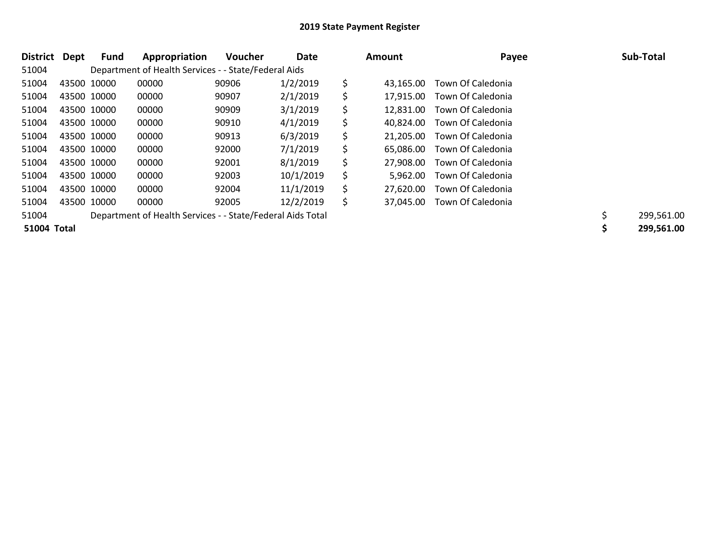| District    | Dept | Fund        | Appropriation                                              | <b>Voucher</b> | Date      | Amount          | Payee             | Sub-Total  |
|-------------|------|-------------|------------------------------------------------------------|----------------|-----------|-----------------|-------------------|------------|
| 51004       |      |             | Department of Health Services - - State/Federal Aids       |                |           |                 |                   |            |
| 51004       |      | 43500 10000 | 00000                                                      | 90906          | 1/2/2019  | \$<br>43.165.00 | Town Of Caledonia |            |
| 51004       |      | 43500 10000 | 00000                                                      | 90907          | 2/1/2019  | \$<br>17.915.00 | Town Of Caledonia |            |
| 51004       |      | 43500 10000 | 00000                                                      | 90909          | 3/1/2019  | \$<br>12,831.00 | Town Of Caledonia |            |
| 51004       |      | 43500 10000 | 00000                                                      | 90910          | 4/1/2019  | \$<br>40.824.00 | Town Of Caledonia |            |
| 51004       |      | 43500 10000 | 00000                                                      | 90913          | 6/3/2019  | \$<br>21.205.00 | Town Of Caledonia |            |
| 51004       |      | 43500 10000 | 00000                                                      | 92000          | 7/1/2019  | \$<br>65.086.00 | Town Of Caledonia |            |
| 51004       |      | 43500 10000 | 00000                                                      | 92001          | 8/1/2019  | \$<br>27.908.00 | Town Of Caledonia |            |
| 51004       |      | 43500 10000 | 00000                                                      | 92003          | 10/1/2019 | \$<br>5.962.00  | Town Of Caledonia |            |
| 51004       |      | 43500 10000 | 00000                                                      | 92004          | 11/1/2019 | \$<br>27.620.00 | Town Of Caledonia |            |
| 51004       |      | 43500 10000 | 00000                                                      | 92005          | 12/2/2019 | \$<br>37.045.00 | Town Of Caledonia |            |
| 51004       |      |             | Department of Health Services - - State/Federal Aids Total |                |           |                 |                   | 299,561.00 |
| 51004 Total |      |             |                                                            |                |           |                 |                   | 299,561.00 |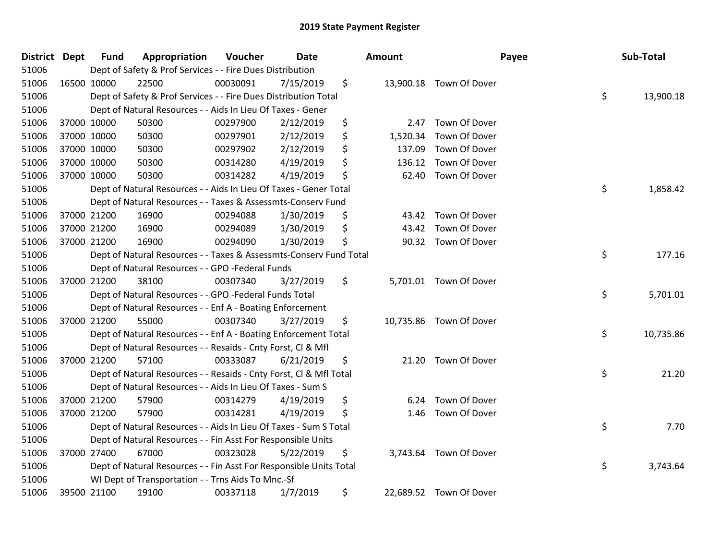| <b>District</b> | <b>Dept</b> | <b>Fund</b> | Appropriation                                                      | Voucher  | <b>Date</b> | <b>Amount</b>  |                         | Payee | Sub-Total |
|-----------------|-------------|-------------|--------------------------------------------------------------------|----------|-------------|----------------|-------------------------|-------|-----------|
| 51006           |             |             | Dept of Safety & Prof Services - - Fire Dues Distribution          |          |             |                |                         |       |           |
| 51006           | 16500 10000 |             | 22500                                                              | 00030091 | 7/15/2019   | \$             | 13,900.18 Town Of Dover |       |           |
| 51006           |             |             | Dept of Safety & Prof Services - - Fire Dues Distribution Total    |          |             |                |                         | \$    | 13,900.18 |
| 51006           |             |             | Dept of Natural Resources - - Aids In Lieu Of Taxes - Gener        |          |             |                |                         |       |           |
| 51006           | 37000 10000 |             | 50300                                                              | 00297900 | 2/12/2019   | \$<br>2.47     | Town Of Dover           |       |           |
| 51006           | 37000 10000 |             | 50300                                                              | 00297901 | 2/12/2019   | \$<br>1,520.34 | Town Of Dover           |       |           |
| 51006           | 37000 10000 |             | 50300                                                              | 00297902 | 2/12/2019   | \$<br>137.09   | Town Of Dover           |       |           |
| 51006           | 37000 10000 |             | 50300                                                              | 00314280 | 4/19/2019   | \$<br>136.12   | Town Of Dover           |       |           |
| 51006           | 37000 10000 |             | 50300                                                              | 00314282 | 4/19/2019   | \$<br>62.40    | Town Of Dover           |       |           |
| 51006           |             |             | Dept of Natural Resources - - Aids In Lieu Of Taxes - Gener Total  |          |             |                |                         | \$    | 1,858.42  |
| 51006           |             |             | Dept of Natural Resources - - Taxes & Assessmts-Conserv Fund       |          |             |                |                         |       |           |
| 51006           | 37000 21200 |             | 16900                                                              | 00294088 | 1/30/2019   | \$<br>43.42    | Town Of Dover           |       |           |
| 51006           | 37000 21200 |             | 16900                                                              | 00294089 | 1/30/2019   | \$<br>43.42    | Town Of Dover           |       |           |
| 51006           | 37000 21200 |             | 16900                                                              | 00294090 | 1/30/2019   | \$<br>90.32    | Town Of Dover           |       |           |
| 51006           |             |             | Dept of Natural Resources - - Taxes & Assessmts-Conserv Fund Total |          |             |                |                         | \$    | 177.16    |
| 51006           |             |             | Dept of Natural Resources - - GPO -Federal Funds                   |          |             |                |                         |       |           |
| 51006           |             | 37000 21200 | 38100                                                              | 00307340 | 3/27/2019   | \$             | 5,701.01 Town Of Dover  |       |           |
| 51006           |             |             | Dept of Natural Resources - - GPO -Federal Funds Total             |          |             |                |                         | \$    | 5,701.01  |
| 51006           |             |             | Dept of Natural Resources - - Enf A - Boating Enforcement          |          |             |                |                         |       |           |
| 51006           | 37000 21200 |             | 55000                                                              | 00307340 | 3/27/2019   | \$             | 10,735.86 Town Of Dover |       |           |
| 51006           |             |             | Dept of Natural Resources - - Enf A - Boating Enforcement Total    |          |             |                |                         | \$    | 10,735.86 |
| 51006           |             |             | Dept of Natural Resources - - Resaids - Cnty Forst, Cl & Mfl       |          |             |                |                         |       |           |
| 51006           | 37000 21200 |             | 57100                                                              | 00333087 | 6/21/2019   | \$<br>21.20    | Town Of Dover           |       |           |
| 51006           |             |             | Dept of Natural Resources - - Resaids - Cnty Forst, Cl & Mfl Total |          |             |                |                         | \$    | 21.20     |
| 51006           |             |             | Dept of Natural Resources - - Aids In Lieu Of Taxes - Sum S        |          |             |                |                         |       |           |
| 51006           |             | 37000 21200 | 57900                                                              | 00314279 | 4/19/2019   | \$<br>6.24     | Town Of Dover           |       |           |
| 51006           | 37000 21200 |             | 57900                                                              | 00314281 | 4/19/2019   | \$<br>1.46     | Town Of Dover           |       |           |
| 51006           |             |             | Dept of Natural Resources - - Aids In Lieu Of Taxes - Sum S Total  |          |             |                |                         | \$    | 7.70      |
| 51006           |             |             | Dept of Natural Resources - - Fin Asst For Responsible Units       |          |             |                |                         |       |           |
| 51006           | 37000 27400 |             | 67000                                                              | 00323028 | 5/22/2019   | \$<br>3,743.64 | Town Of Dover           |       |           |
| 51006           |             |             | Dept of Natural Resources - - Fin Asst For Responsible Units Total |          |             |                |                         | \$    | 3,743.64  |
| 51006           |             |             | WI Dept of Transportation - - Trns Aids To Mnc.-Sf                 |          |             |                |                         |       |           |
| 51006           |             | 39500 21100 | 19100                                                              | 00337118 | 1/7/2019    | \$             | 22,689.52 Town Of Dover |       |           |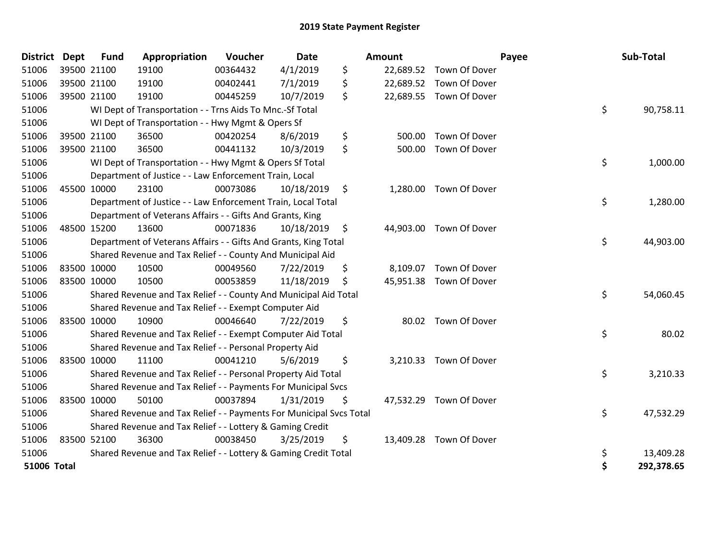| District Dept      |             | <b>Fund</b> | Appropriation                                                       | Voucher  | <b>Date</b> | Amount       |                         | Payee | Sub-Total  |
|--------------------|-------------|-------------|---------------------------------------------------------------------|----------|-------------|--------------|-------------------------|-------|------------|
| 51006              | 39500 21100 |             | 19100                                                               | 00364432 | 4/1/2019    | \$           | 22,689.52 Town Of Dover |       |            |
| 51006              |             | 39500 21100 | 19100                                                               | 00402441 | 7/1/2019    | \$           | 22,689.52 Town Of Dover |       |            |
| 51006              |             | 39500 21100 | 19100                                                               | 00445259 | 10/7/2019   | \$           | 22,689.55 Town Of Dover |       |            |
| 51006              |             |             | WI Dept of Transportation - - Trns Aids To Mnc.-Sf Total            |          |             |              |                         | \$    | 90,758.11  |
| 51006              |             |             | WI Dept of Transportation - - Hwy Mgmt & Opers Sf                   |          |             |              |                         |       |            |
| 51006              |             | 39500 21100 | 36500                                                               | 00420254 | 8/6/2019    | \$<br>500.00 | Town Of Dover           |       |            |
| 51006              |             | 39500 21100 | 36500                                                               | 00441132 | 10/3/2019   | \$<br>500.00 | Town Of Dover           |       |            |
| 51006              |             |             | WI Dept of Transportation - - Hwy Mgmt & Opers Sf Total             |          |             |              |                         | \$    | 1,000.00   |
| 51006              |             |             | Department of Justice - - Law Enforcement Train, Local              |          |             |              |                         |       |            |
| 51006              |             | 45500 10000 | 23100                                                               | 00073086 | 10/18/2019  | \$           | 1,280.00 Town Of Dover  |       |            |
| 51006              |             |             | Department of Justice - - Law Enforcement Train, Local Total        |          |             |              |                         | \$    | 1,280.00   |
| 51006              |             |             | Department of Veterans Affairs - - Gifts And Grants, King           |          |             |              |                         |       |            |
| 51006              |             | 48500 15200 | 13600                                                               | 00071836 | 10/18/2019  | \$           | 44,903.00 Town Of Dover |       |            |
| 51006              |             |             | Department of Veterans Affairs - - Gifts And Grants, King Total     |          |             |              |                         | \$    | 44,903.00  |
| 51006              |             |             | Shared Revenue and Tax Relief - - County And Municipal Aid          |          |             |              |                         |       |            |
| 51006              | 83500 10000 |             | 10500                                                               | 00049560 | 7/22/2019   | \$           | 8,109.07 Town Of Dover  |       |            |
| 51006              | 83500 10000 |             | 10500                                                               | 00053859 | 11/18/2019  | \$           | 45,951.38 Town Of Dover |       |            |
| 51006              |             |             | Shared Revenue and Tax Relief - - County And Municipal Aid Total    |          |             |              |                         | \$    | 54,060.45  |
| 51006              |             |             | Shared Revenue and Tax Relief - - Exempt Computer Aid               |          |             |              |                         |       |            |
| 51006              |             | 83500 10000 | 10900                                                               | 00046640 | 7/22/2019   | \$           | 80.02 Town Of Dover     |       |            |
| 51006              |             |             | Shared Revenue and Tax Relief - - Exempt Computer Aid Total         |          |             |              |                         | \$    | 80.02      |
| 51006              |             |             | Shared Revenue and Tax Relief - - Personal Property Aid             |          |             |              |                         |       |            |
| 51006              | 83500 10000 |             | 11100                                                               | 00041210 | 5/6/2019    | \$           | 3,210.33 Town Of Dover  |       |            |
| 51006              |             |             | Shared Revenue and Tax Relief - - Personal Property Aid Total       |          |             |              |                         | \$    | 3,210.33   |
| 51006              |             |             | Shared Revenue and Tax Relief - - Payments For Municipal Svcs       |          |             |              |                         |       |            |
| 51006              | 83500 10000 |             | 50100                                                               | 00037894 | 1/31/2019   | \$           | 47,532.29 Town Of Dover |       |            |
| 51006              |             |             | Shared Revenue and Tax Relief - - Payments For Municipal Svcs Total |          |             |              |                         | \$    | 47,532.29  |
| 51006              |             |             | Shared Revenue and Tax Relief - - Lottery & Gaming Credit           |          |             |              |                         |       |            |
| 51006              | 83500 52100 |             | 36300                                                               | 00038450 | 3/25/2019   | \$           | 13,409.28 Town Of Dover |       |            |
| 51006              |             |             | Shared Revenue and Tax Relief - - Lottery & Gaming Credit Total     |          |             |              |                         | \$    | 13,409.28  |
| <b>51006 Total</b> |             |             |                                                                     |          |             |              |                         | \$    | 292,378.65 |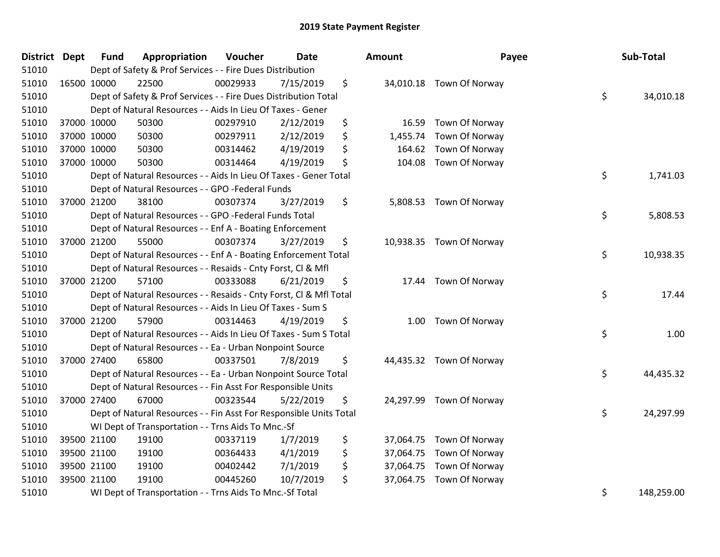| District Dept | <b>Fund</b> | Appropriation                                                      | Voucher  | <b>Date</b> | Amount         | Payee                    | Sub-Total        |
|---------------|-------------|--------------------------------------------------------------------|----------|-------------|----------------|--------------------------|------------------|
| 51010         |             | Dept of Safety & Prof Services - - Fire Dues Distribution          |          |             |                |                          |                  |
| 51010         | 16500 10000 | 22500                                                              | 00029933 | 7/15/2019   | \$             | 34,010.18 Town Of Norway |                  |
| 51010         |             | Dept of Safety & Prof Services - - Fire Dues Distribution Total    |          |             |                |                          | \$<br>34,010.18  |
| 51010         |             | Dept of Natural Resources - - Aids In Lieu Of Taxes - Gener        |          |             |                |                          |                  |
| 51010         | 37000 10000 | 50300                                                              | 00297910 | 2/12/2019   | \$<br>16.59    | Town Of Norway           |                  |
| 51010         | 37000 10000 | 50300                                                              | 00297911 | 2/12/2019   | \$<br>1,455.74 | Town Of Norway           |                  |
| 51010         | 37000 10000 | 50300                                                              | 00314462 | 4/19/2019   | \$<br>164.62   | Town Of Norway           |                  |
| 51010         | 37000 10000 | 50300                                                              | 00314464 | 4/19/2019   | \$<br>104.08   | Town Of Norway           |                  |
| 51010         |             | Dept of Natural Resources - - Aids In Lieu Of Taxes - Gener Total  |          |             |                |                          | \$<br>1,741.03   |
| 51010         |             | Dept of Natural Resources - - GPO -Federal Funds                   |          |             |                |                          |                  |
| 51010         | 37000 21200 | 38100                                                              | 00307374 | 3/27/2019   | \$             | 5,808.53 Town Of Norway  |                  |
| 51010         |             | Dept of Natural Resources - - GPO -Federal Funds Total             |          |             |                |                          | \$<br>5,808.53   |
| 51010         |             | Dept of Natural Resources - - Enf A - Boating Enforcement          |          |             |                |                          |                  |
| 51010         | 37000 21200 | 55000                                                              | 00307374 | 3/27/2019   | \$             | 10,938.35 Town Of Norway |                  |
| 51010         |             | Dept of Natural Resources - - Enf A - Boating Enforcement Total    |          |             |                |                          | \$<br>10,938.35  |
| 51010         |             | Dept of Natural Resources - - Resaids - Cnty Forst, Cl & Mfl       |          |             |                |                          |                  |
| 51010         | 37000 21200 | 57100                                                              | 00333088 | 6/21/2019   | \$             | 17.44 Town Of Norway     |                  |
| 51010         |             | Dept of Natural Resources - - Resaids - Cnty Forst, Cl & Mfl Total |          |             |                |                          | \$<br>17.44      |
| 51010         |             | Dept of Natural Resources - - Aids In Lieu Of Taxes - Sum S        |          |             |                |                          |                  |
| 51010         | 37000 21200 | 57900                                                              | 00314463 | 4/19/2019   | \$             | 1.00 Town Of Norway      |                  |
| 51010         |             | Dept of Natural Resources - - Aids In Lieu Of Taxes - Sum S Total  |          |             |                |                          | \$<br>1.00       |
| 51010         |             | Dept of Natural Resources - - Ea - Urban Nonpoint Source           |          |             |                |                          |                  |
| 51010         | 37000 27400 | 65800                                                              | 00337501 | 7/8/2019    | \$             | 44,435.32 Town Of Norway |                  |
| 51010         |             | Dept of Natural Resources - - Ea - Urban Nonpoint Source Total     |          |             |                |                          | \$<br>44,435.32  |
| 51010         |             | Dept of Natural Resources - - Fin Asst For Responsible Units       |          |             |                |                          |                  |
| 51010         | 37000 27400 | 67000                                                              | 00323544 | 5/22/2019   | \$             | 24,297.99 Town Of Norway |                  |
| 51010         |             | Dept of Natural Resources - - Fin Asst For Responsible Units Total |          |             |                |                          | \$<br>24,297.99  |
| 51010         |             | WI Dept of Transportation - - Trns Aids To Mnc.-Sf                 |          |             |                |                          |                  |
| 51010         | 39500 21100 | 19100                                                              | 00337119 | 1/7/2019    | \$             | 37,064.75 Town Of Norway |                  |
| 51010         | 39500 21100 | 19100                                                              | 00364433 | 4/1/2019    | \$             | 37,064.75 Town Of Norway |                  |
| 51010         | 39500 21100 | 19100                                                              | 00402442 | 7/1/2019    | \$             | 37,064.75 Town Of Norway |                  |
| 51010         | 39500 21100 | 19100                                                              | 00445260 | 10/7/2019   | \$             | 37,064.75 Town Of Norway |                  |
| 51010         |             | WI Dept of Transportation - - Trns Aids To Mnc.-Sf Total           |          |             |                |                          | \$<br>148,259.00 |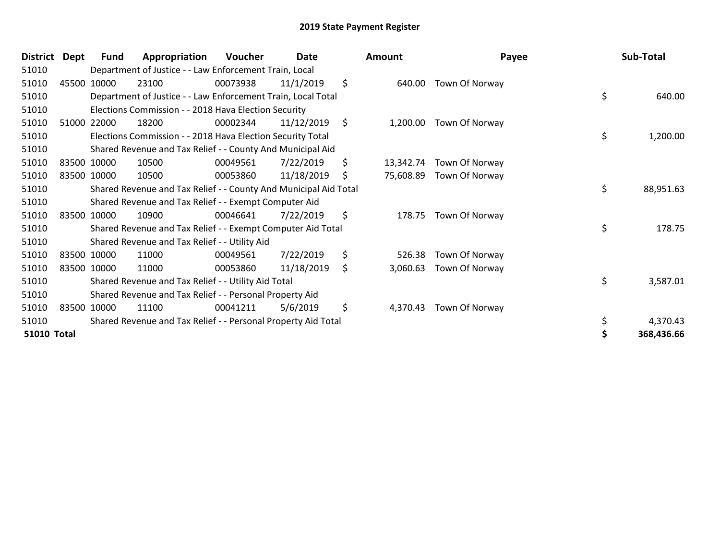| <b>District</b>    | <b>Dept</b> | Fund        | Appropriation                                                    | <b>Voucher</b> | Date       | <b>Amount</b>   | Payee          | Sub-Total       |
|--------------------|-------------|-------------|------------------------------------------------------------------|----------------|------------|-----------------|----------------|-----------------|
| 51010              |             |             | Department of Justice - - Law Enforcement Train, Local           |                |            |                 |                |                 |
| 51010              |             | 45500 10000 | 23100                                                            | 00073938       | 11/1/2019  | \$<br>640.00    | Town Of Norway |                 |
| 51010              |             |             | Department of Justice - - Law Enforcement Train, Local Total     |                |            |                 |                | \$<br>640.00    |
| 51010              |             |             | Elections Commission - - 2018 Hava Election Security             |                |            |                 |                |                 |
| 51010              |             | 51000 22000 | 18200                                                            | 00002344       | 11/12/2019 | \$<br>1,200.00  | Town Of Norway |                 |
| 51010              |             |             | Elections Commission - - 2018 Hava Election Security Total       |                |            |                 |                | \$<br>1,200.00  |
| 51010              |             |             | Shared Revenue and Tax Relief - - County And Municipal Aid       |                |            |                 |                |                 |
| 51010              |             | 83500 10000 | 10500                                                            | 00049561       | 7/22/2019  | \$<br>13,342.74 | Town Of Norway |                 |
| 51010              |             | 83500 10000 | 10500                                                            | 00053860       | 11/18/2019 | \$<br>75,608.89 | Town Of Norway |                 |
| 51010              |             |             | Shared Revenue and Tax Relief - - County And Municipal Aid Total |                |            |                 |                | \$<br>88,951.63 |
| 51010              |             |             | Shared Revenue and Tax Relief - - Exempt Computer Aid            |                |            |                 |                |                 |
| 51010              |             | 83500 10000 | 10900                                                            | 00046641       | 7/22/2019  | \$<br>178.75    | Town Of Norway |                 |
| 51010              |             |             | Shared Revenue and Tax Relief - - Exempt Computer Aid Total      |                |            |                 |                | \$<br>178.75    |
| 51010              |             |             | Shared Revenue and Tax Relief - - Utility Aid                    |                |            |                 |                |                 |
| 51010              |             | 83500 10000 | 11000                                                            | 00049561       | 7/22/2019  | \$<br>526.38    | Town Of Norway |                 |
| 51010              |             | 83500 10000 | 11000                                                            | 00053860       | 11/18/2019 | \$<br>3,060.63  | Town Of Norway |                 |
| 51010              |             |             | Shared Revenue and Tax Relief - - Utility Aid Total              |                |            |                 |                | \$<br>3,587.01  |
| 51010              |             |             | Shared Revenue and Tax Relief - - Personal Property Aid          |                |            |                 |                |                 |
| 51010              |             | 83500 10000 | 11100                                                            | 00041211       | 5/6/2019   | \$<br>4,370.43  | Town Of Norway |                 |
| 51010              |             |             | Shared Revenue and Tax Relief - - Personal Property Aid Total    |                |            |                 |                | \$<br>4,370.43  |
| <b>51010 Total</b> |             |             |                                                                  |                |            |                 |                | 368,436.66      |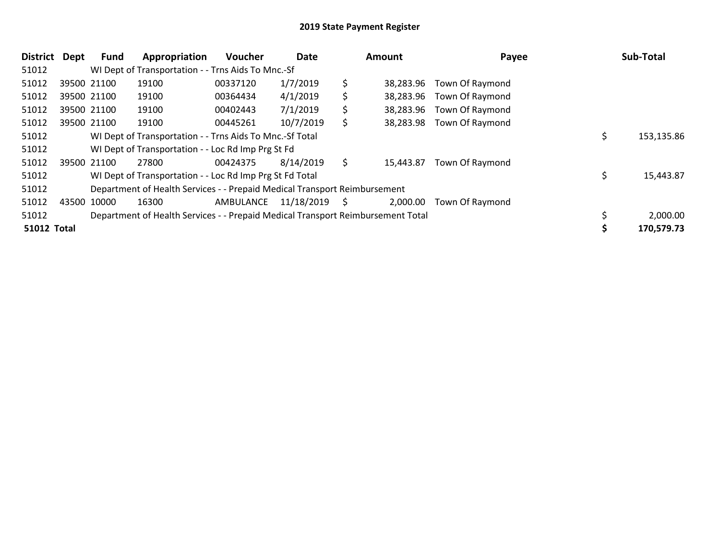| <b>District</b>    | Dept        | <b>Fund</b> | Appropriation                                                                   | <b>Voucher</b> | Date       |    | Amount    | Payee                     |    | Sub-Total  |
|--------------------|-------------|-------------|---------------------------------------------------------------------------------|----------------|------------|----|-----------|---------------------------|----|------------|
| 51012              |             |             | WI Dept of Transportation - - Trns Aids To Mnc.-Sf                              |                |            |    |           |                           |    |            |
| 51012              | 39500 21100 |             | 19100                                                                           | 00337120       | 1/7/2019   | \$ | 38,283.96 | <b>Town Of Raymond</b>    |    |            |
| 51012              | 39500 21100 |             | 19100                                                                           | 00364434       | 4/1/2019   | \$ | 38,283.96 | <b>Town Of Raymond</b>    |    |            |
| 51012              | 39500 21100 |             | 19100                                                                           | 00402443       | 7/1/2019   | \$ | 38,283.96 | Town Of Raymond           |    |            |
| 51012              | 39500 21100 |             | 19100                                                                           | 00445261       | 10/7/2019  | \$ |           | 38,283.98 Town Of Raymond |    |            |
| 51012              |             |             | WI Dept of Transportation - - Trns Aids To Mnc.-Sf Total                        |                |            |    |           |                           | \$ | 153,135.86 |
| 51012              |             |             | WI Dept of Transportation - - Loc Rd Imp Prg St Fd                              |                |            |    |           |                           |    |            |
| 51012              | 39500 21100 |             | 27800                                                                           | 00424375       | 8/14/2019  | \$ | 15,443.87 | Town Of Raymond           |    |            |
| 51012              |             |             | WI Dept of Transportation - - Loc Rd Imp Prg St Fd Total                        |                |            |    |           |                           | Ś  | 15,443.87  |
| 51012              |             |             | Department of Health Services - - Prepaid Medical Transport Reimbursement       |                |            |    |           |                           |    |            |
| 51012              | 43500 10000 |             | 16300                                                                           | AMBULANCE      | 11/18/2019 | S  | 2,000.00  | Town Of Raymond           |    |            |
| 51012              |             |             | Department of Health Services - - Prepaid Medical Transport Reimbursement Total |                |            |    |           |                           |    | 2,000.00   |
| <b>51012 Total</b> |             |             |                                                                                 |                |            |    |           |                           |    | 170,579.73 |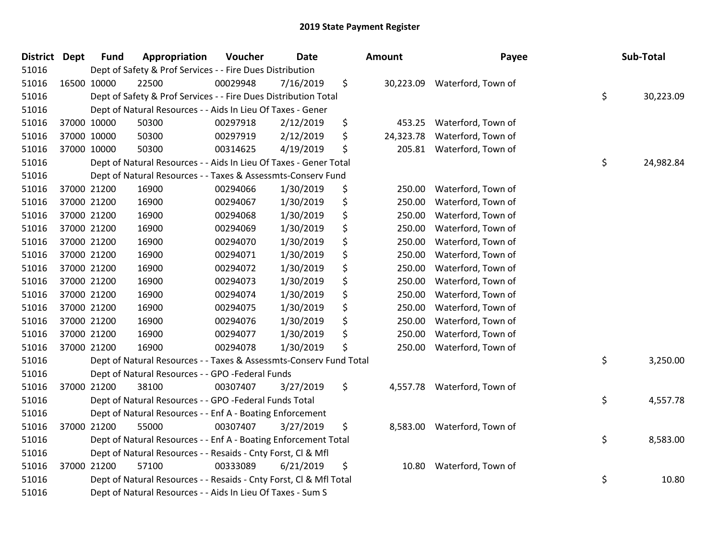| District | <b>Dept</b> | <b>Fund</b> | Appropriation                                                      | Voucher  | Date      | Amount          | Payee                        | Sub-Total       |
|----------|-------------|-------------|--------------------------------------------------------------------|----------|-----------|-----------------|------------------------------|-----------------|
| 51016    |             |             | Dept of Safety & Prof Services - - Fire Dues Distribution          |          |           |                 |                              |                 |
| 51016    |             | 16500 10000 | 22500                                                              | 00029948 | 7/16/2019 | \$              | 30,223.09 Waterford, Town of |                 |
| 51016    |             |             | Dept of Safety & Prof Services - - Fire Dues Distribution Total    |          |           |                 |                              | \$<br>30,223.09 |
| 51016    |             |             | Dept of Natural Resources - - Aids In Lieu Of Taxes - Gener        |          |           |                 |                              |                 |
| 51016    |             | 37000 10000 | 50300                                                              | 00297918 | 2/12/2019 | \$<br>453.25    | Waterford, Town of           |                 |
| 51016    |             | 37000 10000 | 50300                                                              | 00297919 | 2/12/2019 | \$<br>24,323.78 | Waterford, Town of           |                 |
| 51016    |             | 37000 10000 | 50300                                                              | 00314625 | 4/19/2019 | \$<br>205.81    | Waterford, Town of           |                 |
| 51016    |             |             | Dept of Natural Resources - - Aids In Lieu Of Taxes - Gener Total  |          |           |                 |                              | \$<br>24,982.84 |
| 51016    |             |             | Dept of Natural Resources - - Taxes & Assessmts-Conserv Fund       |          |           |                 |                              |                 |
| 51016    |             | 37000 21200 | 16900                                                              | 00294066 | 1/30/2019 | \$<br>250.00    | Waterford, Town of           |                 |
| 51016    |             | 37000 21200 | 16900                                                              | 00294067 | 1/30/2019 | \$<br>250.00    | Waterford, Town of           |                 |
| 51016    |             | 37000 21200 | 16900                                                              | 00294068 | 1/30/2019 | \$<br>250.00    | Waterford, Town of           |                 |
| 51016    |             | 37000 21200 | 16900                                                              | 00294069 | 1/30/2019 | \$<br>250.00    | Waterford, Town of           |                 |
| 51016    |             | 37000 21200 | 16900                                                              | 00294070 | 1/30/2019 | \$<br>250.00    | Waterford, Town of           |                 |
| 51016    |             | 37000 21200 | 16900                                                              | 00294071 | 1/30/2019 | \$<br>250.00    | Waterford, Town of           |                 |
| 51016    |             | 37000 21200 | 16900                                                              | 00294072 | 1/30/2019 | \$<br>250.00    | Waterford, Town of           |                 |
| 51016    |             | 37000 21200 | 16900                                                              | 00294073 | 1/30/2019 | \$<br>250.00    | Waterford, Town of           |                 |
| 51016    |             | 37000 21200 | 16900                                                              | 00294074 | 1/30/2019 | \$<br>250.00    | Waterford, Town of           |                 |
| 51016    |             | 37000 21200 | 16900                                                              | 00294075 | 1/30/2019 | \$<br>250.00    | Waterford, Town of           |                 |
| 51016    |             | 37000 21200 | 16900                                                              | 00294076 | 1/30/2019 | \$<br>250.00    | Waterford, Town of           |                 |
| 51016    |             | 37000 21200 | 16900                                                              | 00294077 | 1/30/2019 | \$<br>250.00    | Waterford, Town of           |                 |
| 51016    |             | 37000 21200 | 16900                                                              | 00294078 | 1/30/2019 | \$<br>250.00    | Waterford, Town of           |                 |
| 51016    |             |             | Dept of Natural Resources - - Taxes & Assessmts-Conserv Fund Total |          |           |                 |                              | \$<br>3,250.00  |
| 51016    |             |             | Dept of Natural Resources - - GPO -Federal Funds                   |          |           |                 |                              |                 |
| 51016    |             | 37000 21200 | 38100                                                              | 00307407 | 3/27/2019 | \$<br>4,557.78  | Waterford, Town of           |                 |
| 51016    |             |             | Dept of Natural Resources - - GPO -Federal Funds Total             |          |           |                 |                              | \$<br>4,557.78  |
| 51016    |             |             | Dept of Natural Resources - - Enf A - Boating Enforcement          |          |           |                 |                              |                 |
| 51016    |             | 37000 21200 | 55000                                                              | 00307407 | 3/27/2019 | \$<br>8,583.00  | Waterford, Town of           |                 |
| 51016    |             |             | Dept of Natural Resources - - Enf A - Boating Enforcement Total    |          |           |                 |                              | \$<br>8,583.00  |
| 51016    |             |             | Dept of Natural Resources - - Resaids - Cnty Forst, Cl & Mfl       |          |           |                 |                              |                 |
| 51016    |             | 37000 21200 | 57100                                                              | 00333089 | 6/21/2019 | \$<br>10.80     | Waterford, Town of           |                 |
| 51016    |             |             | Dept of Natural Resources - - Resaids - Cnty Forst, Cl & Mfl Total |          |           |                 |                              | \$<br>10.80     |
| 51016    |             |             | Dept of Natural Resources - - Aids In Lieu Of Taxes - Sum S        |          |           |                 |                              |                 |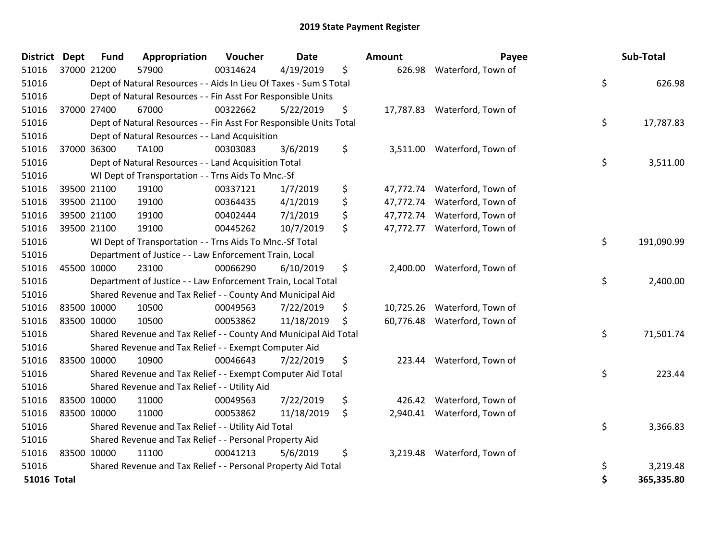| <b>District</b>    | <b>Dept</b> | <b>Fund</b> | Appropriation                                                      | Voucher  | <b>Date</b> | Amount          | Payee                        | Sub-Total        |
|--------------------|-------------|-------------|--------------------------------------------------------------------|----------|-------------|-----------------|------------------------------|------------------|
| 51016              | 37000 21200 |             | 57900                                                              | 00314624 | 4/19/2019   | \$              | 626.98 Waterford, Town of    |                  |
| 51016              |             |             | Dept of Natural Resources - - Aids In Lieu Of Taxes - Sum S Total  |          |             |                 |                              | \$<br>626.98     |
| 51016              |             |             | Dept of Natural Resources - - Fin Asst For Responsible Units       |          |             |                 |                              |                  |
| 51016              | 37000 27400 |             | 67000                                                              | 00322662 | 5/22/2019   | \$              | 17,787.83 Waterford, Town of |                  |
| 51016              |             |             | Dept of Natural Resources - - Fin Asst For Responsible Units Total |          |             |                 |                              | \$<br>17,787.83  |
| 51016              |             |             | Dept of Natural Resources - - Land Acquisition                     |          |             |                 |                              |                  |
| 51016              |             | 37000 36300 | TA100                                                              | 00303083 | 3/6/2019    | \$              | 3,511.00 Waterford, Town of  |                  |
| 51016              |             |             | Dept of Natural Resources - - Land Acquisition Total               |          |             |                 |                              | \$<br>3,511.00   |
| 51016              |             |             | WI Dept of Transportation - - Trns Aids To Mnc.-Sf                 |          |             |                 |                              |                  |
| 51016              |             | 39500 21100 | 19100                                                              | 00337121 | 1/7/2019    | \$              | 47,772.74 Waterford, Town of |                  |
| 51016              |             | 39500 21100 | 19100                                                              | 00364435 | 4/1/2019    | \$<br>47,772.74 | Waterford, Town of           |                  |
| 51016              |             | 39500 21100 | 19100                                                              | 00402444 | 7/1/2019    | \$<br>47,772.74 | Waterford, Town of           |                  |
| 51016              |             | 39500 21100 | 19100                                                              | 00445262 | 10/7/2019   | \$              | 47,772.77 Waterford, Town of |                  |
| 51016              |             |             | WI Dept of Transportation - - Trns Aids To Mnc.-Sf Total           |          |             |                 |                              | \$<br>191,090.99 |
| 51016              |             |             | Department of Justice - - Law Enforcement Train, Local             |          |             |                 |                              |                  |
| 51016              | 45500 10000 |             | 23100                                                              | 00066290 | 6/10/2019   | \$              | 2,400.00 Waterford, Town of  |                  |
| 51016              |             |             | Department of Justice - - Law Enforcement Train, Local Total       |          |             |                 |                              | \$<br>2,400.00   |
| 51016              |             |             | Shared Revenue and Tax Relief - - County And Municipal Aid         |          |             |                 |                              |                  |
| 51016              | 83500 10000 |             | 10500                                                              | 00049563 | 7/22/2019   | \$<br>10,725.26 | Waterford, Town of           |                  |
| 51016              | 83500 10000 |             | 10500                                                              | 00053862 | 11/18/2019  | \$<br>60,776.48 | Waterford, Town of           |                  |
| 51016              |             |             | Shared Revenue and Tax Relief - - County And Municipal Aid Total   |          |             |                 |                              | \$<br>71,501.74  |
| 51016              |             |             | Shared Revenue and Tax Relief - - Exempt Computer Aid              |          |             |                 |                              |                  |
| 51016              | 83500 10000 |             | 10900                                                              | 00046643 | 7/22/2019   | \$<br>223.44    | Waterford, Town of           |                  |
| 51016              |             |             | Shared Revenue and Tax Relief - - Exempt Computer Aid Total        |          |             |                 |                              | \$<br>223.44     |
| 51016              |             |             | Shared Revenue and Tax Relief - - Utility Aid                      |          |             |                 |                              |                  |
| 51016              | 83500 10000 |             | 11000                                                              | 00049563 | 7/22/2019   | \$<br>426.42    | Waterford, Town of           |                  |
| 51016              | 83500 10000 |             | 11000                                                              | 00053862 | 11/18/2019  | \$<br>2,940.41  | Waterford, Town of           |                  |
| 51016              |             |             | Shared Revenue and Tax Relief - - Utility Aid Total                |          |             |                 |                              | \$<br>3,366.83   |
| 51016              |             |             | Shared Revenue and Tax Relief - - Personal Property Aid            |          |             |                 |                              |                  |
| 51016              | 83500 10000 |             | 11100                                                              | 00041213 | 5/6/2019    | \$              | 3,219.48 Waterford, Town of  |                  |
| 51016              |             |             | Shared Revenue and Tax Relief - - Personal Property Aid Total      |          |             |                 |                              | \$<br>3,219.48   |
| <b>51016 Total</b> |             |             |                                                                    |          |             |                 |                              | \$<br>365,335.80 |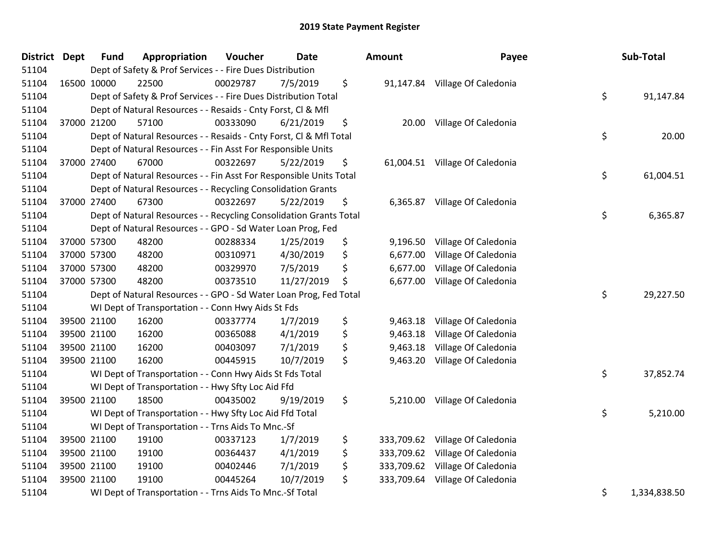| <b>District</b> | <b>Dept</b> | <b>Fund</b> | Appropriation                                                      | Voucher  | <b>Date</b> | <b>Amount</b>    | Payee                           | Sub-Total          |
|-----------------|-------------|-------------|--------------------------------------------------------------------|----------|-------------|------------------|---------------------------------|--------------------|
| 51104           |             |             | Dept of Safety & Prof Services - - Fire Dues Distribution          |          |             |                  |                                 |                    |
| 51104           |             | 16500 10000 | 22500                                                              | 00029787 | 7/5/2019    | \$               | 91,147.84 Village Of Caledonia  |                    |
| 51104           |             |             | Dept of Safety & Prof Services - - Fire Dues Distribution Total    |          |             |                  |                                 | \$<br>91,147.84    |
| 51104           |             |             | Dept of Natural Resources - - Resaids - Cnty Forst, Cl & Mfl       |          |             |                  |                                 |                    |
| 51104           |             | 37000 21200 | 57100                                                              | 00333090 | 6/21/2019   | \$<br>20.00      | Village Of Caledonia            |                    |
| 51104           |             |             | Dept of Natural Resources - - Resaids - Cnty Forst, CI & Mfl Total |          |             |                  |                                 | \$<br>20.00        |
| 51104           |             |             | Dept of Natural Resources - - Fin Asst For Responsible Units       |          |             |                  |                                 |                    |
| 51104           |             | 37000 27400 | 67000                                                              | 00322697 | 5/22/2019   | \$<br>61,004.51  | Village Of Caledonia            |                    |
| 51104           |             |             | Dept of Natural Resources - - Fin Asst For Responsible Units Total |          |             |                  |                                 | \$<br>61,004.51    |
| 51104           |             |             | Dept of Natural Resources - - Recycling Consolidation Grants       |          |             |                  |                                 |                    |
| 51104           |             | 37000 27400 | 67300                                                              | 00322697 | 5/22/2019   | \$               | 6,365.87 Village Of Caledonia   |                    |
| 51104           |             |             | Dept of Natural Resources - - Recycling Consolidation Grants Total |          |             |                  |                                 | \$<br>6,365.87     |
| 51104           |             |             | Dept of Natural Resources - - GPO - Sd Water Loan Prog, Fed        |          |             |                  |                                 |                    |
| 51104           |             | 37000 57300 | 48200                                                              | 00288334 | 1/25/2019   | \$<br>9,196.50   | Village Of Caledonia            |                    |
| 51104           |             | 37000 57300 | 48200                                                              | 00310971 | 4/30/2019   | \$<br>6,677.00   | Village Of Caledonia            |                    |
| 51104           |             | 37000 57300 | 48200                                                              | 00329970 | 7/5/2019    | \$<br>6,677.00   | Village Of Caledonia            |                    |
| 51104           |             | 37000 57300 | 48200                                                              | 00373510 | 11/27/2019  | \$<br>6,677.00   | Village Of Caledonia            |                    |
| 51104           |             |             | Dept of Natural Resources - - GPO - Sd Water Loan Prog, Fed Total  |          |             |                  |                                 | \$<br>29,227.50    |
| 51104           |             |             | WI Dept of Transportation - - Conn Hwy Aids St Fds                 |          |             |                  |                                 |                    |
| 51104           |             | 39500 21100 | 16200                                                              | 00337774 | 1/7/2019    | \$<br>9,463.18   | Village Of Caledonia            |                    |
| 51104           |             | 39500 21100 | 16200                                                              | 00365088 | 4/1/2019    | \$<br>9,463.18   | Village Of Caledonia            |                    |
| 51104           |             | 39500 21100 | 16200                                                              | 00403097 | 7/1/2019    | \$<br>9,463.18   | Village Of Caledonia            |                    |
| 51104           |             | 39500 21100 | 16200                                                              | 00445915 | 10/7/2019   | \$<br>9,463.20   | Village Of Caledonia            |                    |
| 51104           |             |             | WI Dept of Transportation - - Conn Hwy Aids St Fds Total           |          |             |                  |                                 | \$<br>37,852.74    |
| 51104           |             |             | WI Dept of Transportation - - Hwy Sfty Loc Aid Ffd                 |          |             |                  |                                 |                    |
| 51104           |             | 39500 21100 | 18500                                                              | 00435002 | 9/19/2019   | \$<br>5,210.00   | Village Of Caledonia            |                    |
| 51104           |             |             | WI Dept of Transportation - - Hwy Sfty Loc Aid Ffd Total           |          |             |                  |                                 | \$<br>5,210.00     |
| 51104           |             |             | WI Dept of Transportation - - Trns Aids To Mnc.-Sf                 |          |             |                  |                                 |                    |
| 51104           |             | 39500 21100 | 19100                                                              | 00337123 | 1/7/2019    | \$               | 333,709.62 Village Of Caledonia |                    |
| 51104           |             | 39500 21100 | 19100                                                              | 00364437 | 4/1/2019    | \$<br>333,709.62 | Village Of Caledonia            |                    |
| 51104           |             | 39500 21100 | 19100                                                              | 00402446 | 7/1/2019    | \$<br>333,709.62 | Village Of Caledonia            |                    |
| 51104           |             | 39500 21100 | 19100                                                              | 00445264 | 10/7/2019   | \$<br>333,709.64 | Village Of Caledonia            |                    |
| 51104           |             |             | WI Dept of Transportation - - Trns Aids To Mnc.-Sf Total           |          |             |                  |                                 | \$<br>1,334,838.50 |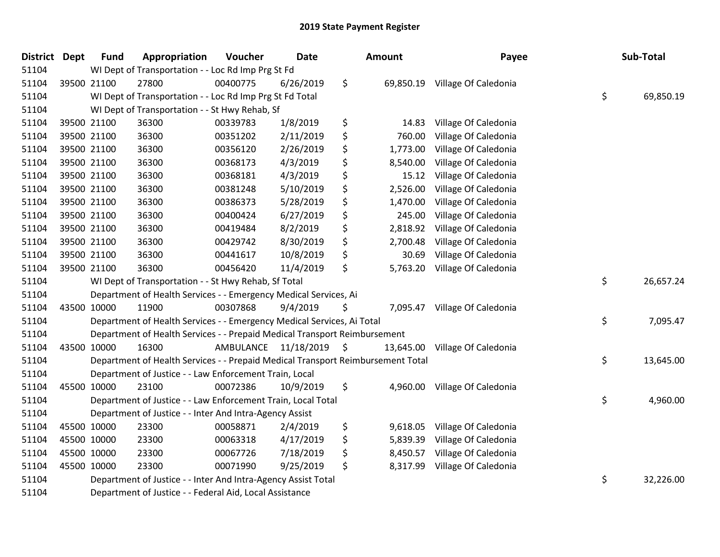| District | <b>Dept</b> | <b>Fund</b> | Appropriation                                                                   | Voucher                 | <b>Date</b> | Amount         | Payee                          | Sub-Total       |
|----------|-------------|-------------|---------------------------------------------------------------------------------|-------------------------|-------------|----------------|--------------------------------|-----------------|
| 51104    |             |             | WI Dept of Transportation - - Loc Rd Imp Prg St Fd                              |                         |             |                |                                |                 |
| 51104    |             | 39500 21100 | 27800                                                                           | 00400775                | 6/26/2019   | \$             | 69,850.19 Village Of Caledonia |                 |
| 51104    |             |             | WI Dept of Transportation - - Loc Rd Imp Prg St Fd Total                        |                         |             |                |                                | \$<br>69,850.19 |
| 51104    |             |             | WI Dept of Transportation - - St Hwy Rehab, Sf                                  |                         |             |                |                                |                 |
| 51104    |             | 39500 21100 | 36300                                                                           | 00339783                | 1/8/2019    | \$<br>14.83    | Village Of Caledonia           |                 |
| 51104    |             | 39500 21100 | 36300                                                                           | 00351202                | 2/11/2019   | \$<br>760.00   | Village Of Caledonia           |                 |
| 51104    |             | 39500 21100 | 36300                                                                           | 00356120                | 2/26/2019   | \$<br>1,773.00 | Village Of Caledonia           |                 |
| 51104    |             | 39500 21100 | 36300                                                                           | 00368173                | 4/3/2019    | \$<br>8,540.00 | Village Of Caledonia           |                 |
| 51104    |             | 39500 21100 | 36300                                                                           | 00368181                | 4/3/2019    | \$<br>15.12    | Village Of Caledonia           |                 |
| 51104    |             | 39500 21100 | 36300                                                                           | 00381248                | 5/10/2019   | \$<br>2,526.00 | Village Of Caledonia           |                 |
| 51104    |             | 39500 21100 | 36300                                                                           | 00386373                | 5/28/2019   | \$<br>1,470.00 | Village Of Caledonia           |                 |
| 51104    |             | 39500 21100 | 36300                                                                           | 00400424                | 6/27/2019   | \$<br>245.00   | Village Of Caledonia           |                 |
| 51104    |             | 39500 21100 | 36300                                                                           | 00419484                | 8/2/2019    | \$<br>2,818.92 | Village Of Caledonia           |                 |
| 51104    |             | 39500 21100 | 36300                                                                           | 00429742                | 8/30/2019   | \$<br>2,700.48 | Village Of Caledonia           |                 |
| 51104    |             | 39500 21100 | 36300                                                                           | 00441617                | 10/8/2019   | \$<br>30.69    | Village Of Caledonia           |                 |
| 51104    |             | 39500 21100 | 36300                                                                           | 00456420                | 11/4/2019   | \$<br>5,763.20 | Village Of Caledonia           |                 |
| 51104    |             |             | WI Dept of Transportation - - St Hwy Rehab, Sf Total                            |                         |             |                |                                | \$<br>26,657.24 |
| 51104    |             |             | Department of Health Services - - Emergency Medical Services, Ai                |                         |             |                |                                |                 |
| 51104    | 43500 10000 |             | 11900                                                                           | 00307868                | 9/4/2019    | \$             | 7,095.47 Village Of Caledonia  |                 |
| 51104    |             |             | Department of Health Services - - Emergency Medical Services, Ai Total          |                         |             |                |                                | \$<br>7,095.47  |
| 51104    |             |             | Department of Health Services - - Prepaid Medical Transport Reimbursement       |                         |             |                |                                |                 |
| 51104    | 43500 10000 |             | 16300                                                                           | AMBULANCE 11/18/2019 \$ |             | 13,645.00      | Village Of Caledonia           |                 |
| 51104    |             |             | Department of Health Services - - Prepaid Medical Transport Reimbursement Total |                         |             |                |                                | \$<br>13,645.00 |
| 51104    |             |             | Department of Justice - - Law Enforcement Train, Local                          |                         |             |                |                                |                 |
| 51104    | 45500 10000 |             | 23100                                                                           | 00072386                | 10/9/2019   | \$<br>4,960.00 | Village Of Caledonia           |                 |
| 51104    |             |             | Department of Justice - - Law Enforcement Train, Local Total                    |                         |             |                |                                | \$<br>4,960.00  |
| 51104    |             |             | Department of Justice - - Inter And Intra-Agency Assist                         |                         |             |                |                                |                 |
| 51104    | 45500 10000 |             | 23300                                                                           | 00058871                | 2/4/2019    | \$<br>9,618.05 | Village Of Caledonia           |                 |
| 51104    | 45500 10000 |             | 23300                                                                           | 00063318                | 4/17/2019   | \$<br>5,839.39 | Village Of Caledonia           |                 |
| 51104    | 45500 10000 |             | 23300                                                                           | 00067726                | 7/18/2019   | \$<br>8,450.57 | Village Of Caledonia           |                 |
| 51104    | 45500 10000 |             | 23300                                                                           | 00071990                | 9/25/2019   | \$<br>8,317.99 | Village Of Caledonia           |                 |
| 51104    |             |             | Department of Justice - - Inter And Intra-Agency Assist Total                   |                         |             |                |                                | \$<br>32,226.00 |
| 51104    |             |             | Department of Justice - - Federal Aid, Local Assistance                         |                         |             |                |                                |                 |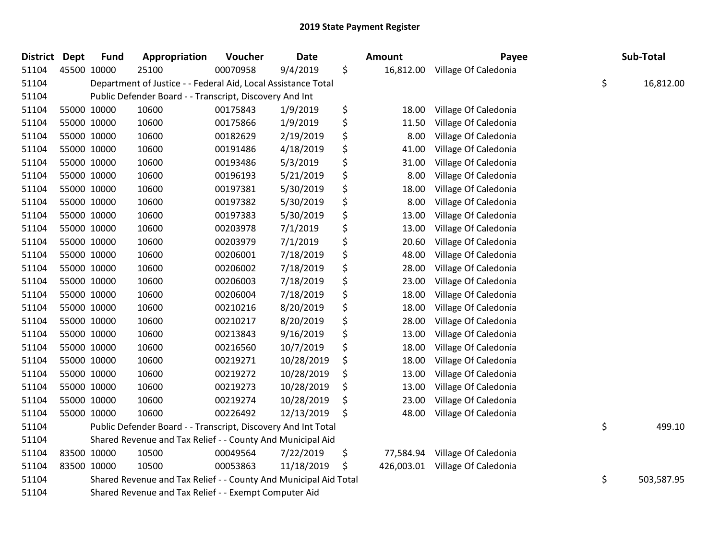| <b>District</b> | <b>Dept</b> | <b>Fund</b> | Appropriation                                                    | Voucher  | <b>Date</b> | <b>Amount</b>    | Payee                | Sub-Total        |
|-----------------|-------------|-------------|------------------------------------------------------------------|----------|-------------|------------------|----------------------|------------------|
| 51104           |             | 45500 10000 | 25100                                                            | 00070958 | 9/4/2019    | \$<br>16,812.00  | Village Of Caledonia |                  |
| 51104           |             |             | Department of Justice - - Federal Aid, Local Assistance Total    |          |             |                  |                      | \$<br>16,812.00  |
| 51104           |             |             | Public Defender Board - - Transcript, Discovery And Int          |          |             |                  |                      |                  |
| 51104           |             | 55000 10000 | 10600                                                            | 00175843 | 1/9/2019    | \$<br>18.00      | Village Of Caledonia |                  |
| 51104           |             | 55000 10000 | 10600                                                            | 00175866 | 1/9/2019    | \$<br>11.50      | Village Of Caledonia |                  |
| 51104           |             | 55000 10000 | 10600                                                            | 00182629 | 2/19/2019   | \$<br>8.00       | Village Of Caledonia |                  |
| 51104           |             | 55000 10000 | 10600                                                            | 00191486 | 4/18/2019   | \$<br>41.00      | Village Of Caledonia |                  |
| 51104           |             | 55000 10000 | 10600                                                            | 00193486 | 5/3/2019    | \$<br>31.00      | Village Of Caledonia |                  |
| 51104           |             | 55000 10000 | 10600                                                            | 00196193 | 5/21/2019   | \$<br>8.00       | Village Of Caledonia |                  |
| 51104           |             | 55000 10000 | 10600                                                            | 00197381 | 5/30/2019   | \$<br>18.00      | Village Of Caledonia |                  |
| 51104           |             | 55000 10000 | 10600                                                            | 00197382 | 5/30/2019   | \$<br>8.00       | Village Of Caledonia |                  |
| 51104           |             | 55000 10000 | 10600                                                            | 00197383 | 5/30/2019   | \$<br>13.00      | Village Of Caledonia |                  |
| 51104           |             | 55000 10000 | 10600                                                            | 00203978 | 7/1/2019    | \$<br>13.00      | Village Of Caledonia |                  |
| 51104           |             | 55000 10000 | 10600                                                            | 00203979 | 7/1/2019    | \$<br>20.60      | Village Of Caledonia |                  |
| 51104           |             | 55000 10000 | 10600                                                            | 00206001 | 7/18/2019   | \$<br>48.00      | Village Of Caledonia |                  |
| 51104           |             | 55000 10000 | 10600                                                            | 00206002 | 7/18/2019   | \$<br>28.00      | Village Of Caledonia |                  |
| 51104           |             | 55000 10000 | 10600                                                            | 00206003 | 7/18/2019   | \$<br>23.00      | Village Of Caledonia |                  |
| 51104           |             | 55000 10000 | 10600                                                            | 00206004 | 7/18/2019   | \$<br>18.00      | Village Of Caledonia |                  |
| 51104           |             | 55000 10000 | 10600                                                            | 00210216 | 8/20/2019   | \$<br>18.00      | Village Of Caledonia |                  |
| 51104           |             | 55000 10000 | 10600                                                            | 00210217 | 8/20/2019   | \$<br>28.00      | Village Of Caledonia |                  |
| 51104           |             | 55000 10000 | 10600                                                            | 00213843 | 9/16/2019   | \$<br>13.00      | Village Of Caledonia |                  |
| 51104           |             | 55000 10000 | 10600                                                            | 00216560 | 10/7/2019   | \$<br>18.00      | Village Of Caledonia |                  |
| 51104           |             | 55000 10000 | 10600                                                            | 00219271 | 10/28/2019  | \$<br>18.00      | Village Of Caledonia |                  |
| 51104           |             | 55000 10000 | 10600                                                            | 00219272 | 10/28/2019  | \$<br>13.00      | Village Of Caledonia |                  |
| 51104           |             | 55000 10000 | 10600                                                            | 00219273 | 10/28/2019  | \$<br>13.00      | Village Of Caledonia |                  |
| 51104           |             | 55000 10000 | 10600                                                            | 00219274 | 10/28/2019  | \$<br>23.00      | Village Of Caledonia |                  |
| 51104           |             | 55000 10000 | 10600                                                            | 00226492 | 12/13/2019  | \$<br>48.00      | Village Of Caledonia |                  |
| 51104           |             |             | Public Defender Board - - Transcript, Discovery And Int Total    |          |             |                  |                      | \$<br>499.10     |
| 51104           |             |             | Shared Revenue and Tax Relief - - County And Municipal Aid       |          |             |                  |                      |                  |
| 51104           |             | 83500 10000 | 10500                                                            | 00049564 | 7/22/2019   | \$<br>77,584.94  | Village Of Caledonia |                  |
| 51104           |             | 83500 10000 | 10500                                                            | 00053863 | 11/18/2019  | \$<br>426,003.01 | Village Of Caledonia |                  |
| 51104           |             |             | Shared Revenue and Tax Relief - - County And Municipal Aid Total |          |             |                  |                      | \$<br>503,587.95 |
| 51104           |             |             | Shared Revenue and Tax Relief - - Exempt Computer Aid            |          |             |                  |                      |                  |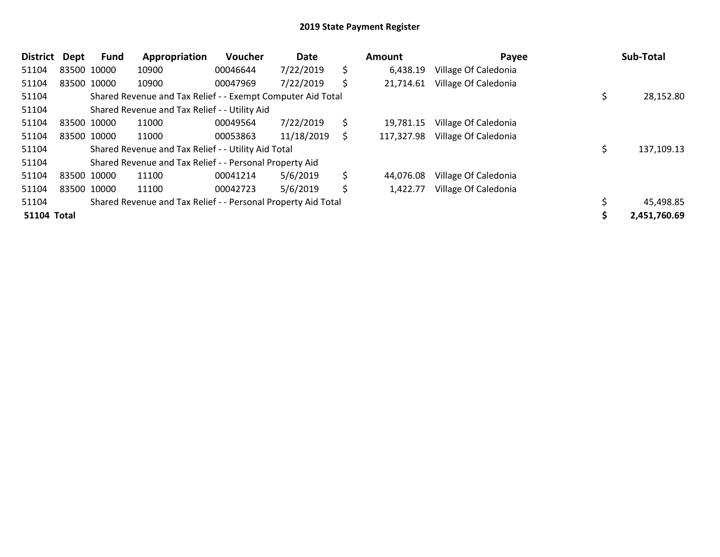| <b>District</b>    | Dept        | Fund | Appropriation                                                 | Voucher  | Date       | Amount           | Payee                | Sub-Total    |
|--------------------|-------------|------|---------------------------------------------------------------|----------|------------|------------------|----------------------|--------------|
| 51104              | 83500 10000 |      | 10900                                                         | 00046644 | 7/22/2019  | \$<br>6,438.19   | Village Of Caledonia |              |
| 51104              | 83500 10000 |      | 10900                                                         | 00047969 | 7/22/2019  | \$<br>21,714.61  | Village Of Caledonia |              |
| 51104              |             |      | Shared Revenue and Tax Relief - - Exempt Computer Aid Total   |          |            |                  |                      | 28,152.80    |
| 51104              |             |      | Shared Revenue and Tax Relief - - Utility Aid                 |          |            |                  |                      |              |
| 51104              | 83500 10000 |      | 11000                                                         | 00049564 | 7/22/2019  | \$<br>19,781.15  | Village Of Caledonia |              |
| 51104              | 83500 10000 |      | 11000                                                         | 00053863 | 11/18/2019 | \$<br>117,327.98 | Village Of Caledonia |              |
| 51104              |             |      | Shared Revenue and Tax Relief - - Utility Aid Total           |          |            |                  |                      | 137,109.13   |
| 51104              |             |      | Shared Revenue and Tax Relief - - Personal Property Aid       |          |            |                  |                      |              |
| 51104              | 83500 10000 |      | 11100                                                         | 00041214 | 5/6/2019   | \$<br>44.076.08  | Village Of Caledonia |              |
| 51104              | 83500 10000 |      | 11100                                                         | 00042723 | 5/6/2019   | \$<br>1,422.77   | Village Of Caledonia |              |
| 51104              |             |      | Shared Revenue and Tax Relief - - Personal Property Aid Total |          |            |                  |                      | 45,498.85    |
| <b>51104 Total</b> |             |      |                                                               |          |            |                  |                      | 2,451,760.69 |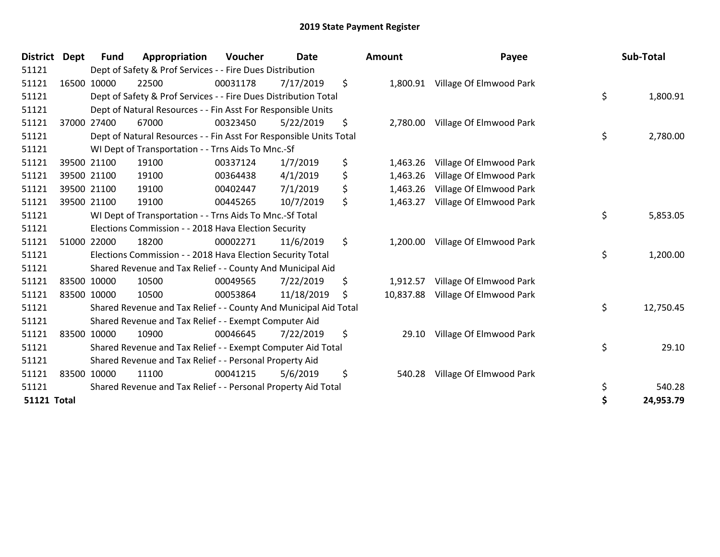| <b>District</b>    | <b>Dept</b> | <b>Fund</b>                                                        | Appropriation                                                    | Voucher  | <b>Date</b> |    | <b>Amount</b> | Payee                            | Sub-Total       |
|--------------------|-------------|--------------------------------------------------------------------|------------------------------------------------------------------|----------|-------------|----|---------------|----------------------------------|-----------------|
| 51121              |             |                                                                    | Dept of Safety & Prof Services - - Fire Dues Distribution        |          |             |    |               |                                  |                 |
| 51121              |             | 16500 10000                                                        | 22500                                                            | 00031178 | 7/17/2019   | \$ | 1,800.91      | Village Of Elmwood Park          |                 |
| 51121              |             |                                                                    | Dept of Safety & Prof Services - - Fire Dues Distribution Total  |          |             |    |               |                                  | \$<br>1,800.91  |
| 51121              |             |                                                                    | Dept of Natural Resources - - Fin Asst For Responsible Units     |          |             |    |               |                                  |                 |
| 51121              |             | 37000 27400                                                        | 67000                                                            | 00323450 | 5/22/2019   | \$ |               | 2,780.00 Village Of Elmwood Park |                 |
| 51121              |             | Dept of Natural Resources - - Fin Asst For Responsible Units Total |                                                                  |          |             |    |               |                                  | \$<br>2,780.00  |
| 51121              |             |                                                                    | WI Dept of Transportation - - Trns Aids To Mnc.-Sf               |          |             |    |               |                                  |                 |
| 51121              |             | 39500 21100                                                        | 19100                                                            | 00337124 | 1/7/2019    | \$ | 1,463.26      | Village Of Elmwood Park          |                 |
| 51121              |             | 39500 21100                                                        | 19100                                                            | 00364438 | 4/1/2019    | \$ | 1,463.26      | Village Of Elmwood Park          |                 |
| 51121              |             | 39500 21100                                                        | 19100                                                            | 00402447 | 7/1/2019    | \$ | 1,463.26      | Village Of Elmwood Park          |                 |
| 51121              |             | 39500 21100                                                        | 19100                                                            | 00445265 | 10/7/2019   | \$ | 1,463.27      | Village Of Elmwood Park          |                 |
| 51121              |             |                                                                    | WI Dept of Transportation - - Trns Aids To Mnc.-Sf Total         |          |             |    |               |                                  | \$<br>5,853.05  |
| 51121              |             |                                                                    | Elections Commission - - 2018 Hava Election Security             |          |             |    |               |                                  |                 |
| 51121              |             | 51000 22000                                                        | 18200                                                            | 00002271 | 11/6/2019   | \$ | 1,200.00      | Village Of Elmwood Park          |                 |
| 51121              |             |                                                                    | Elections Commission - - 2018 Hava Election Security Total       |          |             |    |               |                                  | \$<br>1,200.00  |
| 51121              |             |                                                                    | Shared Revenue and Tax Relief - - County And Municipal Aid       |          |             |    |               |                                  |                 |
| 51121              |             | 83500 10000                                                        | 10500                                                            | 00049565 | 7/22/2019   | \$ | 1,912.57      | Village Of Elmwood Park          |                 |
| 51121              |             | 83500 10000                                                        | 10500                                                            | 00053864 | 11/18/2019  | \$ | 10,837.88     | Village Of Elmwood Park          |                 |
| 51121              |             |                                                                    | Shared Revenue and Tax Relief - - County And Municipal Aid Total |          |             |    |               |                                  | \$<br>12,750.45 |
| 51121              |             |                                                                    | Shared Revenue and Tax Relief - - Exempt Computer Aid            |          |             |    |               |                                  |                 |
| 51121              |             | 83500 10000                                                        | 10900                                                            | 00046645 | 7/22/2019   | \$ | 29.10         | Village Of Elmwood Park          |                 |
| 51121              |             |                                                                    | Shared Revenue and Tax Relief - - Exempt Computer Aid Total      |          |             |    |               |                                  | \$<br>29.10     |
| 51121              |             | Shared Revenue and Tax Relief - - Personal Property Aid            |                                                                  |          |             |    |               |                                  |                 |
| 51121              |             | 83500 10000                                                        | 11100                                                            | 00041215 | 5/6/2019    | \$ | 540.28        | Village Of Elmwood Park          |                 |
| 51121              |             |                                                                    | Shared Revenue and Tax Relief - - Personal Property Aid Total    |          |             |    |               |                                  | \$<br>540.28    |
| <b>51121 Total</b> |             |                                                                    |                                                                  |          |             |    |               |                                  | \$<br>24,953.79 |

| <b>nount</b> | Payee                            | Sub-Total       |
|--------------|----------------------------------|-----------------|
|              | 1,800.91 Village Of Elmwood Park |                 |
|              |                                  | \$<br>1,800.91  |
|              | 2,780.00 Village Of Elmwood Park |                 |
|              |                                  | \$<br>2,780.00  |
|              | 1,463.26 Village Of Elmwood Park |                 |
|              | 1,463.26 Village Of Elmwood Park |                 |
|              | 1,463.26 Village Of Elmwood Park |                 |
| 1,463.27     | Village Of Elmwood Park          |                 |
|              |                                  | \$<br>5,853.05  |
| 1,200.00     | Village Of Elmwood Park          |                 |
|              |                                  | \$<br>1,200.00  |
|              | 1,912.57 Village Of Elmwood Park |                 |
| 10,837.88    | Village Of Elmwood Park          |                 |
|              |                                  | \$<br>12,750.45 |
| 29.10        | Village Of Elmwood Park          |                 |
|              |                                  | \$<br>29.10     |
| 540.28       | Village Of Elmwood Park          |                 |
|              |                                  | \$<br>540.28    |
|              |                                  | \$<br>24,953.79 |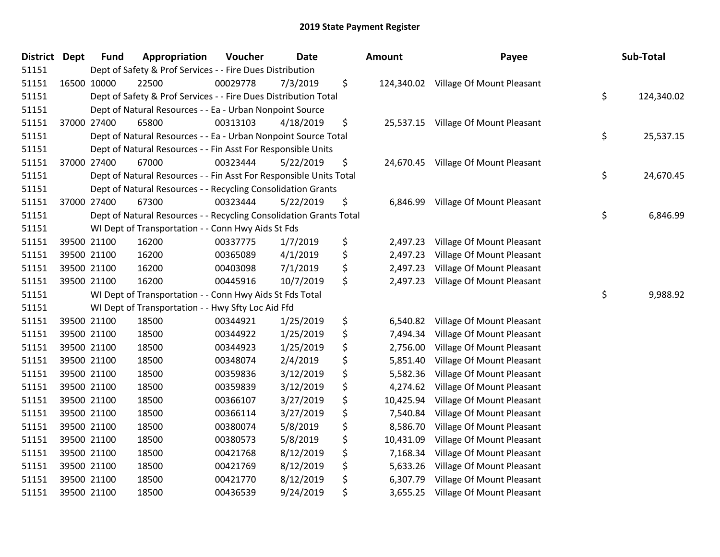| <b>District</b> | <b>Dept</b> | <b>Fund</b> | Appropriation                                                      | Voucher  | Date      | <b>Amount</b>   | Payee                                | Sub-Total        |
|-----------------|-------------|-------------|--------------------------------------------------------------------|----------|-----------|-----------------|--------------------------------------|------------------|
| 51151           |             |             | Dept of Safety & Prof Services - - Fire Dues Distribution          |          |           |                 |                                      |                  |
| 51151           |             | 16500 10000 | 22500                                                              | 00029778 | 7/3/2019  | \$              | 124,340.02 Village Of Mount Pleasant |                  |
| 51151           |             |             | Dept of Safety & Prof Services - - Fire Dues Distribution Total    |          |           |                 |                                      | \$<br>124,340.02 |
| 51151           |             |             | Dept of Natural Resources - - Ea - Urban Nonpoint Source           |          |           |                 |                                      |                  |
| 51151           |             | 37000 27400 | 65800                                                              | 00313103 | 4/18/2019 | \$              | 25,537.15 Village Of Mount Pleasant  |                  |
| 51151           |             |             | Dept of Natural Resources - - Ea - Urban Nonpoint Source Total     |          |           |                 |                                      | \$<br>25,537.15  |
| 51151           |             |             | Dept of Natural Resources - - Fin Asst For Responsible Units       |          |           |                 |                                      |                  |
| 51151           |             | 37000 27400 | 67000                                                              | 00323444 | 5/22/2019 | \$              | 24,670.45 Village Of Mount Pleasant  |                  |
| 51151           |             |             | Dept of Natural Resources - - Fin Asst For Responsible Units Total |          |           |                 |                                      | \$<br>24,670.45  |
| 51151           |             |             | Dept of Natural Resources - - Recycling Consolidation Grants       |          |           |                 |                                      |                  |
| 51151           |             | 37000 27400 | 67300                                                              | 00323444 | 5/22/2019 | \$<br>6,846.99  | Village Of Mount Pleasant            |                  |
| 51151           |             |             | Dept of Natural Resources - - Recycling Consolidation Grants Total |          |           |                 |                                      | \$<br>6,846.99   |
| 51151           |             |             | WI Dept of Transportation - - Conn Hwy Aids St Fds                 |          |           |                 |                                      |                  |
| 51151           |             | 39500 21100 | 16200                                                              | 00337775 | 1/7/2019  | \$<br>2,497.23  | Village Of Mount Pleasant            |                  |
| 51151           |             | 39500 21100 | 16200                                                              | 00365089 | 4/1/2019  | \$<br>2,497.23  | Village Of Mount Pleasant            |                  |
| 51151           |             | 39500 21100 | 16200                                                              | 00403098 | 7/1/2019  | \$<br>2,497.23  | Village Of Mount Pleasant            |                  |
| 51151           |             | 39500 21100 | 16200                                                              | 00445916 | 10/7/2019 | \$<br>2,497.23  | Village Of Mount Pleasant            |                  |
| 51151           |             |             | WI Dept of Transportation - - Conn Hwy Aids St Fds Total           |          |           |                 |                                      | \$<br>9,988.92   |
| 51151           |             |             | WI Dept of Transportation - - Hwy Sfty Loc Aid Ffd                 |          |           |                 |                                      |                  |
| 51151           |             | 39500 21100 | 18500                                                              | 00344921 | 1/25/2019 | \$<br>6,540.82  | Village Of Mount Pleasant            |                  |
| 51151           |             | 39500 21100 | 18500                                                              | 00344922 | 1/25/2019 | \$<br>7,494.34  | Village Of Mount Pleasant            |                  |
| 51151           |             | 39500 21100 | 18500                                                              | 00344923 | 1/25/2019 | \$<br>2,756.00  | Village Of Mount Pleasant            |                  |
| 51151           |             | 39500 21100 | 18500                                                              | 00348074 | 2/4/2019  | \$<br>5,851.40  | Village Of Mount Pleasant            |                  |
| 51151           |             | 39500 21100 | 18500                                                              | 00359836 | 3/12/2019 | \$<br>5,582.36  | Village Of Mount Pleasant            |                  |
| 51151           |             | 39500 21100 | 18500                                                              | 00359839 | 3/12/2019 | \$<br>4,274.62  | Village Of Mount Pleasant            |                  |
| 51151           |             | 39500 21100 | 18500                                                              | 00366107 | 3/27/2019 | \$<br>10,425.94 | Village Of Mount Pleasant            |                  |
| 51151           |             | 39500 21100 | 18500                                                              | 00366114 | 3/27/2019 | \$<br>7,540.84  | Village Of Mount Pleasant            |                  |
| 51151           |             | 39500 21100 | 18500                                                              | 00380074 | 5/8/2019  | \$<br>8,586.70  | Village Of Mount Pleasant            |                  |
| 51151           |             | 39500 21100 | 18500                                                              | 00380573 | 5/8/2019  | \$<br>10,431.09 | Village Of Mount Pleasant            |                  |
| 51151           |             | 39500 21100 | 18500                                                              | 00421768 | 8/12/2019 | \$<br>7,168.34  | Village Of Mount Pleasant            |                  |
| 51151           |             | 39500 21100 | 18500                                                              | 00421769 | 8/12/2019 | \$<br>5,633.26  | Village Of Mount Pleasant            |                  |
| 51151           |             | 39500 21100 | 18500                                                              | 00421770 | 8/12/2019 | \$<br>6,307.79  | Village Of Mount Pleasant            |                  |
| 51151           |             | 39500 21100 | 18500                                                              | 00436539 | 9/24/2019 | \$<br>3,655.25  | Village Of Mount Pleasant            |                  |

| )unt                                                                              | Payee                                                                                                                                                                                                   | Sub-Total        |
|-----------------------------------------------------------------------------------|---------------------------------------------------------------------------------------------------------------------------------------------------------------------------------------------------------|------------------|
|                                                                                   | 24,340.02 Village Of Mount Pleasant                                                                                                                                                                     | \$<br>124,340.02 |
|                                                                                   | 25,537.15 Village Of Mount Pleasant                                                                                                                                                                     | \$<br>25,537.15  |
|                                                                                   | 24,670.45 Village Of Mount Pleasant                                                                                                                                                                     | \$<br>24,670.45  |
| 6,846.99                                                                          | Village Of Mount Pleasant                                                                                                                                                                               | \$<br>6,846.99   |
| 2,497.23<br>2,497.23<br>2,497.23<br>2,497.23                                      | Village Of Mount Pleasant<br>Village Of Mount Pleasant<br>Village Of Mount Pleasant<br>Village Of Mount Pleasant                                                                                        |                  |
| 6,540.82<br>7,494.34<br>2,756.00<br>5,851.40<br>5,582.36<br>4,274.62<br>10,425.94 | Village Of Mount Pleasant<br>Village Of Mount Pleasant<br>Village Of Mount Pleasant<br>Village Of Mount Pleasant<br>Village Of Mount Pleasant<br>Village Of Mount Pleasant<br>Village Of Mount Pleasant | \$<br>9,988.92   |
| 7,540.84<br>8,586.70<br>10,431.09<br>7,168.34<br>5,633.26<br>6,307.79<br>3,655.25 | Village Of Mount Pleasant<br>Village Of Mount Pleasant<br>Village Of Mount Pleasant<br>Village Of Mount Pleasant<br>Village Of Mount Pleasant<br>Village Of Mount Pleasant<br>Village Of Mount Pleasant |                  |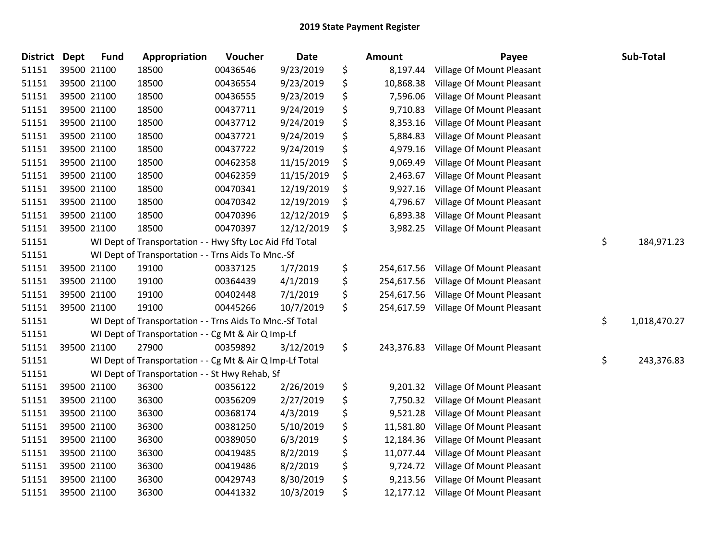| <b>District</b> | <b>Dept</b> | <b>Fund</b> | Appropriation                                            | Voucher  | <b>Date</b> | Amount           | Payee                     | Sub-Total          |
|-----------------|-------------|-------------|----------------------------------------------------------|----------|-------------|------------------|---------------------------|--------------------|
| 51151           |             | 39500 21100 | 18500                                                    | 00436546 | 9/23/2019   | \$<br>8,197.44   | Village Of Mount Pleasant |                    |
| 51151           |             | 39500 21100 | 18500                                                    | 00436554 | 9/23/2019   | \$<br>10,868.38  | Village Of Mount Pleasant |                    |
| 51151           |             | 39500 21100 | 18500                                                    | 00436555 | 9/23/2019   | \$<br>7,596.06   | Village Of Mount Pleasant |                    |
| 51151           |             | 39500 21100 | 18500                                                    | 00437711 | 9/24/2019   | \$<br>9,710.83   | Village Of Mount Pleasant |                    |
| 51151           |             | 39500 21100 | 18500                                                    | 00437712 | 9/24/2019   | \$<br>8,353.16   | Village Of Mount Pleasant |                    |
| 51151           |             | 39500 21100 | 18500                                                    | 00437721 | 9/24/2019   | \$<br>5,884.83   | Village Of Mount Pleasant |                    |
| 51151           |             | 39500 21100 | 18500                                                    | 00437722 | 9/24/2019   | \$<br>4,979.16   | Village Of Mount Pleasant |                    |
| 51151           |             | 39500 21100 | 18500                                                    | 00462358 | 11/15/2019  | \$<br>9,069.49   | Village Of Mount Pleasant |                    |
| 51151           |             | 39500 21100 | 18500                                                    | 00462359 | 11/15/2019  | \$<br>2,463.67   | Village Of Mount Pleasant |                    |
| 51151           |             | 39500 21100 | 18500                                                    | 00470341 | 12/19/2019  | \$<br>9,927.16   | Village Of Mount Pleasant |                    |
| 51151           |             | 39500 21100 | 18500                                                    | 00470342 | 12/19/2019  | \$<br>4,796.67   | Village Of Mount Pleasant |                    |
| 51151           |             | 39500 21100 | 18500                                                    | 00470396 | 12/12/2019  | \$<br>6,893.38   | Village Of Mount Pleasant |                    |
| 51151           |             | 39500 21100 | 18500                                                    | 00470397 | 12/12/2019  | \$<br>3,982.25   | Village Of Mount Pleasant |                    |
| 51151           |             |             | WI Dept of Transportation - - Hwy Sfty Loc Aid Ffd Total |          |             |                  |                           | \$<br>184,971.23   |
| 51151           |             |             | WI Dept of Transportation - - Trns Aids To Mnc.-Sf       |          |             |                  |                           |                    |
| 51151           |             | 39500 21100 | 19100                                                    | 00337125 | 1/7/2019    | \$<br>254,617.56 | Village Of Mount Pleasant |                    |
| 51151           |             | 39500 21100 | 19100                                                    | 00364439 | 4/1/2019    | \$<br>254,617.56 | Village Of Mount Pleasant |                    |
| 51151           |             | 39500 21100 | 19100                                                    | 00402448 | 7/1/2019    | \$<br>254,617.56 | Village Of Mount Pleasant |                    |
| 51151           |             | 39500 21100 | 19100                                                    | 00445266 | 10/7/2019   | \$<br>254,617.59 | Village Of Mount Pleasant |                    |
| 51151           |             |             | WI Dept of Transportation - - Trns Aids To Mnc.-Sf Total |          |             |                  |                           | \$<br>1,018,470.27 |
| 51151           |             |             | WI Dept of Transportation - - Cg Mt & Air Q Imp-Lf       |          |             |                  |                           |                    |
| 51151           |             | 39500 21100 | 27900                                                    | 00359892 | 3/12/2019   | \$<br>243,376.83 | Village Of Mount Pleasant |                    |
| 51151           |             |             | WI Dept of Transportation - - Cg Mt & Air Q Imp-Lf Total |          |             |                  |                           | \$<br>243,376.83   |
| 51151           |             |             | WI Dept of Transportation - - St Hwy Rehab, Sf           |          |             |                  |                           |                    |
| 51151           |             | 39500 21100 | 36300                                                    | 00356122 | 2/26/2019   | \$<br>9,201.32   | Village Of Mount Pleasant |                    |
| 51151           |             | 39500 21100 | 36300                                                    | 00356209 | 2/27/2019   | \$<br>7,750.32   | Village Of Mount Pleasant |                    |
| 51151           |             | 39500 21100 | 36300                                                    | 00368174 | 4/3/2019    | \$<br>9,521.28   | Village Of Mount Pleasant |                    |
| 51151           |             | 39500 21100 | 36300                                                    | 00381250 | 5/10/2019   | \$<br>11,581.80  | Village Of Mount Pleasant |                    |
| 51151           |             | 39500 21100 | 36300                                                    | 00389050 | 6/3/2019    | \$<br>12,184.36  | Village Of Mount Pleasant |                    |
| 51151           |             | 39500 21100 | 36300                                                    | 00419485 | 8/2/2019    | \$<br>11,077.44  | Village Of Mount Pleasant |                    |
| 51151           |             | 39500 21100 | 36300                                                    | 00419486 | 8/2/2019    | \$<br>9,724.72   | Village Of Mount Pleasant |                    |
| 51151           |             | 39500 21100 | 36300                                                    | 00429743 | 8/30/2019   | \$<br>9,213.56   | Village Of Mount Pleasant |                    |
| 51151           |             | 39500 21100 | 36300                                                    | 00441332 | 10/3/2019   | \$<br>12,177.12  | Village Of Mount Pleasant |                    |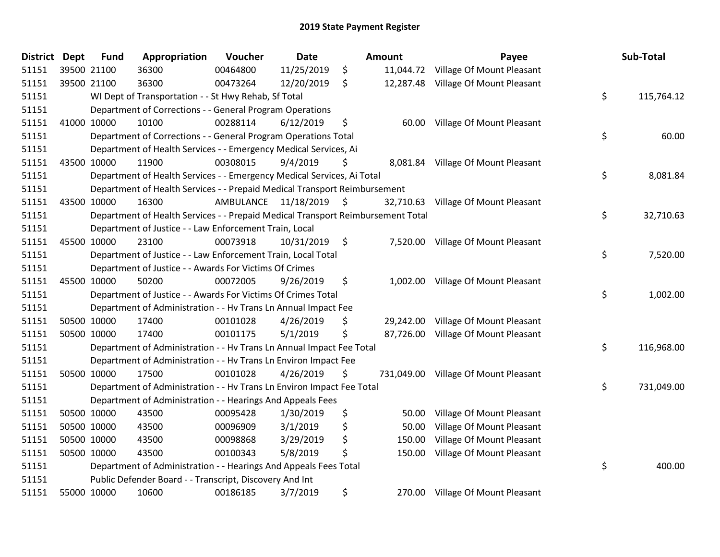| <b>District</b> | <b>Dept</b> | <b>Fund</b> | Appropriation                                                                   | Voucher   | <b>Date</b> |      | Amount    | Payee                                | Sub-Total        |
|-----------------|-------------|-------------|---------------------------------------------------------------------------------|-----------|-------------|------|-----------|--------------------------------------|------------------|
| 51151           | 39500 21100 |             | 36300                                                                           | 00464800  | 11/25/2019  | \$   |           | 11,044.72 Village Of Mount Pleasant  |                  |
| 51151           | 39500 21100 |             | 36300                                                                           | 00473264  | 12/20/2019  | \$   | 12,287.48 | Village Of Mount Pleasant            |                  |
| 51151           |             |             | WI Dept of Transportation - - St Hwy Rehab, Sf Total                            |           |             |      |           |                                      | \$<br>115,764.12 |
| 51151           |             |             | Department of Corrections - - General Program Operations                        |           |             |      |           |                                      |                  |
| 51151           | 41000 10000 |             | 10100                                                                           | 00288114  | 6/12/2019   | \$   | 60.00     | Village Of Mount Pleasant            |                  |
| 51151           |             |             | Department of Corrections - - General Program Operations Total                  |           |             |      |           |                                      | \$<br>60.00      |
| 51151           |             |             | Department of Health Services - - Emergency Medical Services, Ai                |           |             |      |           |                                      |                  |
| 51151           | 43500 10000 |             | 11900                                                                           | 00308015  | 9/4/2019    | \$   | 8,081.84  | Village Of Mount Pleasant            |                  |
| 51151           |             |             | Department of Health Services - - Emergency Medical Services, Ai Total          |           |             |      |           |                                      | \$<br>8,081.84   |
| 51151           |             |             | Department of Health Services - - Prepaid Medical Transport Reimbursement       |           |             |      |           |                                      |                  |
| 51151           | 43500 10000 |             | 16300                                                                           | AMBULANCE | 11/18/2019  | \$   | 32,710.63 | Village Of Mount Pleasant            |                  |
| 51151           |             |             | Department of Health Services - - Prepaid Medical Transport Reimbursement Total |           |             |      |           |                                      | \$<br>32,710.63  |
| 51151           |             |             | Department of Justice - - Law Enforcement Train, Local                          |           |             |      |           |                                      |                  |
| 51151           | 45500 10000 |             | 23100                                                                           | 00073918  | 10/31/2019  | - \$ |           | 7,520.00 Village Of Mount Pleasant   |                  |
| 51151           |             |             | Department of Justice - - Law Enforcement Train, Local Total                    |           |             |      |           |                                      | \$<br>7,520.00   |
| 51151           |             |             | Department of Justice - - Awards For Victims Of Crimes                          |           |             |      |           |                                      |                  |
| 51151           | 45500 10000 |             | 50200                                                                           | 00072005  | 9/26/2019   | \$   | 1,002.00  | Village Of Mount Pleasant            |                  |
| 51151           |             |             | Department of Justice - - Awards For Victims Of Crimes Total                    |           |             |      |           |                                      | \$<br>1,002.00   |
| 51151           |             |             | Department of Administration - - Hv Trans Ln Annual Impact Fee                  |           |             |      |           |                                      |                  |
| 51151           |             | 50500 10000 | 17400                                                                           | 00101028  | 4/26/2019   | \$   | 29,242.00 | Village Of Mount Pleasant            |                  |
| 51151           | 50500 10000 |             | 17400                                                                           | 00101175  | 5/1/2019    | \$   | 87,726.00 | Village Of Mount Pleasant            |                  |
| 51151           |             |             | Department of Administration - - Hv Trans Ln Annual Impact Fee Total            |           |             |      |           |                                      | \$<br>116,968.00 |
| 51151           |             |             | Department of Administration - - Hv Trans Ln Environ Impact Fee                 |           |             |      |           |                                      |                  |
| 51151           |             | 50500 10000 | 17500                                                                           | 00101028  | 4/26/2019   | \$   |           | 731,049.00 Village Of Mount Pleasant |                  |
| 51151           |             |             | Department of Administration - - Hv Trans Ln Environ Impact Fee Total           |           |             |      |           |                                      | \$<br>731,049.00 |
| 51151           |             |             | Department of Administration - - Hearings And Appeals Fees                      |           |             |      |           |                                      |                  |
| 51151           | 50500 10000 |             | 43500                                                                           | 00095428  | 1/30/2019   | \$   | 50.00     | Village Of Mount Pleasant            |                  |
| 51151           | 50500 10000 |             | 43500                                                                           | 00096909  | 3/1/2019    | \$   | 50.00     | Village Of Mount Pleasant            |                  |
| 51151           | 50500 10000 |             | 43500                                                                           | 00098868  | 3/29/2019   | \$   | 150.00    | Village Of Mount Pleasant            |                  |
| 51151           | 50500 10000 |             | 43500                                                                           | 00100343  | 5/8/2019    | \$   | 150.00    | Village Of Mount Pleasant            |                  |
| 51151           |             |             | Department of Administration - - Hearings And Appeals Fees Total                |           |             |      |           |                                      | \$<br>400.00     |
| 51151           |             |             | Public Defender Board - - Transcript, Discovery And Int                         |           |             |      |           |                                      |                  |
| 51151           | 55000 10000 |             | 10600                                                                           | 00186185  | 3/7/2019    | \$   | 270.00    | Village Of Mount Pleasant            |                  |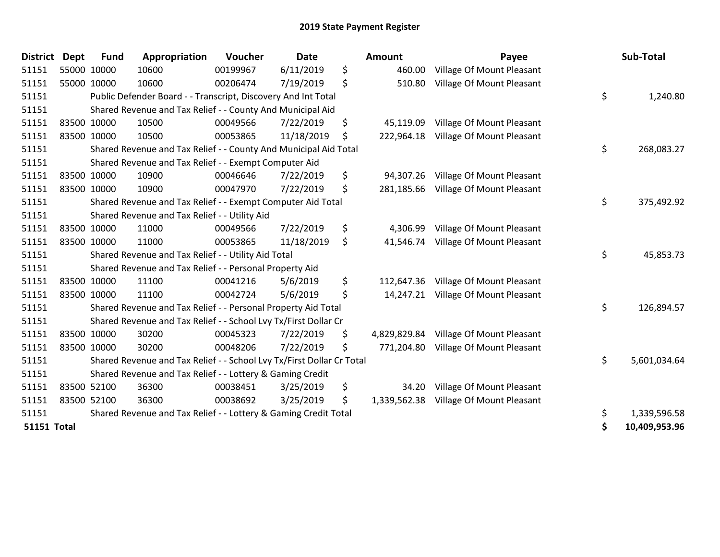| <b>District</b>    | <b>Dept</b> | <b>Fund</b> | Appropriation                                                         | Voucher  | <b>Date</b> | <b>Amount</b>      | Payee                            | Sub-Total           |
|--------------------|-------------|-------------|-----------------------------------------------------------------------|----------|-------------|--------------------|----------------------------------|---------------------|
| 51151              |             | 55000 10000 | 10600                                                                 | 00199967 | 6/11/2019   | \$<br>460.00       | Village Of Mount Pleasant        |                     |
| 51151              |             | 55000 10000 | 10600                                                                 | 00206474 | 7/19/2019   | \$<br>510.80       | Village Of Mount Pleasant        |                     |
| 51151              |             |             | Public Defender Board - - Transcript, Discovery And Int Total         |          |             |                    |                                  | \$<br>1,240.80      |
| 51151              |             |             | Shared Revenue and Tax Relief - - County And Municipal Aid            |          |             |                    |                                  |                     |
| 51151              |             | 83500 10000 | 10500                                                                 | 00049566 | 7/22/2019   | \$<br>45,119.09    | Village Of Mount Pleasant        |                     |
| 51151              |             | 83500 10000 | 10500                                                                 | 00053865 | 11/18/2019  | \$<br>222,964.18   | <b>Village Of Mount Pleasant</b> |                     |
| 51151              |             |             | Shared Revenue and Tax Relief - - County And Municipal Aid Total      |          |             |                    |                                  | \$<br>268,083.27    |
| 51151              |             |             | Shared Revenue and Tax Relief - - Exempt Computer Aid                 |          |             |                    |                                  |                     |
| 51151              |             | 83500 10000 | 10900                                                                 | 00046646 | 7/22/2019   | \$<br>94,307.26    | Village Of Mount Pleasant        |                     |
| 51151              |             | 83500 10000 | 10900                                                                 | 00047970 | 7/22/2019   | \$<br>281,185.66   | <b>Village Of Mount Pleasant</b> |                     |
| 51151              |             |             | Shared Revenue and Tax Relief - - Exempt Computer Aid Total           |          |             |                    |                                  | \$<br>375,492.92    |
| 51151              |             |             | Shared Revenue and Tax Relief - - Utility Aid                         |          |             |                    |                                  |                     |
| 51151              |             | 83500 10000 | 11000                                                                 | 00049566 | 7/22/2019   | \$<br>4,306.99     | Village Of Mount Pleasant        |                     |
| 51151              |             | 83500 10000 | 11000                                                                 | 00053865 | 11/18/2019  | \$<br>41,546.74    | <b>Village Of Mount Pleasant</b> |                     |
| 51151              |             |             | Shared Revenue and Tax Relief - - Utility Aid Total                   |          |             |                    |                                  | \$<br>45,853.73     |
| 51151              |             |             | Shared Revenue and Tax Relief - - Personal Property Aid               |          |             |                    |                                  |                     |
| 51151              |             | 83500 10000 | 11100                                                                 | 00041216 | 5/6/2019    | \$<br>112,647.36   | Village Of Mount Pleasant        |                     |
| 51151              |             | 83500 10000 | 11100                                                                 | 00042724 | 5/6/2019    | \$<br>14,247.21    | Village Of Mount Pleasant        |                     |
| 51151              |             |             | Shared Revenue and Tax Relief - - Personal Property Aid Total         |          |             |                    |                                  | \$<br>126,894.57    |
| 51151              |             |             | Shared Revenue and Tax Relief - - School Lvy Tx/First Dollar Cr       |          |             |                    |                                  |                     |
| 51151              |             | 83500 10000 | 30200                                                                 | 00045323 | 7/22/2019   | \$<br>4,829,829.84 | Village Of Mount Pleasant        |                     |
| 51151              |             | 83500 10000 | 30200                                                                 | 00048206 | 7/22/2019   | \$<br>771,204.80   | Village Of Mount Pleasant        |                     |
| 51151              |             |             | Shared Revenue and Tax Relief - - School Lvy Tx/First Dollar Cr Total |          |             |                    |                                  | \$<br>5,601,034.64  |
| 51151              |             |             | Shared Revenue and Tax Relief - - Lottery & Gaming Credit             |          |             |                    |                                  |                     |
| 51151              |             | 83500 52100 | 36300                                                                 | 00038451 | 3/25/2019   | \$<br>34.20        | Village Of Mount Pleasant        |                     |
| 51151              |             | 83500 52100 | 36300                                                                 | 00038692 | 3/25/2019   | \$<br>1,339,562.38 | Village Of Mount Pleasant        |                     |
| 51151              |             |             | Shared Revenue and Tax Relief - - Lottery & Gaming Credit Total       |          |             |                    |                                  | \$<br>1,339,596.58  |
| <b>51151 Total</b> |             |             |                                                                       |          |             |                    |                                  | \$<br>10,409,953.96 |

| District           | Dept        | <b>Fund</b> | Appropriation                                                         | Voucher  | Date       | Amount             | Payee                                | Sub-Total           |
|--------------------|-------------|-------------|-----------------------------------------------------------------------|----------|------------|--------------------|--------------------------------------|---------------------|
| 51151              | 55000 10000 |             | 10600                                                                 | 00199967 | 6/11/2019  | \$<br>460.00       | Village Of Mount Pleasant            |                     |
| 51151              | 55000 10000 |             | 10600                                                                 | 00206474 | 7/19/2019  | \$<br>510.80       | Village Of Mount Pleasant            |                     |
| 51151              |             |             | Public Defender Board - - Transcript, Discovery And Int Total         |          |            |                    |                                      | \$<br>1,240.80      |
| 51151              |             |             | Shared Revenue and Tax Relief - - County And Municipal Aid            |          |            |                    |                                      |                     |
| 51151              | 83500 10000 |             | 10500                                                                 | 00049566 | 7/22/2019  | \$<br>45,119.09    | Village Of Mount Pleasant            |                     |
| 51151              | 83500 10000 |             | 10500                                                                 | 00053865 | 11/18/2019 | \$<br>222,964.18   | <b>Village Of Mount Pleasant</b>     |                     |
| 51151              |             |             | Shared Revenue and Tax Relief - - County And Municipal Aid Total      |          |            |                    |                                      | \$<br>268,083.27    |
| 51151              |             |             | Shared Revenue and Tax Relief - - Exempt Computer Aid                 |          |            |                    |                                      |                     |
| 51151              | 83500 10000 |             | 10900                                                                 | 00046646 | 7/22/2019  | \$<br>94,307.26    | Village Of Mount Pleasant            |                     |
| 51151              | 83500 10000 |             | 10900                                                                 | 00047970 | 7/22/2019  | \$                 | 281,185.66 Village Of Mount Pleasant |                     |
| 51151              |             |             | Shared Revenue and Tax Relief - - Exempt Computer Aid Total           |          |            |                    |                                      | \$<br>375,492.92    |
| 51151              |             |             | Shared Revenue and Tax Relief - - Utility Aid                         |          |            |                    |                                      |                     |
| 51151              |             | 83500 10000 | 11000                                                                 | 00049566 | 7/22/2019  | \$<br>4,306.99     | Village Of Mount Pleasant            |                     |
| 51151              | 83500 10000 |             | 11000                                                                 | 00053865 | 11/18/2019 | \$<br>41,546.74    | Village Of Mount Pleasant            |                     |
| 51151              |             |             | Shared Revenue and Tax Relief - - Utility Aid Total                   |          |            |                    |                                      | \$<br>45,853.73     |
| 51151              |             |             | Shared Revenue and Tax Relief - - Personal Property Aid               |          |            |                    |                                      |                     |
| 51151              |             | 83500 10000 | 11100                                                                 | 00041216 | 5/6/2019   | \$<br>112,647.36   | Village Of Mount Pleasant            |                     |
| 51151              | 83500 10000 |             | 11100                                                                 | 00042724 | 5/6/2019   | \$                 | 14,247.21 Village Of Mount Pleasant  |                     |
| 51151              |             |             | Shared Revenue and Tax Relief - - Personal Property Aid Total         |          |            |                    |                                      | \$<br>126,894.57    |
| 51151              |             |             | Shared Revenue and Tax Relief - - School Lvy Tx/First Dollar Cr       |          |            |                    |                                      |                     |
| 51151              | 83500 10000 |             | 30200                                                                 | 00045323 | 7/22/2019  | \$<br>4,829,829.84 | Village Of Mount Pleasant            |                     |
| 51151              | 83500 10000 |             | 30200                                                                 | 00048206 | 7/22/2019  | \$<br>771,204.80   | Village Of Mount Pleasant            |                     |
| 51151              |             |             | Shared Revenue and Tax Relief - - School Lvy Tx/First Dollar Cr Total |          |            |                    |                                      | \$<br>5,601,034.64  |
| 51151              |             |             | Shared Revenue and Tax Relief - - Lottery & Gaming Credit             |          |            |                    |                                      |                     |
| 51151              | 83500 52100 |             | 36300                                                                 | 00038451 | 3/25/2019  | \$<br>34.20        | <b>Village Of Mount Pleasant</b>     |                     |
| 51151              | 83500 52100 |             | 36300                                                                 | 00038692 | 3/25/2019  | \$<br>1,339,562.38 | Village Of Mount Pleasant            |                     |
| 51151              |             |             | Shared Revenue and Tax Relief - - Lottery & Gaming Credit Total       |          |            |                    |                                      | \$<br>1,339,596.58  |
| <b>51151 Total</b> |             |             |                                                                       |          |            |                    |                                      | \$<br>10,409,953.96 |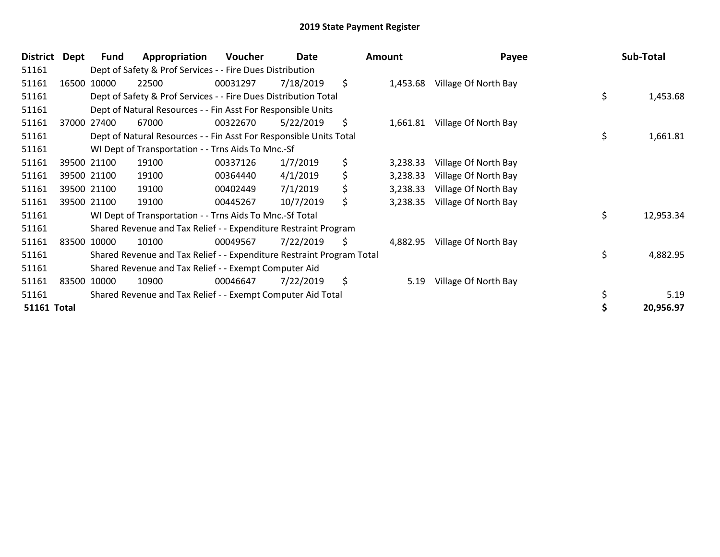| <b>District</b>    | Dept | <b>Fund</b>                                                 | Appropriation                                                         | Voucher  | Date      |     | <b>Amount</b> | Payee                |    | Sub-Total |
|--------------------|------|-------------------------------------------------------------|-----------------------------------------------------------------------|----------|-----------|-----|---------------|----------------------|----|-----------|
| 51161              |      |                                                             | Dept of Safety & Prof Services - - Fire Dues Distribution             |          |           |     |               |                      |    |           |
| 51161              |      | 16500 10000                                                 | 22500                                                                 | 00031297 | 7/18/2019 | \$  | 1,453.68      | Village Of North Bay |    |           |
| 51161              |      |                                                             | Dept of Safety & Prof Services - - Fire Dues Distribution Total       |          |           |     |               |                      | \$ | 1,453.68  |
| 51161              |      |                                                             | Dept of Natural Resources - - Fin Asst For Responsible Units          |          |           |     |               |                      |    |           |
| 51161              |      | 37000 27400                                                 | 67000                                                                 | 00322670 | 5/22/2019 | \$  | 1,661.81      | Village Of North Bay |    |           |
| 51161              |      |                                                             | Dept of Natural Resources - - Fin Asst For Responsible Units Total    |          |           |     |               |                      | \$ | 1,661.81  |
| 51161              |      |                                                             | WI Dept of Transportation - - Trns Aids To Mnc.-Sf                    |          |           |     |               |                      |    |           |
| 51161              |      | 39500 21100                                                 | 19100                                                                 | 00337126 | 1/7/2019  | \$  | 3,238.33      | Village Of North Bay |    |           |
| 51161              |      | 39500 21100                                                 | 19100                                                                 | 00364440 | 4/1/2019  | \$  | 3,238.33      | Village Of North Bay |    |           |
| 51161              |      | 39500 21100                                                 | 19100                                                                 | 00402449 | 7/1/2019  | \$  | 3,238.33      | Village Of North Bay |    |           |
| 51161              |      | 39500 21100                                                 | 19100                                                                 | 00445267 | 10/7/2019 | \$  | 3,238.35      | Village Of North Bay |    |           |
| 51161              |      |                                                             | WI Dept of Transportation - - Trns Aids To Mnc.-Sf Total              |          |           |     |               |                      | \$ | 12,953.34 |
| 51161              |      |                                                             | Shared Revenue and Tax Relief - - Expenditure Restraint Program       |          |           |     |               |                      |    |           |
| 51161              |      | 83500 10000                                                 | 10100                                                                 | 00049567 | 7/22/2019 | \$. | 4,882.95      | Village Of North Bay |    |           |
| 51161              |      |                                                             | Shared Revenue and Tax Relief - - Expenditure Restraint Program Total |          |           |     |               |                      | \$ | 4,882.95  |
| 51161              |      |                                                             | Shared Revenue and Tax Relief - - Exempt Computer Aid                 |          |           |     |               |                      |    |           |
| 51161              |      | 83500 10000                                                 | 10900                                                                 | 00046647 | 7/22/2019 | \$  | 5.19          | Village Of North Bay |    |           |
| 51161              |      | Shared Revenue and Tax Relief - - Exempt Computer Aid Total |                                                                       |          |           |     |               |                      |    | 5.19      |
| <b>51161 Total</b> |      |                                                             |                                                                       |          |           |     |               |                      |    | 20,956.97 |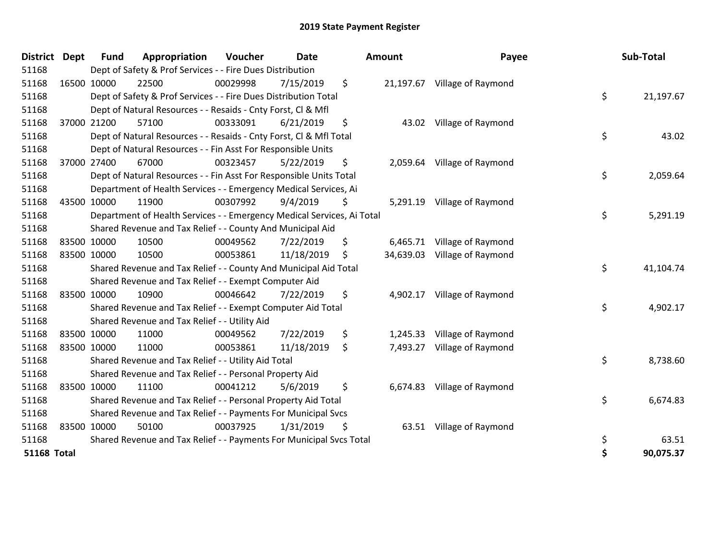| <b>District</b>    | <b>Dept</b> | <b>Fund</b> | Appropriation                                                          | Voucher  | <b>Date</b> |    | Amount    | Payee                        |    | Sub-Total |
|--------------------|-------------|-------------|------------------------------------------------------------------------|----------|-------------|----|-----------|------------------------------|----|-----------|
| 51168              |             |             | Dept of Safety & Prof Services - - Fire Dues Distribution              |          |             |    |           |                              |    |           |
| 51168              |             | 16500 10000 | 22500                                                                  | 00029998 | 7/15/2019   | \$ |           | 21,197.67 Village of Raymond |    |           |
| 51168              |             |             | Dept of Safety & Prof Services - - Fire Dues Distribution Total        |          |             |    |           |                              |    | 21,197.67 |
| 51168              |             |             | Dept of Natural Resources - - Resaids - Cnty Forst, CI & Mfl           |          |             |    |           |                              |    |           |
| 51168              |             | 37000 21200 | 57100                                                                  | 00333091 | 6/21/2019   | \$ | 43.02     | Village of Raymond           |    |           |
| 51168              |             |             | Dept of Natural Resources - - Resaids - Cnty Forst, CI & Mfl Total     |          |             |    |           |                              | \$ | 43.02     |
| 51168              |             |             | Dept of Natural Resources - - Fin Asst For Responsible Units           |          |             |    |           |                              |    |           |
| 51168              |             | 37000 27400 | 67000                                                                  | 00323457 | 5/22/2019   | \$ | 2,059.64  | Village of Raymond           |    |           |
| 51168              |             |             | Dept of Natural Resources - - Fin Asst For Responsible Units Total     |          |             |    |           |                              | \$ | 2,059.64  |
| 51168              |             |             | Department of Health Services - - Emergency Medical Services, Ai       |          |             |    |           |                              |    |           |
| 51168              |             | 43500 10000 | 11900                                                                  | 00307992 | 9/4/2019    | \$ |           | 5,291.19 Village of Raymond  |    |           |
| 51168              |             |             | Department of Health Services - - Emergency Medical Services, Ai Total |          |             |    |           |                              | \$ | 5,291.19  |
| 51168              |             |             | Shared Revenue and Tax Relief - - County And Municipal Aid             |          |             |    |           |                              |    |           |
| 51168              |             | 83500 10000 | 10500                                                                  | 00049562 | 7/22/2019   | \$ | 6,465.71  | Village of Raymond           |    |           |
| 51168              |             | 83500 10000 | 10500                                                                  | 00053861 | 11/18/2019  | \$ | 34,639.03 | Village of Raymond           |    |           |
| 51168              |             |             | Shared Revenue and Tax Relief - - County And Municipal Aid Total       |          |             |    |           |                              | \$ | 41,104.74 |
| 51168              |             |             | Shared Revenue and Tax Relief - - Exempt Computer Aid                  |          |             |    |           |                              |    |           |
| 51168              |             | 83500 10000 | 10900                                                                  | 00046642 | 7/22/2019   | \$ | 4,902.17  | Village of Raymond           |    |           |
| 51168              |             |             | Shared Revenue and Tax Relief - - Exempt Computer Aid Total            |          |             |    |           |                              | \$ | 4,902.17  |
| 51168              |             |             | Shared Revenue and Tax Relief - - Utility Aid                          |          |             |    |           |                              |    |           |
| 51168              |             | 83500 10000 | 11000                                                                  | 00049562 | 7/22/2019   | \$ | 1,245.33  | Village of Raymond           |    |           |
| 51168              |             | 83500 10000 | 11000                                                                  | 00053861 | 11/18/2019  | \$ | 7,493.27  | Village of Raymond           |    |           |
| 51168              |             |             | Shared Revenue and Tax Relief - - Utility Aid Total                    |          |             |    |           |                              | \$ | 8,738.60  |
| 51168              |             |             | Shared Revenue and Tax Relief - - Personal Property Aid                |          |             |    |           |                              |    |           |
| 51168              |             | 83500 10000 | 11100                                                                  | 00041212 | 5/6/2019    | \$ |           | 6,674.83 Village of Raymond  |    |           |
| 51168              |             |             | Shared Revenue and Tax Relief - - Personal Property Aid Total          |          |             |    |           |                              | \$ | 6,674.83  |
| 51168              |             |             | Shared Revenue and Tax Relief - - Payments For Municipal Svcs          |          |             |    |           |                              |    |           |
| 51168              |             | 83500 10000 | 50100                                                                  | 00037925 | 1/31/2019   | \$ |           | 63.51 Village of Raymond     |    |           |
| 51168              |             |             | Shared Revenue and Tax Relief - - Payments For Municipal Svcs Total    |          |             |    |           |                              | \$ | 63.51     |
| <b>51168 Total</b> |             |             |                                                                        |          |             |    |           |                              | \$ | 90,075.37 |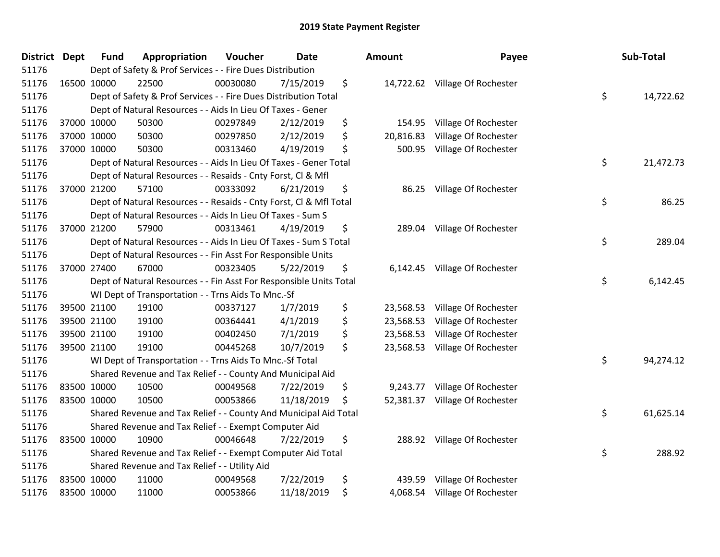| District Dept | <b>Fund</b> | Appropriation                                                      | Voucher  | Date       | Amount          | Payee                          | Sub-Total       |
|---------------|-------------|--------------------------------------------------------------------|----------|------------|-----------------|--------------------------------|-----------------|
| 51176         |             | Dept of Safety & Prof Services - - Fire Dues Distribution          |          |            |                 |                                |                 |
| 51176         | 16500 10000 | 22500                                                              | 00030080 | 7/15/2019  | \$              | 14,722.62 Village Of Rochester |                 |
| 51176         |             | Dept of Safety & Prof Services - - Fire Dues Distribution Total    |          |            |                 |                                | \$<br>14,722.62 |
| 51176         |             | Dept of Natural Resources - - Aids In Lieu Of Taxes - Gener        |          |            |                 |                                |                 |
| 51176         | 37000 10000 | 50300                                                              | 00297849 | 2/12/2019  | \$<br>154.95    | Village Of Rochester           |                 |
| 51176         | 37000 10000 | 50300                                                              | 00297850 | 2/12/2019  | \$<br>20,816.83 | Village Of Rochester           |                 |
| 51176         | 37000 10000 | 50300                                                              | 00313460 | 4/19/2019  | \$<br>500.95    | Village Of Rochester           |                 |
| 51176         |             | Dept of Natural Resources - - Aids In Lieu Of Taxes - Gener Total  |          |            |                 |                                | \$<br>21,472.73 |
| 51176         |             | Dept of Natural Resources - - Resaids - Cnty Forst, Cl & Mfl       |          |            |                 |                                |                 |
| 51176         | 37000 21200 | 57100                                                              | 00333092 | 6/21/2019  | \$              | 86.25 Village Of Rochester     |                 |
| 51176         |             | Dept of Natural Resources - - Resaids - Cnty Forst, Cl & Mfl Total |          |            |                 |                                | \$<br>86.25     |
| 51176         |             | Dept of Natural Resources - - Aids In Lieu Of Taxes - Sum S        |          |            |                 |                                |                 |
| 51176         | 37000 21200 | 57900                                                              | 00313461 | 4/19/2019  | \$              | 289.04 Village Of Rochester    |                 |
| 51176         |             | Dept of Natural Resources - - Aids In Lieu Of Taxes - Sum S Total  |          |            |                 |                                | \$<br>289.04    |
| 51176         |             | Dept of Natural Resources - - Fin Asst For Responsible Units       |          |            |                 |                                |                 |
| 51176         | 37000 27400 | 67000                                                              | 00323405 | 5/22/2019  | \$<br>6,142.45  | Village Of Rochester           |                 |
| 51176         |             | Dept of Natural Resources - - Fin Asst For Responsible Units Total |          |            |                 |                                | \$<br>6,142.45  |
| 51176         |             | WI Dept of Transportation - - Trns Aids To Mnc.-Sf                 |          |            |                 |                                |                 |
| 51176         | 39500 21100 | 19100                                                              | 00337127 | 1/7/2019   | \$<br>23,568.53 | Village Of Rochester           |                 |
| 51176         | 39500 21100 | 19100                                                              | 00364441 | 4/1/2019   | \$<br>23,568.53 | Village Of Rochester           |                 |
| 51176         | 39500 21100 | 19100                                                              | 00402450 | 7/1/2019   | \$<br>23,568.53 | Village Of Rochester           |                 |
| 51176         | 39500 21100 | 19100                                                              | 00445268 | 10/7/2019  | \$<br>23,568.53 | Village Of Rochester           |                 |
| 51176         |             | WI Dept of Transportation - - Trns Aids To Mnc.-Sf Total           |          |            |                 |                                | \$<br>94,274.12 |
| 51176         |             | Shared Revenue and Tax Relief - - County And Municipal Aid         |          |            |                 |                                |                 |
| 51176         | 83500 10000 | 10500                                                              | 00049568 | 7/22/2019  | \$<br>9,243.77  | Village Of Rochester           |                 |
| 51176         | 83500 10000 | 10500                                                              | 00053866 | 11/18/2019 | \$<br>52,381.37 | Village Of Rochester           |                 |
| 51176         |             | Shared Revenue and Tax Relief - - County And Municipal Aid Total   |          |            |                 |                                | \$<br>61,625.14 |
| 51176         |             | Shared Revenue and Tax Relief - - Exempt Computer Aid              |          |            |                 |                                |                 |
| 51176         | 83500 10000 | 10900                                                              | 00046648 | 7/22/2019  | \$              | 288.92 Village Of Rochester    |                 |
| 51176         |             | Shared Revenue and Tax Relief - - Exempt Computer Aid Total        |          |            |                 |                                | \$<br>288.92    |
| 51176         |             | Shared Revenue and Tax Relief - - Utility Aid                      |          |            |                 |                                |                 |
| 51176         | 83500 10000 | 11000                                                              | 00049568 | 7/22/2019  | \$<br>439.59    | Village Of Rochester           |                 |
| 51176         | 83500 10000 | 11000                                                              | 00053866 | 11/18/2019 | \$<br>4,068.54  | Village Of Rochester           |                 |

| าount     | Payee                | Sub-Total       |
|-----------|----------------------|-----------------|
| 14,722.62 | Village Of Rochester | \$<br>14,722.62 |
| 154.95    | Village Of Rochester |                 |
| 20,816.83 | Village Of Rochester |                 |
| 500.95    | Village Of Rochester |                 |
|           |                      | \$<br>21,472.73 |
| 86.25     | Village Of Rochester |                 |
|           |                      | \$<br>86.25     |
| 289.04    | Village Of Rochester |                 |
|           |                      | \$<br>289.04    |
| 6,142.45  | Village Of Rochester | \$<br>6,142.45  |
| 23,568.53 | Village Of Rochester |                 |
| 23,568.53 | Village Of Rochester |                 |
| 23,568.53 | Village Of Rochester |                 |
| 23,568.53 | Village Of Rochester |                 |
|           |                      | \$<br>94,274.12 |
| 9,243.77  | Village Of Rochester |                 |
| 52,381.37 | Village Of Rochester |                 |
|           |                      | \$<br>61,625.14 |
| 288.92    | Village Of Rochester | \$<br>288.92    |
| 439.59    | Village Of Rochester |                 |
| 4,068.54  | Village Of Rochester |                 |
|           |                      |                 |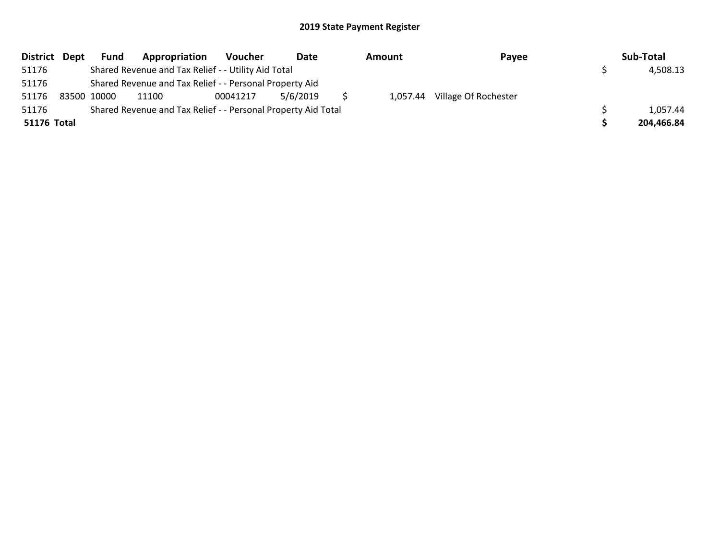| District Dept | <b>Fund</b> | Appropriation                                                 | Voucher  | Date     | Amount | Payee                         | Sub-Total  |
|---------------|-------------|---------------------------------------------------------------|----------|----------|--------|-------------------------------|------------|
| 51176         |             | Shared Revenue and Tax Relief - - Utility Aid Total           |          |          |        |                               | 4,508.13   |
| 51176         |             | Shared Revenue and Tax Relief - - Personal Property Aid       |          |          |        |                               |            |
| 51176         | 83500 10000 | 11100                                                         | 00041217 | 5/6/2019 |        | 1,057.44 Village Of Rochester |            |
| 51176         |             | Shared Revenue and Tax Relief - - Personal Property Aid Total |          |          |        |                               | 1,057.44   |
| 51176 Total   |             |                                                               |          |          |        |                               | 204,466.84 |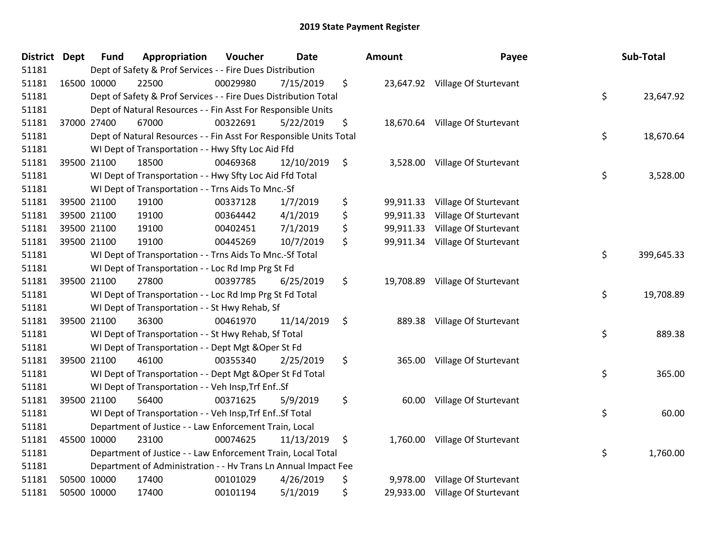| <b>District</b> | <b>Dept</b> | <b>Fund</b> | Appropriation                                                      | Voucher  | <b>Date</b> | Amount          | Payee                           | Sub-Total        |
|-----------------|-------------|-------------|--------------------------------------------------------------------|----------|-------------|-----------------|---------------------------------|------------------|
| 51181           |             |             | Dept of Safety & Prof Services - - Fire Dues Distribution          |          |             |                 |                                 |                  |
| 51181           | 16500 10000 |             | 22500                                                              | 00029980 | 7/15/2019   | \$              | 23,647.92 Village Of Sturtevant |                  |
| 51181           |             |             | Dept of Safety & Prof Services - - Fire Dues Distribution Total    |          |             |                 |                                 | \$<br>23,647.92  |
| 51181           |             |             | Dept of Natural Resources - - Fin Asst For Responsible Units       |          |             |                 |                                 |                  |
| 51181           | 37000 27400 |             | 67000                                                              | 00322691 | 5/22/2019   | \$<br>18,670.64 | Village Of Sturtevant           |                  |
| 51181           |             |             | Dept of Natural Resources - - Fin Asst For Responsible Units Total |          |             |                 |                                 | \$<br>18,670.64  |
| 51181           |             |             | WI Dept of Transportation - - Hwy Sfty Loc Aid Ffd                 |          |             |                 |                                 |                  |
| 51181           |             | 39500 21100 | 18500                                                              | 00469368 | 12/10/2019  | \$<br>3,528.00  | Village Of Sturtevant           |                  |
| 51181           |             |             | WI Dept of Transportation - - Hwy Sfty Loc Aid Ffd Total           |          |             |                 |                                 | \$<br>3,528.00   |
| 51181           |             |             | WI Dept of Transportation - - Trns Aids To Mnc.-Sf                 |          |             |                 |                                 |                  |
| 51181           |             | 39500 21100 | 19100                                                              | 00337128 | 1/7/2019    | \$<br>99,911.33 | Village Of Sturtevant           |                  |
| 51181           |             | 39500 21100 | 19100                                                              | 00364442 | 4/1/2019    | \$<br>99,911.33 | Village Of Sturtevant           |                  |
| 51181           | 39500 21100 |             | 19100                                                              | 00402451 | 7/1/2019    | \$<br>99,911.33 | Village Of Sturtevant           |                  |
| 51181           | 39500 21100 |             | 19100                                                              | 00445269 | 10/7/2019   | \$<br>99,911.34 | Village Of Sturtevant           |                  |
| 51181           |             |             | WI Dept of Transportation - - Trns Aids To Mnc.-Sf Total           |          |             |                 |                                 | \$<br>399,645.33 |
| 51181           |             |             | WI Dept of Transportation - - Loc Rd Imp Prg St Fd                 |          |             |                 |                                 |                  |
| 51181           |             | 39500 21100 | 27800                                                              | 00397785 | 6/25/2019   | \$<br>19,708.89 | Village Of Sturtevant           |                  |
| 51181           |             |             | WI Dept of Transportation - - Loc Rd Imp Prg St Fd Total           |          |             |                 |                                 | \$<br>19,708.89  |
| 51181           |             |             | WI Dept of Transportation - - St Hwy Rehab, Sf                     |          |             |                 |                                 |                  |
| 51181           | 39500 21100 |             | 36300                                                              | 00461970 | 11/14/2019  | \$              | 889.38 Village Of Sturtevant    |                  |
| 51181           |             |             | WI Dept of Transportation - - St Hwy Rehab, Sf Total               |          |             |                 |                                 | \$<br>889.38     |
| 51181           |             |             | WI Dept of Transportation - - Dept Mgt & Oper St Fd                |          |             |                 |                                 |                  |
| 51181           | 39500 21100 |             | 46100                                                              | 00355340 | 2/25/2019   | \$<br>365.00    | Village Of Sturtevant           |                  |
| 51181           |             |             | WI Dept of Transportation - - Dept Mgt & Oper St Fd Total          |          |             |                 |                                 | \$<br>365.00     |
| 51181           |             |             | WI Dept of Transportation - - Veh Insp, Trf EnfSf                  |          |             |                 |                                 |                  |
| 51181           | 39500 21100 |             | 56400                                                              | 00371625 | 5/9/2019    | \$<br>60.00     | Village Of Sturtevant           |                  |
| 51181           |             |             | WI Dept of Transportation - - Veh Insp, Trf Enf Sf Total           |          |             |                 |                                 | \$<br>60.00      |
| 51181           |             |             | Department of Justice - - Law Enforcement Train, Local             |          |             |                 |                                 |                  |
| 51181           | 45500 10000 |             | 23100                                                              | 00074625 | 11/13/2019  | \$<br>1,760.00  | Village Of Sturtevant           |                  |
| 51181           |             |             | Department of Justice - - Law Enforcement Train, Local Total       |          |             |                 |                                 | \$<br>1,760.00   |
| 51181           |             |             | Department of Administration - - Hv Trans Ln Annual Impact Fee     |          |             |                 |                                 |                  |
| 51181           | 50500 10000 |             | 17400                                                              | 00101029 | 4/26/2019   | \$<br>9,978.00  | Village Of Sturtevant           |                  |
| 51181           | 50500 10000 |             | 17400                                                              | 00101194 | 5/1/2019    | \$<br>29,933.00 | Village Of Sturtevant           |                  |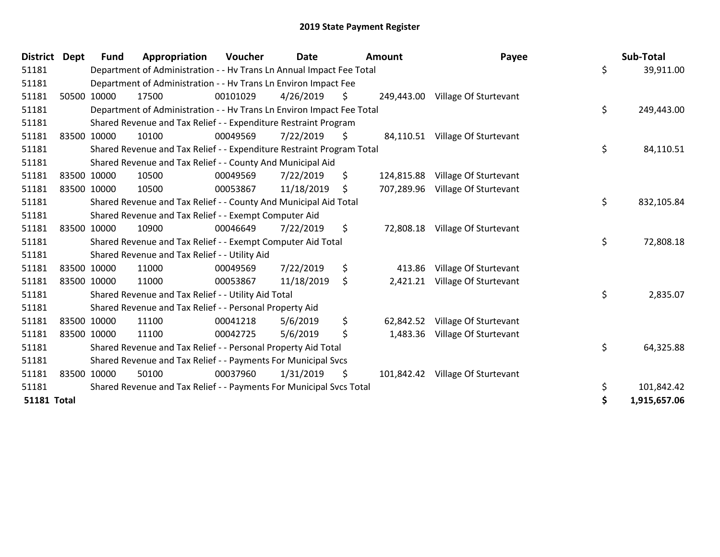| <b>District</b>    | <b>Dept</b> | <b>Fund</b> | Appropriation                                                         | Voucher  | <b>Date</b> |     | Amount     | Payee                            |    | Sub-Total    |
|--------------------|-------------|-------------|-----------------------------------------------------------------------|----------|-------------|-----|------------|----------------------------------|----|--------------|
| 51181              |             |             | Department of Administration - - Hv Trans Ln Annual Impact Fee Total  |          |             |     |            |                                  | \$ | 39,911.00    |
| 51181              |             |             | Department of Administration - - Hv Trans Ln Environ Impact Fee       |          |             |     |            |                                  |    |              |
| 51181              |             | 50500 10000 | 17500                                                                 | 00101029 | 4/26/2019   | \$  |            | 249,443.00 Village Of Sturtevant |    |              |
| 51181              |             |             | Department of Administration - - Hv Trans Ln Environ Impact Fee Total |          |             |     |            |                                  | \$ | 249,443.00   |
| 51181              |             |             | Shared Revenue and Tax Relief - - Expenditure Restraint Program       |          |             |     |            |                                  |    |              |
| 51181              |             | 83500 10000 | 10100                                                                 | 00049569 | 7/22/2019   | \$  |            | 84,110.51 Village Of Sturtevant  |    |              |
| 51181              |             |             | Shared Revenue and Tax Relief - - Expenditure Restraint Program Total |          |             |     |            |                                  | \$ | 84,110.51    |
| 51181              |             |             | Shared Revenue and Tax Relief - - County And Municipal Aid            |          |             |     |            |                                  |    |              |
| 51181              |             | 83500 10000 | 10500                                                                 | 00049569 | 7/22/2019   | \$. | 124,815.88 | Village Of Sturtevant            |    |              |
| 51181              | 83500 10000 |             | 10500                                                                 | 00053867 | 11/18/2019  | \$. |            | 707,289.96 Village Of Sturtevant |    |              |
| 51181              |             |             | Shared Revenue and Tax Relief - - County And Municipal Aid Total      |          |             |     |            |                                  | \$ | 832,105.84   |
| 51181              |             |             | Shared Revenue and Tax Relief - - Exempt Computer Aid                 |          |             |     |            |                                  |    |              |
| 51181              |             | 83500 10000 | 10900                                                                 | 00046649 | 7/22/2019   | \$  |            | 72,808.18 Village Of Sturtevant  |    |              |
| 51181              |             |             | Shared Revenue and Tax Relief - - Exempt Computer Aid Total           |          |             |     |            |                                  | \$ | 72,808.18    |
| 51181              |             |             | Shared Revenue and Tax Relief - - Utility Aid                         |          |             |     |            |                                  |    |              |
| 51181              |             | 83500 10000 | 11000                                                                 | 00049569 | 7/22/2019   | \$  | 413.86     | Village Of Sturtevant            |    |              |
| 51181              |             | 83500 10000 | 11000                                                                 | 00053867 | 11/18/2019  | \$  | 2,421.21   | Village Of Sturtevant            |    |              |
| 51181              |             |             | Shared Revenue and Tax Relief - - Utility Aid Total                   |          |             |     |            |                                  | \$ | 2,835.07     |
| 51181              |             |             | Shared Revenue and Tax Relief - - Personal Property Aid               |          |             |     |            |                                  |    |              |
| 51181              |             | 83500 10000 | 11100                                                                 | 00041218 | 5/6/2019    | \$  | 62,842.52  | Village Of Sturtevant            |    |              |
| 51181              |             | 83500 10000 | 11100                                                                 | 00042725 | 5/6/2019    | \$  | 1,483.36   | Village Of Sturtevant            |    |              |
| 51181              |             |             | Shared Revenue and Tax Relief - - Personal Property Aid Total         |          |             |     |            |                                  | \$ | 64,325.88    |
| 51181              |             |             | Shared Revenue and Tax Relief - - Payments For Municipal Svcs         |          |             |     |            |                                  |    |              |
| 51181              |             | 83500 10000 | 50100                                                                 | 00037960 | 1/31/2019   | \$  | 101,842.42 | Village Of Sturtevant            |    |              |
| 51181              |             |             | Shared Revenue and Tax Relief - - Payments For Municipal Svcs Total   |          |             |     |            |                                  | \$ | 101,842.42   |
| <b>51181 Total</b> |             |             |                                                                       |          |             |     |            |                                  | Ś  | 1,915,657.06 |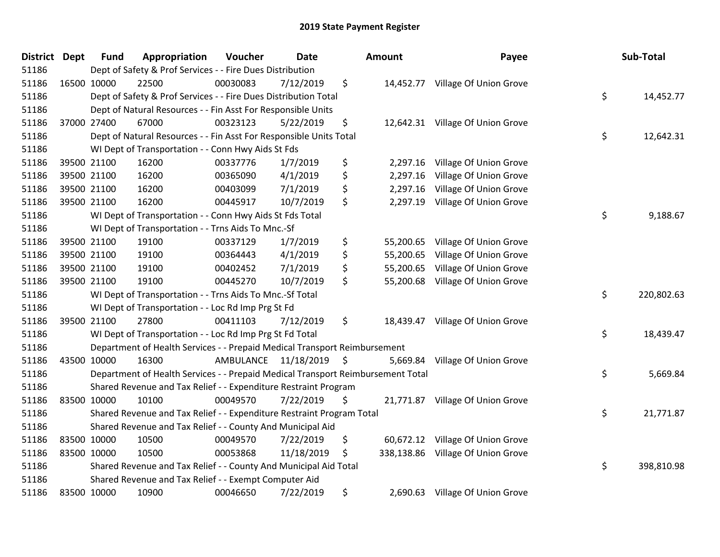| District Dept | <b>Fund</b> | Appropriation                                                                   | Voucher   | <b>Date</b>   | <b>Amount</b>   | Payee                             | Sub-Total        |
|---------------|-------------|---------------------------------------------------------------------------------|-----------|---------------|-----------------|-----------------------------------|------------------|
| 51186         |             | Dept of Safety & Prof Services - - Fire Dues Distribution                       |           |               |                 |                                   |                  |
| 51186         | 16500 10000 | 22500                                                                           | 00030083  | 7/12/2019     | \$              | 14,452.77 Village Of Union Grove  |                  |
| 51186         |             | Dept of Safety & Prof Services - - Fire Dues Distribution Total                 |           |               |                 |                                   | \$<br>14,452.77  |
| 51186         |             | Dept of Natural Resources - - Fin Asst For Responsible Units                    |           |               |                 |                                   |                  |
| 51186         | 37000 27400 | 67000                                                                           | 00323123  | 5/22/2019     | \$              | 12,642.31 Village Of Union Grove  |                  |
| 51186         |             | Dept of Natural Resources - - Fin Asst For Responsible Units Total              |           |               |                 |                                   | \$<br>12,642.31  |
| 51186         |             | WI Dept of Transportation - - Conn Hwy Aids St Fds                              |           |               |                 |                                   |                  |
| 51186         | 39500 21100 | 16200                                                                           | 00337776  | 1/7/2019      | \$<br>2,297.16  | Village Of Union Grove            |                  |
| 51186         | 39500 21100 | 16200                                                                           | 00365090  | 4/1/2019      | \$<br>2,297.16  | Village Of Union Grove            |                  |
| 51186         | 39500 21100 | 16200                                                                           | 00403099  | 7/1/2019      | \$<br>2,297.16  | Village Of Union Grove            |                  |
| 51186         | 39500 21100 | 16200                                                                           | 00445917  | 10/7/2019     | \$<br>2,297.19  | Village Of Union Grove            |                  |
| 51186         |             | WI Dept of Transportation - - Conn Hwy Aids St Fds Total                        |           |               |                 |                                   | \$<br>9,188.67   |
| 51186         |             | WI Dept of Transportation - - Trns Aids To Mnc.-Sf                              |           |               |                 |                                   |                  |
| 51186         | 39500 21100 | 19100                                                                           | 00337129  | 1/7/2019      | \$<br>55,200.65 | Village Of Union Grove            |                  |
| 51186         | 39500 21100 | 19100                                                                           | 00364443  | 4/1/2019      | \$<br>55,200.65 | Village Of Union Grove            |                  |
| 51186         | 39500 21100 | 19100                                                                           | 00402452  | 7/1/2019      | \$<br>55,200.65 | Village Of Union Grove            |                  |
| 51186         | 39500 21100 | 19100                                                                           | 00445270  | 10/7/2019     | \$<br>55,200.68 | Village Of Union Grove            |                  |
| 51186         |             | WI Dept of Transportation - - Trns Aids To Mnc.-Sf Total                        |           |               |                 |                                   | \$<br>220,802.63 |
| 51186         |             | WI Dept of Transportation - - Loc Rd Imp Prg St Fd                              |           |               |                 |                                   |                  |
| 51186         | 39500 21100 | 27800                                                                           | 00411103  | 7/12/2019     | \$              | 18,439.47 Village Of Union Grove  |                  |
| 51186         |             | WI Dept of Transportation - - Loc Rd Imp Prg St Fd Total                        |           |               |                 |                                   | \$<br>18,439.47  |
| 51186         |             | Department of Health Services - - Prepaid Medical Transport Reimbursement       |           |               |                 |                                   |                  |
| 51186         | 43500 10000 | 16300                                                                           | AMBULANCE | 11/18/2019 \$ |                 | 5,669.84 Village Of Union Grove   |                  |
| 51186         |             | Department of Health Services - - Prepaid Medical Transport Reimbursement Total |           |               |                 |                                   | \$<br>5,669.84   |
| 51186         |             | Shared Revenue and Tax Relief - - Expenditure Restraint Program                 |           |               |                 |                                   |                  |
| 51186         | 83500 10000 | 10100                                                                           | 00049570  | 7/22/2019     | \$              | 21,771.87 Village Of Union Grove  |                  |
| 51186         |             | Shared Revenue and Tax Relief - - Expenditure Restraint Program Total           |           |               |                 |                                   | \$<br>21,771.87  |
| 51186         |             | Shared Revenue and Tax Relief - - County And Municipal Aid                      |           |               |                 |                                   |                  |
| 51186         | 83500 10000 | 10500                                                                           | 00049570  | 7/22/2019     | \$<br>60,672.12 | Village Of Union Grove            |                  |
| 51186         | 83500 10000 | 10500                                                                           | 00053868  | 11/18/2019    | \$              | 338,138.86 Village Of Union Grove |                  |
| 51186         |             | Shared Revenue and Tax Relief - - County And Municipal Aid Total                |           |               |                 |                                   | \$<br>398,810.98 |
| 51186         |             | Shared Revenue and Tax Relief - - Exempt Computer Aid                           |           |               |                 |                                   |                  |
| 51186         | 83500 10000 | 10900                                                                           | 00046650  | 7/22/2019     | \$              | 2,690.63 Village Of Union Grove   |                  |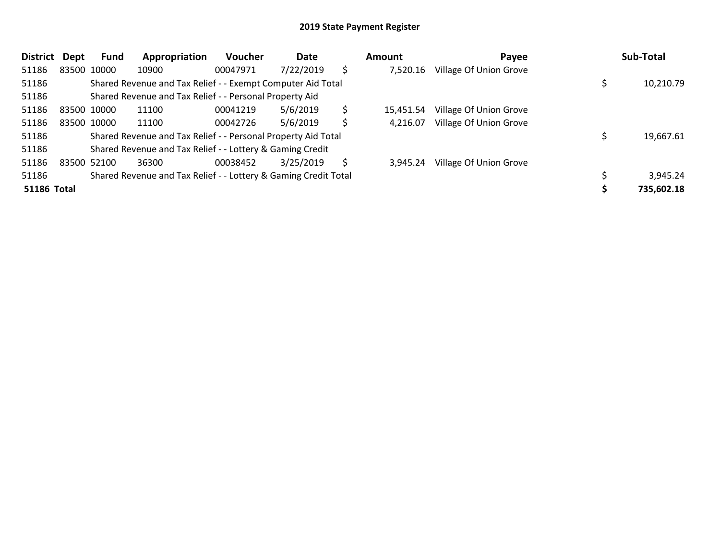| <b>District</b>    | Dept | Fund        | Appropriation                                                   | <b>Voucher</b> | Date      |    | Amount    | Payee                  | Sub-Total  |
|--------------------|------|-------------|-----------------------------------------------------------------|----------------|-----------|----|-----------|------------------------|------------|
| 51186              |      | 83500 10000 | 10900                                                           | 00047971       | 7/22/2019 | \$ | 7,520.16  | Village Of Union Grove |            |
| 51186              |      |             | Shared Revenue and Tax Relief - - Exempt Computer Aid Total     |                |           |    |           |                        | 10,210.79  |
| 51186              |      |             | Shared Revenue and Tax Relief - - Personal Property Aid         |                |           |    |           |                        |            |
| 51186              |      | 83500 10000 | 11100                                                           | 00041219       | 5/6/2019  | \$ | 15.451.54 | Village Of Union Grove |            |
| 51186              |      | 83500 10000 | 11100                                                           | 00042726       | 5/6/2019  | Ś  | 4,216.07  | Village Of Union Grove |            |
| 51186              |      |             | Shared Revenue and Tax Relief - - Personal Property Aid Total   |                |           |    |           |                        | 19,667.61  |
| 51186              |      |             | Shared Revenue and Tax Relief - - Lottery & Gaming Credit       |                |           |    |           |                        |            |
| 51186              |      | 83500 52100 | 36300                                                           | 00038452       | 3/25/2019 | S  | 3.945.24  | Village Of Union Grove |            |
| 51186              |      |             | Shared Revenue and Tax Relief - - Lottery & Gaming Credit Total |                |           |    |           |                        | 3,945.24   |
| <b>51186 Total</b> |      |             |                                                                 |                |           |    |           |                        | 735,602.18 |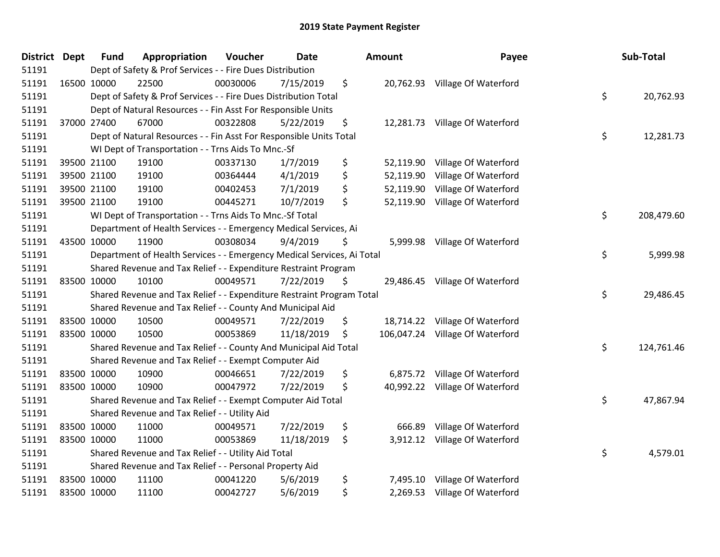| <b>District Dept</b> |             | <b>Fund</b> | Appropriation                                                          | Voucher  | <b>Date</b> | Amount           | Payee                          | Sub-Total        |
|----------------------|-------------|-------------|------------------------------------------------------------------------|----------|-------------|------------------|--------------------------------|------------------|
| 51191                |             |             | Dept of Safety & Prof Services - - Fire Dues Distribution              |          |             |                  |                                |                  |
| 51191                |             | 16500 10000 | 22500                                                                  | 00030006 | 7/15/2019   | \$               | 20,762.93 Village Of Waterford |                  |
| 51191                |             |             | Dept of Safety & Prof Services - - Fire Dues Distribution Total        |          |             |                  |                                | \$<br>20,762.93  |
| 51191                |             |             | Dept of Natural Resources - - Fin Asst For Responsible Units           |          |             |                  |                                |                  |
| 51191                |             | 37000 27400 | 67000                                                                  | 00322808 | 5/22/2019   | \$               | 12,281.73 Village Of Waterford |                  |
| 51191                |             |             | Dept of Natural Resources - - Fin Asst For Responsible Units Total     |          |             |                  |                                | \$<br>12,281.73  |
| 51191                |             |             | WI Dept of Transportation - - Trns Aids To Mnc.-Sf                     |          |             |                  |                                |                  |
| 51191                |             | 39500 21100 | 19100                                                                  | 00337130 | 1/7/2019    | \$<br>52,119.90  | Village Of Waterford           |                  |
| 51191                |             | 39500 21100 | 19100                                                                  | 00364444 | 4/1/2019    | \$<br>52,119.90  | Village Of Waterford           |                  |
| 51191                |             | 39500 21100 | 19100                                                                  | 00402453 | 7/1/2019    | \$<br>52,119.90  | Village Of Waterford           |                  |
| 51191                |             | 39500 21100 | 19100                                                                  | 00445271 | 10/7/2019   | \$<br>52,119.90  | Village Of Waterford           |                  |
| 51191                |             |             | WI Dept of Transportation - - Trns Aids To Mnc.-Sf Total               |          |             |                  |                                | \$<br>208,479.60 |
| 51191                |             |             | Department of Health Services - - Emergency Medical Services, Ai       |          |             |                  |                                |                  |
| 51191                | 43500 10000 |             | 11900                                                                  | 00308034 | 9/4/2019    | \$<br>5,999.98   | Village Of Waterford           |                  |
| 51191                |             |             | Department of Health Services - - Emergency Medical Services, Ai Total |          |             |                  |                                | \$<br>5,999.98   |
| 51191                |             |             | Shared Revenue and Tax Relief - - Expenditure Restraint Program        |          |             |                  |                                |                  |
| 51191                | 83500 10000 |             | 10100                                                                  | 00049571 | 7/22/2019   | \$<br>29,486.45  | Village Of Waterford           |                  |
| 51191                |             |             | Shared Revenue and Tax Relief - - Expenditure Restraint Program Total  |          |             |                  |                                | \$<br>29,486.45  |
| 51191                |             |             | Shared Revenue and Tax Relief - - County And Municipal Aid             |          |             |                  |                                |                  |
| 51191                | 83500 10000 |             | 10500                                                                  | 00049571 | 7/22/2019   | \$<br>18,714.22  | Village Of Waterford           |                  |
| 51191                | 83500 10000 |             | 10500                                                                  | 00053869 | 11/18/2019  | \$<br>106,047.24 | Village Of Waterford           |                  |
| 51191                |             |             | Shared Revenue and Tax Relief - - County And Municipal Aid Total       |          |             |                  |                                | \$<br>124,761.46 |
| 51191                |             |             | Shared Revenue and Tax Relief - - Exempt Computer Aid                  |          |             |                  |                                |                  |
| 51191                |             | 83500 10000 | 10900                                                                  | 00046651 | 7/22/2019   | \$               | 6,875.72 Village Of Waterford  |                  |
| 51191                | 83500 10000 |             | 10900                                                                  | 00047972 | 7/22/2019   | \$<br>40,992.22  | Village Of Waterford           |                  |
| 51191                |             |             | Shared Revenue and Tax Relief - - Exempt Computer Aid Total            |          |             |                  |                                | \$<br>47,867.94  |
| 51191                |             |             | Shared Revenue and Tax Relief - - Utility Aid                          |          |             |                  |                                |                  |
| 51191                |             | 83500 10000 | 11000                                                                  | 00049571 | 7/22/2019   | \$<br>666.89     | Village Of Waterford           |                  |
| 51191                | 83500 10000 |             | 11000                                                                  | 00053869 | 11/18/2019  | \$               | 3,912.12 Village Of Waterford  |                  |
| 51191                |             |             | Shared Revenue and Tax Relief - - Utility Aid Total                    |          |             |                  |                                | \$<br>4,579.01   |
| 51191                |             |             | Shared Revenue and Tax Relief - - Personal Property Aid                |          |             |                  |                                |                  |
| 51191                | 83500 10000 |             | 11100                                                                  | 00041220 | 5/6/2019    | \$<br>7,495.10   | Village Of Waterford           |                  |
| 51191                | 83500 10000 |             | 11100                                                                  | 00042727 | 5/6/2019    | \$               | 2,269.53 Village Of Waterford  |                  |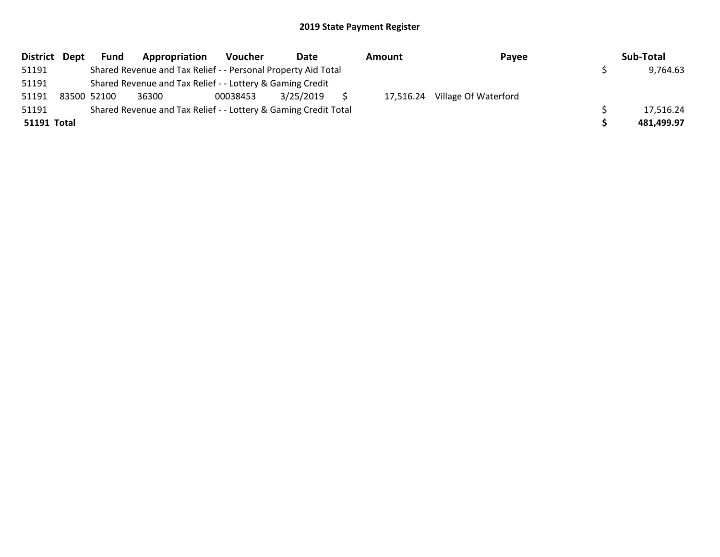| District Dept      | <b>Fund</b> | Appropriation                                                   | <b>Voucher</b> | Date      | Amount    | Payee                | Sub-Total  |
|--------------------|-------------|-----------------------------------------------------------------|----------------|-----------|-----------|----------------------|------------|
| 51191              |             | Shared Revenue and Tax Relief - - Personal Property Aid Total   |                |           |           |                      | 9,764.63   |
| 51191              |             | Shared Revenue and Tax Relief - - Lottery & Gaming Credit       |                |           |           |                      |            |
| 51191              | 83500 52100 | 36300                                                           | 00038453       | 3/25/2019 | 17,516.24 | Village Of Waterford |            |
| 51191              |             | Shared Revenue and Tax Relief - - Lottery & Gaming Credit Total |                |           |           |                      | 17,516.24  |
| <b>51191 Total</b> |             |                                                                 |                |           |           |                      | 481.499.97 |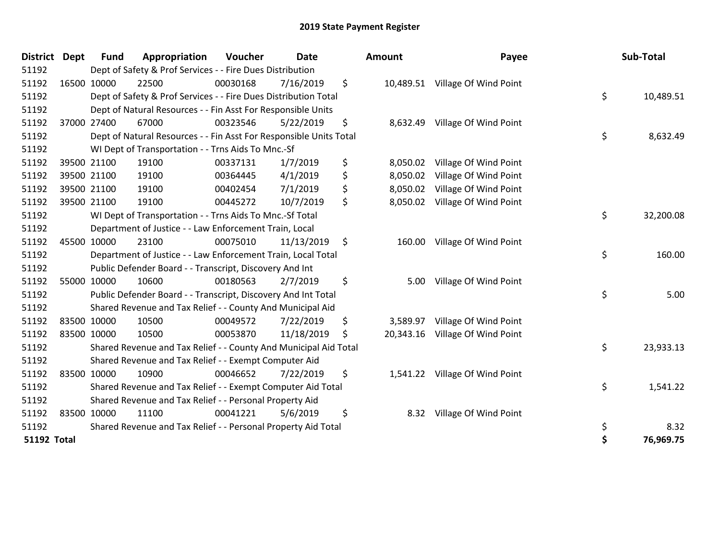| <b>District</b>    | <b>Dept</b> | <b>Fund</b> | Appropriation                                                      | Voucher  | <b>Date</b> | Amount          | Payee                           | Sub-Total       |
|--------------------|-------------|-------------|--------------------------------------------------------------------|----------|-------------|-----------------|---------------------------------|-----------------|
| 51192              |             |             | Dept of Safety & Prof Services - - Fire Dues Distribution          |          |             |                 |                                 |                 |
| 51192              |             | 16500 10000 | 22500                                                              | 00030168 | 7/16/2019   | \$              | 10,489.51 Village Of Wind Point |                 |
| 51192              |             |             | Dept of Safety & Prof Services - - Fire Dues Distribution Total    |          |             |                 |                                 | \$<br>10,489.51 |
| 51192              |             |             | Dept of Natural Resources - - Fin Asst For Responsible Units       |          |             |                 |                                 |                 |
| 51192              |             | 37000 27400 | 67000                                                              | 00323546 | 5/22/2019   | \$              | 8,632.49 Village Of Wind Point  |                 |
| 51192              |             |             | Dept of Natural Resources - - Fin Asst For Responsible Units Total |          |             |                 |                                 | \$<br>8,632.49  |
| 51192              |             |             | WI Dept of Transportation - - Trns Aids To Mnc.-Sf                 |          |             |                 |                                 |                 |
| 51192              |             | 39500 21100 | 19100                                                              | 00337131 | 1/7/2019    | \$<br>8,050.02  | Village Of Wind Point           |                 |
| 51192              |             | 39500 21100 | 19100                                                              | 00364445 | 4/1/2019    | \$<br>8,050.02  | Village Of Wind Point           |                 |
| 51192              |             | 39500 21100 | 19100                                                              | 00402454 | 7/1/2019    | \$<br>8,050.02  | Village Of Wind Point           |                 |
| 51192              |             | 39500 21100 | 19100                                                              | 00445272 | 10/7/2019   | \$<br>8,050.02  | Village Of Wind Point           |                 |
| 51192              |             |             | WI Dept of Transportation - - Trns Aids To Mnc.-Sf Total           |          |             |                 |                                 | \$<br>32,200.08 |
| 51192              |             |             | Department of Justice - - Law Enforcement Train, Local             |          |             |                 |                                 |                 |
| 51192              |             | 45500 10000 | 23100                                                              | 00075010 | 11/13/2019  | \$<br>160.00    | Village Of Wind Point           |                 |
| 51192              |             |             | Department of Justice - - Law Enforcement Train, Local Total       |          |             |                 |                                 | \$<br>160.00    |
| 51192              |             |             | Public Defender Board - - Transcript, Discovery And Int            |          |             |                 |                                 |                 |
| 51192              |             | 55000 10000 | 10600                                                              | 00180563 | 2/7/2019    | \$<br>5.00      | Village Of Wind Point           |                 |
| 51192              |             |             | Public Defender Board - - Transcript, Discovery And Int Total      |          |             |                 |                                 | \$<br>5.00      |
| 51192              |             |             | Shared Revenue and Tax Relief - - County And Municipal Aid         |          |             |                 |                                 |                 |
| 51192              |             | 83500 10000 | 10500                                                              | 00049572 | 7/22/2019   | \$<br>3,589.97  | Village Of Wind Point           |                 |
| 51192              |             | 83500 10000 | 10500                                                              | 00053870 | 11/18/2019  | \$<br>20,343.16 | Village Of Wind Point           |                 |
| 51192              |             |             | Shared Revenue and Tax Relief - - County And Municipal Aid Total   |          |             |                 |                                 | \$<br>23,933.13 |
| 51192              |             |             | Shared Revenue and Tax Relief - - Exempt Computer Aid              |          |             |                 |                                 |                 |
| 51192              |             | 83500 10000 | 10900                                                              | 00046652 | 7/22/2019   | \$              | 1,541.22 Village Of Wind Point  |                 |
| 51192              |             |             | Shared Revenue and Tax Relief - - Exempt Computer Aid Total        |          |             |                 |                                 | \$<br>1,541.22  |
| 51192              |             |             | Shared Revenue and Tax Relief - - Personal Property Aid            |          |             |                 |                                 |                 |
| 51192              |             | 83500 10000 | 11100                                                              | 00041221 | 5/6/2019    | \$<br>8.32      | Village Of Wind Point           |                 |
| 51192              |             |             | Shared Revenue and Tax Relief - - Personal Property Aid Total      |          |             |                 |                                 | \$<br>8.32      |
| <b>51192 Total</b> |             |             |                                                                    |          |             |                 |                                 | \$<br>76,969.75 |

| nount     | Payee                           | Sub-Total       |
|-----------|---------------------------------|-----------------|
|           | 10,489.51 Village Of Wind Point |                 |
|           |                                 | \$<br>10,489.51 |
| 8,632.49  | Village Of Wind Point           |                 |
|           |                                 | \$<br>8,632.49  |
|           | 8,050.02 Village Of Wind Point  |                 |
|           | 8,050.02 Village Of Wind Point  |                 |
|           | 8,050.02 Village Of Wind Point  |                 |
| 8,050.02  | Village Of Wind Point           |                 |
|           |                                 | \$<br>32,200.08 |
| 160.00    | Village Of Wind Point           |                 |
|           |                                 | \$<br>160.00    |
| 5.00      | Village Of Wind Point           |                 |
|           |                                 | \$<br>5.00      |
|           | 3,589.97 Village Of Wind Point  |                 |
| 20,343.16 | Village Of Wind Point           |                 |
|           |                                 | \$<br>23,933.13 |
|           | 1,541.22 Village Of Wind Point  |                 |
|           |                                 | \$<br>1,541.22  |
| 8.32      | Village Of Wind Point           |                 |
|           |                                 | \$<br>8.32      |
|           |                                 | \$<br>76,969.75 |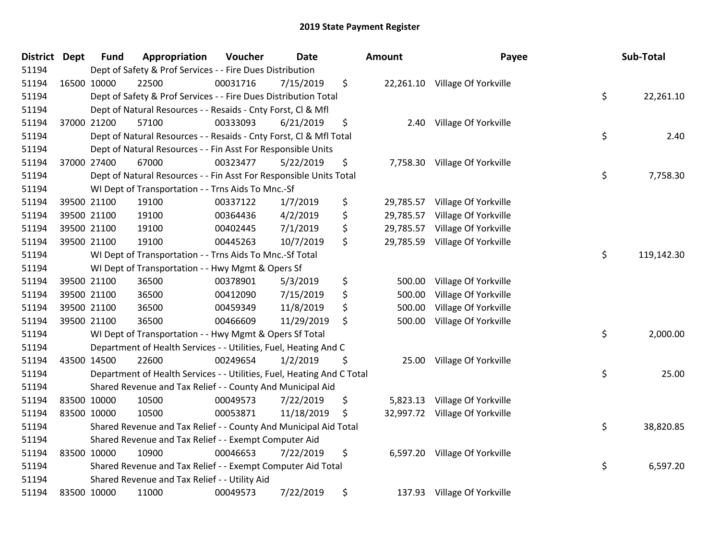| <b>District</b> | <b>Dept</b> | <b>Fund</b> | Appropriation                                                          | Voucher  | <b>Date</b> | <b>Amount</b>   | Payee                          | Sub-Total        |
|-----------------|-------------|-------------|------------------------------------------------------------------------|----------|-------------|-----------------|--------------------------------|------------------|
| 51194           |             |             | Dept of Safety & Prof Services - - Fire Dues Distribution              |          |             |                 |                                |                  |
| 51194           |             | 16500 10000 | 22500                                                                  | 00031716 | 7/15/2019   | \$              | 22,261.10 Village Of Yorkville |                  |
| 51194           |             |             | Dept of Safety & Prof Services - - Fire Dues Distribution Total        |          |             |                 |                                | \$<br>22,261.10  |
| 51194           |             |             | Dept of Natural Resources - - Resaids - Cnty Forst, Cl & Mfl           |          |             |                 |                                |                  |
| 51194           |             | 37000 21200 | 57100                                                                  | 00333093 | 6/21/2019   | \$<br>2.40      | Village Of Yorkville           |                  |
| 51194           |             |             | Dept of Natural Resources - - Resaids - Cnty Forst, Cl & Mfl Total     |          |             |                 |                                | \$<br>2.40       |
| 51194           |             |             | Dept of Natural Resources - - Fin Asst For Responsible Units           |          |             |                 |                                |                  |
| 51194           |             | 37000 27400 | 67000                                                                  | 00323477 | 5/22/2019   | \$<br>7,758.30  | Village Of Yorkville           |                  |
| 51194           |             |             | Dept of Natural Resources - - Fin Asst For Responsible Units Total     |          |             |                 |                                | \$<br>7,758.30   |
| 51194           |             |             | WI Dept of Transportation - - Trns Aids To Mnc.-Sf                     |          |             |                 |                                |                  |
| 51194           |             | 39500 21100 | 19100                                                                  | 00337122 | 1/7/2019    | \$<br>29,785.57 | Village Of Yorkville           |                  |
| 51194           |             | 39500 21100 | 19100                                                                  | 00364436 | 4/2/2019    | \$<br>29,785.57 | Village Of Yorkville           |                  |
| 51194           |             | 39500 21100 | 19100                                                                  | 00402445 | 7/1/2019    | \$<br>29,785.57 | Village Of Yorkville           |                  |
| 51194           |             | 39500 21100 | 19100                                                                  | 00445263 | 10/7/2019   | \$<br>29,785.59 | Village Of Yorkville           |                  |
| 51194           |             |             | WI Dept of Transportation - - Trns Aids To Mnc.-Sf Total               |          |             |                 |                                | \$<br>119,142.30 |
| 51194           |             |             | WI Dept of Transportation - - Hwy Mgmt & Opers Sf                      |          |             |                 |                                |                  |
| 51194           |             | 39500 21100 | 36500                                                                  | 00378901 | 5/3/2019    | \$<br>500.00    | Village Of Yorkville           |                  |
| 51194           |             | 39500 21100 | 36500                                                                  | 00412090 | 7/15/2019   | \$<br>500.00    | Village Of Yorkville           |                  |
| 51194           |             | 39500 21100 | 36500                                                                  | 00459349 | 11/8/2019   | \$<br>500.00    | Village Of Yorkville           |                  |
| 51194           |             | 39500 21100 | 36500                                                                  | 00466609 | 11/29/2019  | \$<br>500.00    | Village Of Yorkville           |                  |
| 51194           |             |             | WI Dept of Transportation - - Hwy Mgmt & Opers Sf Total                |          |             |                 |                                | \$<br>2,000.00   |
| 51194           |             |             | Department of Health Services - - Utilities, Fuel, Heating And C       |          |             |                 |                                |                  |
| 51194           |             | 43500 14500 | 22600                                                                  | 00249654 | 1/2/2019    | \$<br>25.00     | Village Of Yorkville           |                  |
| 51194           |             |             | Department of Health Services - - Utilities, Fuel, Heating And C Total |          |             |                 |                                | \$<br>25.00      |
| 51194           |             |             | Shared Revenue and Tax Relief - - County And Municipal Aid             |          |             |                 |                                |                  |
| 51194           |             | 83500 10000 | 10500                                                                  | 00049573 | 7/22/2019   | \$<br>5,823.13  | Village Of Yorkville           |                  |
| 51194           |             | 83500 10000 | 10500                                                                  | 00053871 | 11/18/2019  | \$<br>32,997.72 | Village Of Yorkville           |                  |
| 51194           |             |             | Shared Revenue and Tax Relief - - County And Municipal Aid Total       |          |             |                 |                                | \$<br>38,820.85  |
| 51194           |             |             | Shared Revenue and Tax Relief - - Exempt Computer Aid                  |          |             |                 |                                |                  |
| 51194           |             | 83500 10000 | 10900                                                                  | 00046653 | 7/22/2019   | \$<br>6,597.20  | Village Of Yorkville           |                  |
| 51194           |             |             | Shared Revenue and Tax Relief - - Exempt Computer Aid Total            |          |             |                 |                                | \$<br>6,597.20   |
| 51194           |             |             | Shared Revenue and Tax Relief - - Utility Aid                          |          |             |                 |                                |                  |
| 51194           |             | 83500 10000 | 11000                                                                  | 00049573 | 7/22/2019   | \$<br>137.93    | Village Of Yorkville           |                  |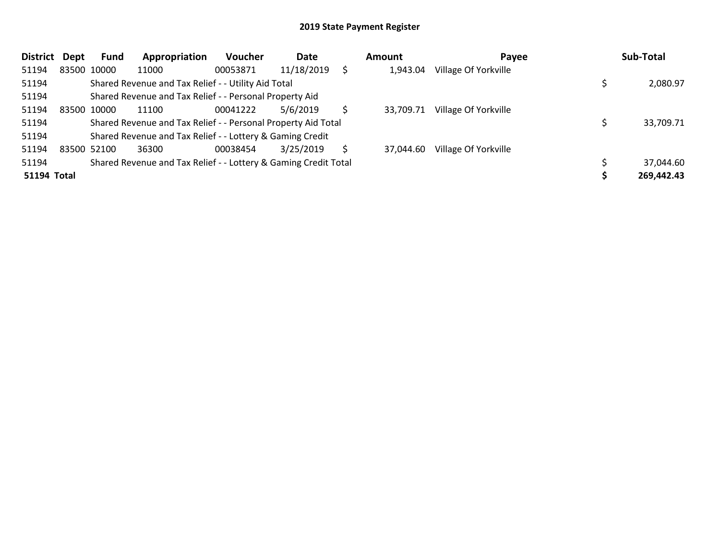| <b>District</b>    | <b>Dept</b> | <b>Fund</b> | Appropriation                                                   | <b>Voucher</b> | Date       |    | Amount    | Payee                | Sub-Total  |
|--------------------|-------------|-------------|-----------------------------------------------------------------|----------------|------------|----|-----------|----------------------|------------|
| 51194              |             | 83500 10000 | 11000                                                           | 00053871       | 11/18/2019 |    | 1,943.04  | Village Of Yorkville |            |
| 51194              |             |             | Shared Revenue and Tax Relief - - Utility Aid Total             |                |            |    |           |                      | 2,080.97   |
| 51194              |             |             | Shared Revenue and Tax Relief - - Personal Property Aid         |                |            |    |           |                      |            |
| 51194              |             | 83500 10000 | 11100                                                           | 00041222       | 5/6/2019   |    | 33.709.71 | Village Of Yorkville |            |
| 51194              |             |             | Shared Revenue and Tax Relief - - Personal Property Aid Total   |                |            |    |           |                      | 33,709.71  |
| 51194              |             |             | Shared Revenue and Tax Relief - - Lottery & Gaming Credit       |                |            |    |           |                      |            |
| 51194              |             | 83500 52100 | 36300                                                           | 00038454       | 3/25/2019  | S. | 37.044.60 | Village Of Yorkville |            |
| 51194              |             |             | Shared Revenue and Tax Relief - - Lottery & Gaming Credit Total |                |            |    |           |                      | 37,044.60  |
| <b>51194 Total</b> |             |             |                                                                 |                |            |    |           |                      | 269,442.43 |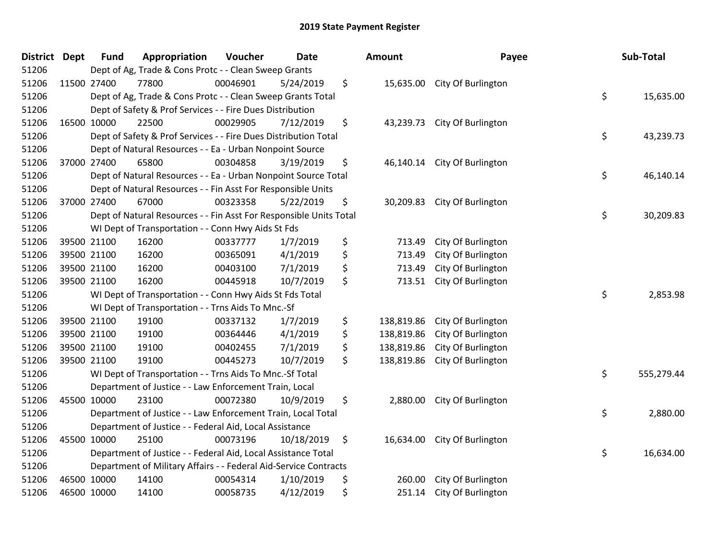| <b>District</b> | <b>Dept</b> | <b>Fund</b> | Appropriation                                                      | Voucher  | Date       |     | Amount     | Payee                        | Sub-Total        |
|-----------------|-------------|-------------|--------------------------------------------------------------------|----------|------------|-----|------------|------------------------------|------------------|
| 51206           |             |             | Dept of Ag, Trade & Cons Protc - - Clean Sweep Grants              |          |            |     |            |                              |                  |
| 51206           | 11500 27400 |             | 77800                                                              | 00046901 | 5/24/2019  | \$  |            | 15,635.00 City Of Burlington |                  |
| 51206           |             |             | Dept of Ag, Trade & Cons Protc - - Clean Sweep Grants Total        |          |            |     |            |                              | \$<br>15,635.00  |
| 51206           |             |             | Dept of Safety & Prof Services - - Fire Dues Distribution          |          |            |     |            |                              |                  |
| 51206           | 16500 10000 |             | 22500                                                              | 00029905 | 7/12/2019  | \$  | 43,239.73  | City Of Burlington           |                  |
| 51206           |             |             | Dept of Safety & Prof Services - - Fire Dues Distribution Total    |          |            |     |            |                              | \$<br>43,239.73  |
| 51206           |             |             | Dept of Natural Resources - - Ea - Urban Nonpoint Source           |          |            |     |            |                              |                  |
| 51206           |             | 37000 27400 | 65800                                                              | 00304858 | 3/19/2019  | \$  |            | 46,140.14 City Of Burlington |                  |
| 51206           |             |             | Dept of Natural Resources - - Ea - Urban Nonpoint Source Total     |          |            |     |            |                              | \$<br>46,140.14  |
| 51206           |             |             | Dept of Natural Resources - - Fin Asst For Responsible Units       |          |            |     |            |                              |                  |
| 51206           |             | 37000 27400 | 67000                                                              | 00323358 | 5/22/2019  | \$  | 30,209.83  | City Of Burlington           |                  |
| 51206           |             |             | Dept of Natural Resources - - Fin Asst For Responsible Units Total |          |            |     |            |                              | \$<br>30,209.83  |
| 51206           |             |             | WI Dept of Transportation - - Conn Hwy Aids St Fds                 |          |            |     |            |                              |                  |
| 51206           |             | 39500 21100 | 16200                                                              | 00337777 | 1/7/2019   | \$  | 713.49     | City Of Burlington           |                  |
| 51206           |             | 39500 21100 | 16200                                                              | 00365091 | 4/1/2019   | \$  | 713.49     | City Of Burlington           |                  |
| 51206           |             | 39500 21100 | 16200                                                              | 00403100 | 7/1/2019   | \$  | 713.49     | City Of Burlington           |                  |
| 51206           |             | 39500 21100 | 16200                                                              | 00445918 | 10/7/2019  | \$  | 713.51     | City Of Burlington           |                  |
| 51206           |             |             | WI Dept of Transportation - - Conn Hwy Aids St Fds Total           |          |            |     |            |                              | \$<br>2,853.98   |
| 51206           |             |             | WI Dept of Transportation - - Trns Aids To Mnc.-Sf                 |          |            |     |            |                              |                  |
| 51206           |             | 39500 21100 | 19100                                                              | 00337132 | 1/7/2019   | \$  | 138,819.86 | City Of Burlington           |                  |
| 51206           |             | 39500 21100 | 19100                                                              | 00364446 | 4/1/2019   | \$  | 138,819.86 | City Of Burlington           |                  |
| 51206           |             | 39500 21100 | 19100                                                              | 00402455 | 7/1/2019   | \$  | 138,819.86 | City Of Burlington           |                  |
| 51206           |             | 39500 21100 | 19100                                                              | 00445273 | 10/7/2019  | \$  | 138,819.86 | City Of Burlington           |                  |
| 51206           |             |             | WI Dept of Transportation - - Trns Aids To Mnc.-Sf Total           |          |            |     |            |                              | \$<br>555,279.44 |
| 51206           |             |             | Department of Justice - - Law Enforcement Train, Local             |          |            |     |            |                              |                  |
| 51206           |             | 45500 10000 | 23100                                                              | 00072380 | 10/9/2019  | \$  | 2,880.00   | City Of Burlington           |                  |
| 51206           |             |             | Department of Justice - - Law Enforcement Train, Local Total       |          |            |     |            |                              | \$<br>2,880.00   |
| 51206           |             |             | Department of Justice - - Federal Aid, Local Assistance            |          |            |     |            |                              |                  |
| 51206           |             | 45500 10000 | 25100                                                              | 00073196 | 10/18/2019 | -\$ | 16,634.00  | City Of Burlington           |                  |
| 51206           |             |             | Department of Justice - - Federal Aid, Local Assistance Total      |          |            |     |            |                              | \$<br>16,634.00  |
| 51206           |             |             | Department of Military Affairs - - Federal Aid-Service Contracts   |          |            |     |            |                              |                  |
| 51206           |             | 46500 10000 | 14100                                                              | 00054314 | 1/10/2019  | \$  | 260.00     | City Of Burlington           |                  |
| 51206           |             | 46500 10000 | 14100                                                              | 00058735 | 4/12/2019  | \$  | 251.14     | City Of Burlington           |                  |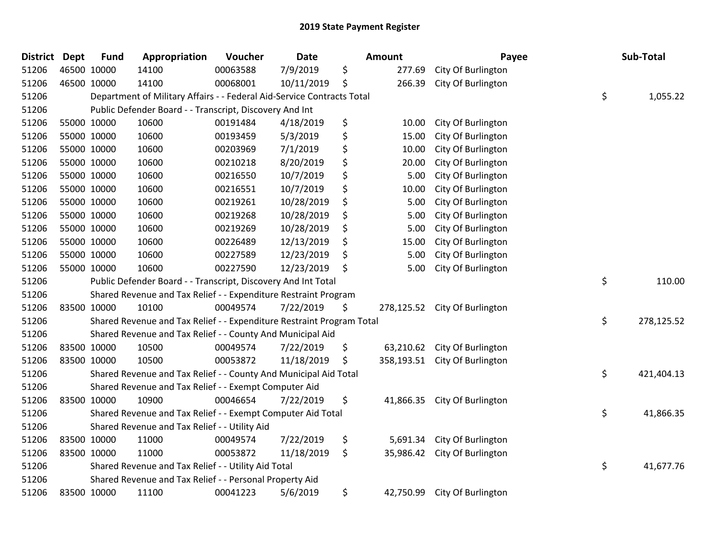| <b>District Dept</b> | <b>Fund</b> | Appropriation                                                          | Voucher  | <b>Date</b> | <b>Amount</b>    | Payee                         | Sub-Total        |
|----------------------|-------------|------------------------------------------------------------------------|----------|-------------|------------------|-------------------------------|------------------|
| 51206                | 46500 10000 | 14100                                                                  | 00063588 | 7/9/2019    | \$<br>277.69     | City Of Burlington            |                  |
| 51206                | 46500 10000 | 14100                                                                  | 00068001 | 10/11/2019  | \$<br>266.39     | City Of Burlington            |                  |
| 51206                |             | Department of Military Affairs - - Federal Aid-Service Contracts Total |          |             |                  |                               | \$<br>1,055.22   |
| 51206                |             | Public Defender Board - - Transcript, Discovery And Int                |          |             |                  |                               |                  |
| 51206                | 55000 10000 | 10600                                                                  | 00191484 | 4/18/2019   | \$<br>10.00      | City Of Burlington            |                  |
| 51206                | 55000 10000 | 10600                                                                  | 00193459 | 5/3/2019    | \$<br>15.00      | City Of Burlington            |                  |
| 51206                | 55000 10000 | 10600                                                                  | 00203969 | 7/1/2019    | \$<br>10.00      | City Of Burlington            |                  |
| 51206                | 55000 10000 | 10600                                                                  | 00210218 | 8/20/2019   | \$<br>20.00      | City Of Burlington            |                  |
| 51206                | 55000 10000 | 10600                                                                  | 00216550 | 10/7/2019   | \$<br>5.00       | City Of Burlington            |                  |
| 51206                | 55000 10000 | 10600                                                                  | 00216551 | 10/7/2019   | \$<br>10.00      | City Of Burlington            |                  |
| 51206                | 55000 10000 | 10600                                                                  | 00219261 | 10/28/2019  | \$<br>5.00       | City Of Burlington            |                  |
| 51206                | 55000 10000 | 10600                                                                  | 00219268 | 10/28/2019  | \$<br>5.00       | City Of Burlington            |                  |
| 51206                | 55000 10000 | 10600                                                                  | 00219269 | 10/28/2019  | \$<br>5.00       | City Of Burlington            |                  |
| 51206                | 55000 10000 | 10600                                                                  | 00226489 | 12/13/2019  | \$<br>15.00      | City Of Burlington            |                  |
| 51206                | 55000 10000 | 10600                                                                  | 00227589 | 12/23/2019  | \$<br>5.00       | City Of Burlington            |                  |
| 51206                | 55000 10000 | 10600                                                                  | 00227590 | 12/23/2019  | \$<br>5.00       | City Of Burlington            |                  |
| 51206                |             | Public Defender Board - - Transcript, Discovery And Int Total          |          |             |                  |                               | \$<br>110.00     |
| 51206                |             | Shared Revenue and Tax Relief - - Expenditure Restraint Program        |          |             |                  |                               |                  |
| 51206                | 83500 10000 | 10100                                                                  | 00049574 | 7/22/2019   | \$<br>278,125.52 | City Of Burlington            |                  |
| 51206                |             | Shared Revenue and Tax Relief - - Expenditure Restraint Program Total  |          |             |                  |                               | \$<br>278,125.52 |
| 51206                |             | Shared Revenue and Tax Relief - - County And Municipal Aid             |          |             |                  |                               |                  |
| 51206                | 83500 10000 | 10500                                                                  | 00049574 | 7/22/2019   | \$<br>63,210.62  | City Of Burlington            |                  |
| 51206                | 83500 10000 | 10500                                                                  | 00053872 | 11/18/2019  | \$               | 358,193.51 City Of Burlington |                  |
| 51206                |             | Shared Revenue and Tax Relief - - County And Municipal Aid Total       |          |             |                  |                               | \$<br>421,404.13 |
| 51206                |             | Shared Revenue and Tax Relief - - Exempt Computer Aid                  |          |             |                  |                               |                  |
| 51206                | 83500 10000 | 10900                                                                  | 00046654 | 7/22/2019   | \$<br>41,866.35  | City Of Burlington            |                  |
| 51206                |             | Shared Revenue and Tax Relief - - Exempt Computer Aid Total            |          |             |                  |                               | \$<br>41,866.35  |
| 51206                |             | Shared Revenue and Tax Relief - - Utility Aid                          |          |             |                  |                               |                  |
| 51206                | 83500 10000 | 11000                                                                  | 00049574 | 7/22/2019   | \$<br>5,691.34   | City Of Burlington            |                  |
| 51206                | 83500 10000 | 11000                                                                  | 00053872 | 11/18/2019  | \$<br>35,986.42  | City Of Burlington            |                  |
| 51206                |             | Shared Revenue and Tax Relief - - Utility Aid Total                    |          |             |                  |                               | \$<br>41,677.76  |
| 51206                |             | Shared Revenue and Tax Relief - - Personal Property Aid                |          |             |                  |                               |                  |
| 51206                | 83500 10000 | 11100                                                                  | 00041223 | 5/6/2019    | \$<br>42,750.99  | City Of Burlington            |                  |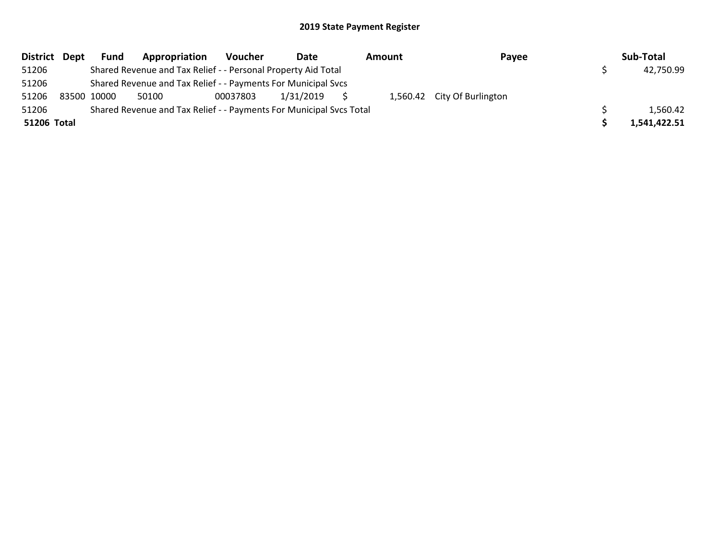| District Dept | <b>Fund</b> | Appropriation                                                       | Voucher  | Date      | Amount | Payee                       | Sub-Total    |
|---------------|-------------|---------------------------------------------------------------------|----------|-----------|--------|-----------------------------|--------------|
| 51206         |             | Shared Revenue and Tax Relief - - Personal Property Aid Total       |          |           |        |                             | 42,750.99    |
| 51206         |             | Shared Revenue and Tax Relief - - Payments For Municipal Svcs       |          |           |        |                             |              |
| 51206         | 83500 10000 | 50100                                                               | 00037803 | 1/31/2019 |        | 1,560.42 City Of Burlington |              |
| 51206         |             | Shared Revenue and Tax Relief - - Payments For Municipal Svcs Total |          |           |        |                             | 1,560.42     |
| 51206 Total   |             |                                                                     |          |           |        |                             | 1,541,422.51 |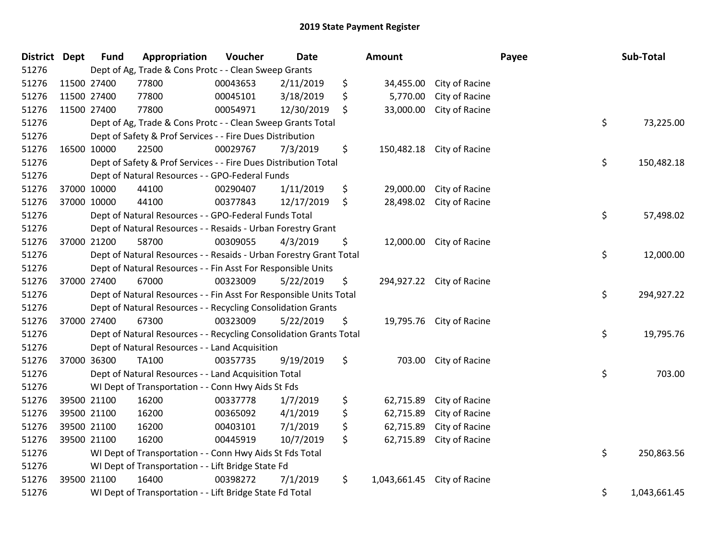| <b>District Dept</b> |             | <b>Fund</b> | Appropriation                                                      | Voucher  | <b>Date</b> |    | Amount       |                           | Payee | Sub-Total    |  |  |
|----------------------|-------------|-------------|--------------------------------------------------------------------|----------|-------------|----|--------------|---------------------------|-------|--------------|--|--|
| 51276                |             |             | Dept of Ag, Trade & Cons Protc - - Clean Sweep Grants              |          |             |    |              |                           |       |              |  |  |
| 51276                |             | 11500 27400 | 77800                                                              | 00043653 | 2/11/2019   | \$ | 34,455.00    | City of Racine            |       |              |  |  |
| 51276                | 11500 27400 |             | 77800                                                              | 00045101 | 3/18/2019   | \$ | 5,770.00     | City of Racine            |       |              |  |  |
| 51276                |             | 11500 27400 | 77800                                                              | 00054971 | 12/30/2019  | \$ | 33,000.00    | City of Racine            |       |              |  |  |
| 51276                |             |             | Dept of Ag, Trade & Cons Protc - - Clean Sweep Grants Total        |          |             |    |              |                           | \$    | 73,225.00    |  |  |
| 51276                |             |             | Dept of Safety & Prof Services - - Fire Dues Distribution          |          |             |    |              |                           |       |              |  |  |
| 51276                |             | 16500 10000 | 22500                                                              | 00029767 | 7/3/2019    | \$ | 150,482.18   | City of Racine            |       |              |  |  |
| 51276                |             |             | Dept of Safety & Prof Services - - Fire Dues Distribution Total    |          |             |    |              |                           | \$    | 150,482.18   |  |  |
| 51276                |             |             | Dept of Natural Resources - - GPO-Federal Funds                    |          |             |    |              |                           |       |              |  |  |
| 51276                |             | 37000 10000 | 44100                                                              | 00290407 | 1/11/2019   | \$ | 29,000.00    | City of Racine            |       |              |  |  |
| 51276                |             | 37000 10000 | 44100                                                              | 00377843 | 12/17/2019  | \$ |              | 28,498.02 City of Racine  |       |              |  |  |
| 51276                |             |             | Dept of Natural Resources - - GPO-Federal Funds Total              |          |             |    |              |                           | \$    | 57,498.02    |  |  |
| 51276                |             |             | Dept of Natural Resources - - Resaids - Urban Forestry Grant       |          |             |    |              |                           |       |              |  |  |
| 51276                |             | 37000 21200 | 58700                                                              | 00309055 | 4/3/2019    | \$ |              | 12,000.00 City of Racine  |       |              |  |  |
| 51276                |             |             | Dept of Natural Resources - - Resaids - Urban Forestry Grant Total |          |             |    |              |                           | \$    | 12,000.00    |  |  |
| 51276                |             |             | Dept of Natural Resources - - Fin Asst For Responsible Units       |          |             |    |              |                           |       |              |  |  |
| 51276                |             | 37000 27400 | 67000                                                              | 00323009 | 5/22/2019   | \$ |              | 294,927.22 City of Racine |       |              |  |  |
| 51276                |             |             | Dept of Natural Resources - - Fin Asst For Responsible Units Total |          |             |    |              |                           | \$    | 294,927.22   |  |  |
| 51276                |             |             | Dept of Natural Resources - - Recycling Consolidation Grants       |          |             |    |              |                           |       |              |  |  |
| 51276                |             | 37000 27400 | 67300                                                              | 00323009 | 5/22/2019   | \$ |              | 19,795.76 City of Racine  |       |              |  |  |
| 51276                |             |             | Dept of Natural Resources - - Recycling Consolidation Grants Total |          |             |    |              |                           | \$    | 19,795.76    |  |  |
| 51276                |             |             | Dept of Natural Resources - - Land Acquisition                     |          |             |    |              |                           |       |              |  |  |
| 51276                |             | 37000 36300 | TA100                                                              | 00357735 | 9/19/2019   | \$ |              | 703.00 City of Racine     |       |              |  |  |
| 51276                |             |             | Dept of Natural Resources - - Land Acquisition Total               |          |             |    |              |                           | \$    | 703.00       |  |  |
| 51276                |             |             | WI Dept of Transportation - - Conn Hwy Aids St Fds                 |          |             |    |              |                           |       |              |  |  |
| 51276                |             | 39500 21100 | 16200                                                              | 00337778 | 1/7/2019    | \$ | 62,715.89    | City of Racine            |       |              |  |  |
| 51276                |             | 39500 21100 | 16200                                                              | 00365092 | 4/1/2019    | \$ | 62,715.89    | City of Racine            |       |              |  |  |
| 51276                |             | 39500 21100 | 16200                                                              | 00403101 | 7/1/2019    | \$ | 62,715.89    | City of Racine            |       |              |  |  |
| 51276                | 39500 21100 |             | 16200                                                              | 00445919 | 10/7/2019   | \$ | 62,715.89    | City of Racine            |       |              |  |  |
| 51276                |             |             | WI Dept of Transportation - - Conn Hwy Aids St Fds Total           |          |             |    |              |                           | \$    | 250,863.56   |  |  |
| 51276                |             |             | WI Dept of Transportation - - Lift Bridge State Fd                 |          |             |    |              |                           |       |              |  |  |
| 51276                | 39500 21100 |             | 16400                                                              | 00398272 | 7/1/2019    | \$ | 1,043,661.45 | City of Racine            |       |              |  |  |
| 51276                |             |             | WI Dept of Transportation - - Lift Bridge State Fd Total           |          |             |    |              |                           | \$    | 1,043,661.45 |  |  |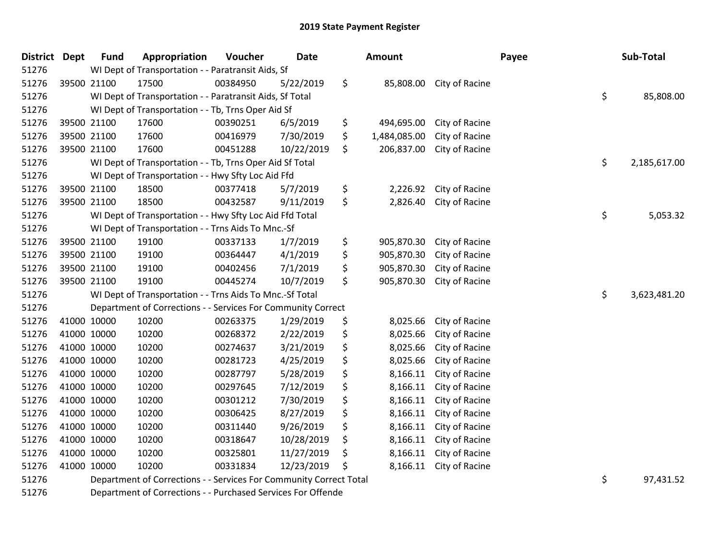| District Dept |             | <b>Fund</b> | Appropriation                                                      | Voucher  | <b>Date</b> | <b>Amount</b>      |                          | Payee | Sub-Total          |
|---------------|-------------|-------------|--------------------------------------------------------------------|----------|-------------|--------------------|--------------------------|-------|--------------------|
| 51276         |             |             | WI Dept of Transportation - - Paratransit Aids, Sf                 |          |             |                    |                          |       |                    |
| 51276         | 39500 21100 |             | 17500                                                              | 00384950 | 5/22/2019   | \$                 | 85,808.00 City of Racine |       |                    |
| 51276         |             |             | WI Dept of Transportation - - Paratransit Aids, Sf Total           |          |             |                    |                          |       | \$<br>85,808.00    |
| 51276         |             |             | WI Dept of Transportation - - Tb, Trns Oper Aid Sf                 |          |             |                    |                          |       |                    |
| 51276         | 39500 21100 |             | 17600                                                              | 00390251 | 6/5/2019    | \$<br>494,695.00   | City of Racine           |       |                    |
| 51276         | 39500 21100 |             | 17600                                                              | 00416979 | 7/30/2019   | \$<br>1,484,085.00 | City of Racine           |       |                    |
| 51276         | 39500 21100 |             | 17600                                                              | 00451288 | 10/22/2019  | \$<br>206,837.00   | City of Racine           |       |                    |
| 51276         |             |             | WI Dept of Transportation - - Tb, Trns Oper Aid Sf Total           |          |             |                    |                          |       | \$<br>2,185,617.00 |
| 51276         |             |             | WI Dept of Transportation - - Hwy Sfty Loc Aid Ffd                 |          |             |                    |                          |       |                    |
| 51276         | 39500 21100 |             | 18500                                                              | 00377418 | 5/7/2019    | \$<br>2,226.92     | City of Racine           |       |                    |
| 51276         | 39500 21100 |             | 18500                                                              | 00432587 | 9/11/2019   | \$<br>2,826.40     | City of Racine           |       |                    |
| 51276         |             |             | WI Dept of Transportation - - Hwy Sfty Loc Aid Ffd Total           |          |             |                    |                          |       | \$<br>5,053.32     |
| 51276         |             |             | WI Dept of Transportation - - Trns Aids To Mnc.-Sf                 |          |             |                    |                          |       |                    |
| 51276         | 39500 21100 |             | 19100                                                              | 00337133 | 1/7/2019    | \$<br>905,870.30   | City of Racine           |       |                    |
| 51276         | 39500 21100 |             | 19100                                                              | 00364447 | 4/1/2019    | \$<br>905,870.30   | City of Racine           |       |                    |
| 51276         | 39500 21100 |             | 19100                                                              | 00402456 | 7/1/2019    | \$<br>905,870.30   | City of Racine           |       |                    |
| 51276         | 39500 21100 |             | 19100                                                              | 00445274 | 10/7/2019   | \$<br>905,870.30   | City of Racine           |       |                    |
| 51276         |             |             | WI Dept of Transportation - - Trns Aids To Mnc.-Sf Total           |          |             |                    |                          |       | \$<br>3,623,481.20 |
| 51276         |             |             | Department of Corrections - - Services For Community Correct       |          |             |                    |                          |       |                    |
| 51276         | 41000 10000 |             | 10200                                                              | 00263375 | 1/29/2019   | \$<br>8,025.66     | City of Racine           |       |                    |
| 51276         | 41000 10000 |             | 10200                                                              | 00268372 | 2/22/2019   | \$<br>8,025.66     | City of Racine           |       |                    |
| 51276         | 41000 10000 |             | 10200                                                              | 00274637 | 3/21/2019   | \$<br>8,025.66     | City of Racine           |       |                    |
| 51276         | 41000 10000 |             | 10200                                                              | 00281723 | 4/25/2019   | \$<br>8,025.66     | City of Racine           |       |                    |
| 51276         | 41000 10000 |             | 10200                                                              | 00287797 | 5/28/2019   | \$<br>8,166.11     | City of Racine           |       |                    |
| 51276         | 41000 10000 |             | 10200                                                              | 00297645 | 7/12/2019   | \$<br>8,166.11     | City of Racine           |       |                    |
| 51276         | 41000 10000 |             | 10200                                                              | 00301212 | 7/30/2019   | \$<br>8,166.11     | City of Racine           |       |                    |
| 51276         | 41000 10000 |             | 10200                                                              | 00306425 | 8/27/2019   | \$<br>8,166.11     | City of Racine           |       |                    |
| 51276         | 41000 10000 |             | 10200                                                              | 00311440 | 9/26/2019   | \$<br>8,166.11     | City of Racine           |       |                    |
| 51276         | 41000 10000 |             | 10200                                                              | 00318647 | 10/28/2019  | \$<br>8,166.11     | City of Racine           |       |                    |
| 51276         | 41000 10000 |             | 10200                                                              | 00325801 | 11/27/2019  | \$<br>8,166.11     | City of Racine           |       |                    |
| 51276         | 41000 10000 |             | 10200                                                              | 00331834 | 12/23/2019  | \$<br>8,166.11     | City of Racine           |       |                    |
| 51276         |             |             | Department of Corrections - - Services For Community Correct Total |          |             |                    |                          |       | \$<br>97,431.52    |
|               |             |             |                                                                    |          |             |                    |                          |       |                    |

Department of Corrections - - Purchased Services For Offende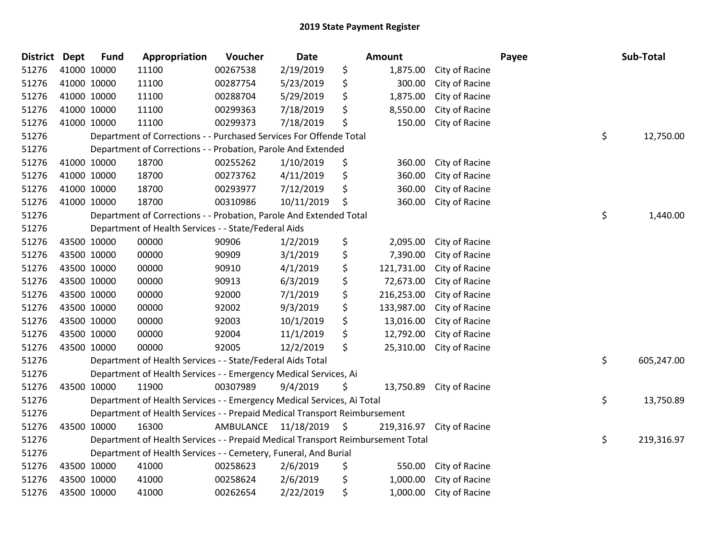| District Dept |             | <b>Fund</b> | Appropriation                                                                   | Voucher                 | Date       | <b>Amount</b>    |                | Payee | Sub-Total        |
|---------------|-------------|-------------|---------------------------------------------------------------------------------|-------------------------|------------|------------------|----------------|-------|------------------|
| 51276         | 41000 10000 |             | 11100                                                                           | 00267538                | 2/19/2019  | \$<br>1,875.00   | City of Racine |       |                  |
| 51276         | 41000 10000 |             | 11100                                                                           | 00287754                | 5/23/2019  | \$<br>300.00     | City of Racine |       |                  |
| 51276         | 41000 10000 |             | 11100                                                                           | 00288704                | 5/29/2019  | \$<br>1,875.00   | City of Racine |       |                  |
| 51276         | 41000 10000 |             | 11100                                                                           | 00299363                | 7/18/2019  | \$<br>8,550.00   | City of Racine |       |                  |
| 51276         | 41000 10000 |             | 11100                                                                           | 00299373                | 7/18/2019  | \$<br>150.00     | City of Racine |       |                  |
| 51276         |             |             | Department of Corrections - - Purchased Services For Offende Total              |                         |            |                  |                |       | \$<br>12,750.00  |
| 51276         |             |             | Department of Corrections - - Probation, Parole And Extended                    |                         |            |                  |                |       |                  |
| 51276         | 41000 10000 |             | 18700                                                                           | 00255262                | 1/10/2019  | \$<br>360.00     | City of Racine |       |                  |
| 51276         | 41000 10000 |             | 18700                                                                           | 00273762                | 4/11/2019  | \$<br>360.00     | City of Racine |       |                  |
| 51276         | 41000 10000 |             | 18700                                                                           | 00293977                | 7/12/2019  | \$<br>360.00     | City of Racine |       |                  |
| 51276         | 41000 10000 |             | 18700                                                                           | 00310986                | 10/11/2019 | \$<br>360.00     | City of Racine |       |                  |
| 51276         |             |             | Department of Corrections - - Probation, Parole And Extended Total              |                         |            |                  |                |       | \$<br>1,440.00   |
| 51276         |             |             | Department of Health Services - - State/Federal Aids                            |                         |            |                  |                |       |                  |
| 51276         | 43500 10000 |             | 00000                                                                           | 90906                   | 1/2/2019   | \$<br>2,095.00   | City of Racine |       |                  |
| 51276         | 43500 10000 |             | 00000                                                                           | 90909                   | 3/1/2019   | \$<br>7,390.00   | City of Racine |       |                  |
| 51276         | 43500 10000 |             | 00000                                                                           | 90910                   | 4/1/2019   | \$<br>121,731.00 | City of Racine |       |                  |
| 51276         | 43500 10000 |             | 00000                                                                           | 90913                   | 6/3/2019   | \$<br>72,673.00  | City of Racine |       |                  |
| 51276         | 43500 10000 |             | 00000                                                                           | 92000                   | 7/1/2019   | \$<br>216,253.00 | City of Racine |       |                  |
| 51276         | 43500 10000 |             | 00000                                                                           | 92002                   | 9/3/2019   | \$<br>133,987.00 | City of Racine |       |                  |
| 51276         | 43500 10000 |             | 00000                                                                           | 92003                   | 10/1/2019  | \$<br>13,016.00  | City of Racine |       |                  |
| 51276         | 43500 10000 |             | 00000                                                                           | 92004                   | 11/1/2019  | \$<br>12,792.00  | City of Racine |       |                  |
| 51276         | 43500 10000 |             | 00000                                                                           | 92005                   | 12/2/2019  | \$<br>25,310.00  | City of Racine |       |                  |
| 51276         |             |             | Department of Health Services - - State/Federal Aids Total                      |                         |            |                  |                |       | \$<br>605,247.00 |
| 51276         |             |             | Department of Health Services - - Emergency Medical Services, Ai                |                         |            |                  |                |       |                  |
| 51276         |             | 43500 10000 | 11900                                                                           | 00307989                | 9/4/2019   | \$<br>13,750.89  | City of Racine |       |                  |
| 51276         |             |             | Department of Health Services - - Emergency Medical Services, Ai Total          |                         |            |                  |                |       | \$<br>13,750.89  |
| 51276         |             |             | Department of Health Services - - Prepaid Medical Transport Reimbursement       |                         |            |                  |                |       |                  |
| 51276         | 43500 10000 |             | 16300                                                                           | AMBULANCE 11/18/2019 \$ |            | 219,316.97       | City of Racine |       |                  |
| 51276         |             |             | Department of Health Services - - Prepaid Medical Transport Reimbursement Total |                         |            |                  |                |       | \$<br>219,316.97 |
| 51276         |             |             | Department of Health Services - - Cemetery, Funeral, And Burial                 |                         |            |                  |                |       |                  |
| 51276         | 43500 10000 |             | 41000                                                                           | 00258623                | 2/6/2019   | \$<br>550.00     | City of Racine |       |                  |
| 51276         |             | 43500 10000 | 41000                                                                           | 00258624                | 2/6/2019   | \$<br>1,000.00   | City of Racine |       |                  |
| 51276         | 43500 10000 |             | 41000                                                                           | 00262654                | 2/22/2019  | \$<br>1,000.00   | City of Racine |       |                  |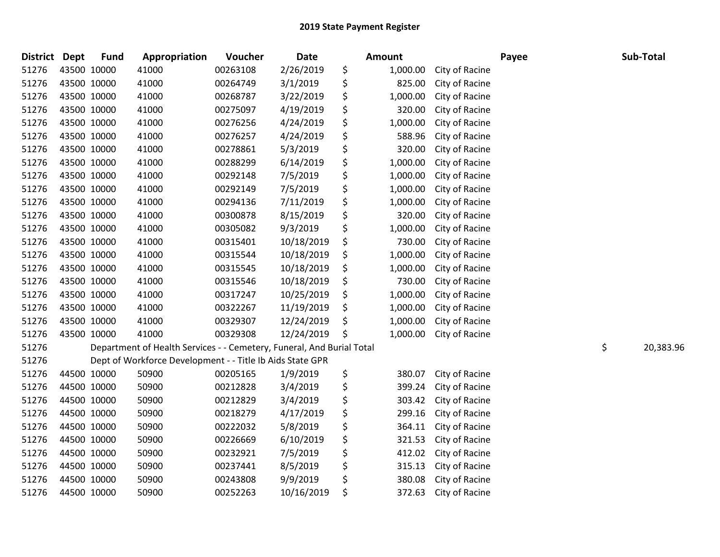| <b>District</b> | <b>Dept</b> | <b>Fund</b> | Appropriation                                                         | Voucher  | <b>Date</b> | Amount         |                | Payee | Sub-Total       |
|-----------------|-------------|-------------|-----------------------------------------------------------------------|----------|-------------|----------------|----------------|-------|-----------------|
| 51276           | 43500 10000 |             | 41000                                                                 | 00263108 | 2/26/2019   | \$<br>1,000.00 | City of Racine |       |                 |
| 51276           | 43500 10000 |             | 41000                                                                 | 00264749 | 3/1/2019    | \$<br>825.00   | City of Racine |       |                 |
| 51276           | 43500 10000 |             | 41000                                                                 | 00268787 | 3/22/2019   | \$<br>1,000.00 | City of Racine |       |                 |
| 51276           | 43500 10000 |             | 41000                                                                 | 00275097 | 4/19/2019   | \$<br>320.00   | City of Racine |       |                 |
| 51276           | 43500 10000 |             | 41000                                                                 | 00276256 | 4/24/2019   | \$<br>1,000.00 | City of Racine |       |                 |
| 51276           | 43500 10000 |             | 41000                                                                 | 00276257 | 4/24/2019   | \$<br>588.96   | City of Racine |       |                 |
| 51276           | 43500 10000 |             | 41000                                                                 | 00278861 | 5/3/2019    | \$<br>320.00   | City of Racine |       |                 |
| 51276           | 43500 10000 |             | 41000                                                                 | 00288299 | 6/14/2019   | \$<br>1,000.00 | City of Racine |       |                 |
| 51276           | 43500 10000 |             | 41000                                                                 | 00292148 | 7/5/2019    | \$<br>1,000.00 | City of Racine |       |                 |
| 51276           | 43500 10000 |             | 41000                                                                 | 00292149 | 7/5/2019    | \$<br>1,000.00 | City of Racine |       |                 |
| 51276           | 43500 10000 |             | 41000                                                                 | 00294136 | 7/11/2019   | \$<br>1,000.00 | City of Racine |       |                 |
| 51276           | 43500 10000 |             | 41000                                                                 | 00300878 | 8/15/2019   | \$<br>320.00   | City of Racine |       |                 |
| 51276           | 43500 10000 |             | 41000                                                                 | 00305082 | 9/3/2019    | \$<br>1,000.00 | City of Racine |       |                 |
| 51276           | 43500 10000 |             | 41000                                                                 | 00315401 | 10/18/2019  | \$<br>730.00   | City of Racine |       |                 |
| 51276           | 43500 10000 |             | 41000                                                                 | 00315544 | 10/18/2019  | \$<br>1,000.00 | City of Racine |       |                 |
| 51276           |             | 43500 10000 | 41000                                                                 | 00315545 | 10/18/2019  | \$<br>1,000.00 | City of Racine |       |                 |
| 51276           | 43500 10000 |             | 41000                                                                 | 00315546 | 10/18/2019  | 730.00         | City of Racine |       |                 |
| 51276           | 43500 10000 |             | 41000                                                                 | 00317247 | 10/25/2019  | \$<br>1,000.00 | City of Racine |       |                 |
| 51276           | 43500 10000 |             | 41000                                                                 | 00322267 | 11/19/2019  | \$<br>1,000.00 | City of Racine |       |                 |
| 51276           | 43500 10000 |             | 41000                                                                 | 00329307 | 12/24/2019  | \$<br>1,000.00 | City of Racine |       |                 |
| 51276           |             | 43500 10000 | 41000                                                                 | 00329308 | 12/24/2019  | \$<br>1,000.00 | City of Racine |       |                 |
| 51276           |             |             | Department of Health Services - - Cemetery, Funeral, And Burial Total |          |             |                |                |       | \$<br>20,383.96 |
| 51276           |             |             | Dept of Workforce Development - - Title Ib Aids State GPR             |          |             |                |                |       |                 |
| 51276           | 44500 10000 |             | 50900                                                                 | 00205165 | 1/9/2019    | \$<br>380.07   | City of Racine |       |                 |
| 51276           | 44500 10000 |             | 50900                                                                 | 00212828 | 3/4/2019    | \$<br>399.24   | City of Racine |       |                 |
| 51276           |             | 44500 10000 | 50900                                                                 | 00212829 | 3/4/2019    | \$<br>303.42   | City of Racine |       |                 |
| 51276           | 44500 10000 |             | 50900                                                                 | 00218279 | 4/17/2019   | \$<br>299.16   | City of Racine |       |                 |
| 51276           | 44500 10000 |             | 50900                                                                 | 00222032 | 5/8/2019    | \$<br>364.11   | City of Racine |       |                 |
| 51276           | 44500 10000 |             | 50900                                                                 | 00226669 | 6/10/2019   | \$<br>321.53   | City of Racine |       |                 |
| 51276           | 44500 10000 |             | 50900                                                                 | 00232921 | 7/5/2019    | \$<br>412.02   | City of Racine |       |                 |
| 51276           | 44500 10000 |             | 50900                                                                 | 00237441 | 8/5/2019    | \$<br>315.13   | City of Racine |       |                 |
| 51276           |             | 44500 10000 | 50900                                                                 | 00243808 | 9/9/2019    | \$<br>380.08   | City of Racine |       |                 |
| 51276           | 44500 10000 |             | 50900                                                                 | 00252263 | 10/16/2019  | \$<br>372.63   | City of Racine |       |                 |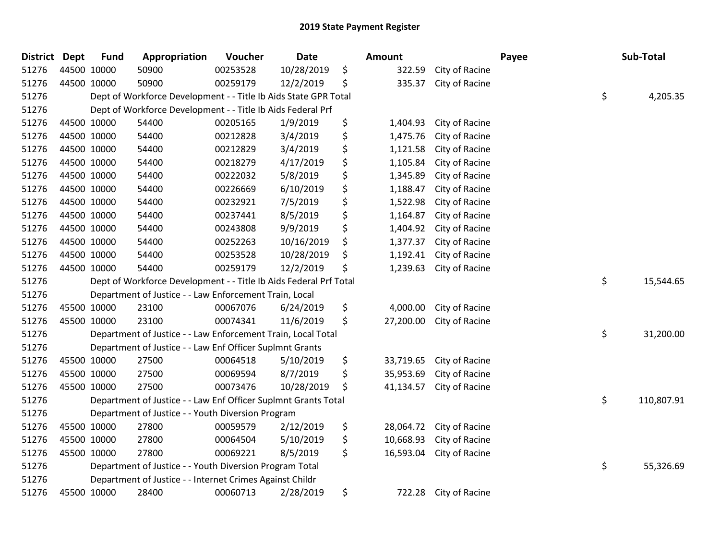| District Dept |             | <b>Fund</b> | Appropriation                                                     | Voucher  | <b>Date</b> | <b>Amount</b>   |                | Payee | Sub-Total  |
|---------------|-------------|-------------|-------------------------------------------------------------------|----------|-------------|-----------------|----------------|-------|------------|
| 51276         | 44500 10000 |             | 50900                                                             | 00253528 | 10/28/2019  | \$<br>322.59    | City of Racine |       |            |
| 51276         | 44500 10000 |             | 50900                                                             | 00259179 | 12/2/2019   | \$<br>335.37    | City of Racine |       |            |
| 51276         |             |             | Dept of Workforce Development - - Title Ib Aids State GPR Total   |          |             |                 |                | \$    | 4,205.35   |
| 51276         |             |             | Dept of Workforce Development - - Title Ib Aids Federal Prf       |          |             |                 |                |       |            |
| 51276         |             | 44500 10000 | 54400                                                             | 00205165 | 1/9/2019    | \$<br>1,404.93  | City of Racine |       |            |
| 51276         |             | 44500 10000 | 54400                                                             | 00212828 | 3/4/2019    | \$<br>1,475.76  | City of Racine |       |            |
| 51276         |             | 44500 10000 | 54400                                                             | 00212829 | 3/4/2019    | \$<br>1,121.58  | City of Racine |       |            |
| 51276         |             | 44500 10000 | 54400                                                             | 00218279 | 4/17/2019   | \$<br>1,105.84  | City of Racine |       |            |
| 51276         |             | 44500 10000 | 54400                                                             | 00222032 | 5/8/2019    | \$<br>1,345.89  | City of Racine |       |            |
| 51276         |             | 44500 10000 | 54400                                                             | 00226669 | 6/10/2019   | \$<br>1,188.47  | City of Racine |       |            |
| 51276         |             | 44500 10000 | 54400                                                             | 00232921 | 7/5/2019    | \$<br>1,522.98  | City of Racine |       |            |
| 51276         |             | 44500 10000 | 54400                                                             | 00237441 | 8/5/2019    | \$<br>1,164.87  | City of Racine |       |            |
| 51276         |             | 44500 10000 | 54400                                                             | 00243808 | 9/9/2019    | \$<br>1,404.92  | City of Racine |       |            |
| 51276         |             | 44500 10000 | 54400                                                             | 00252263 | 10/16/2019  | \$<br>1,377.37  | City of Racine |       |            |
| 51276         |             | 44500 10000 | 54400                                                             | 00253528 | 10/28/2019  | \$<br>1,192.41  | City of Racine |       |            |
| 51276         |             | 44500 10000 | 54400                                                             | 00259179 | 12/2/2019   | \$<br>1,239.63  | City of Racine |       |            |
| 51276         |             |             | Dept of Workforce Development - - Title Ib Aids Federal Prf Total |          |             |                 |                | \$    | 15,544.65  |
| 51276         |             |             | Department of Justice - - Law Enforcement Train, Local            |          |             |                 |                |       |            |
| 51276         |             | 45500 10000 | 23100                                                             | 00067076 | 6/24/2019   | \$<br>4,000.00  | City of Racine |       |            |
| 51276         |             | 45500 10000 | 23100                                                             | 00074341 | 11/6/2019   | \$<br>27,200.00 | City of Racine |       |            |
| 51276         |             |             | Department of Justice - - Law Enforcement Train, Local Total      |          |             |                 |                | \$    | 31,200.00  |
| 51276         |             |             | Department of Justice - - Law Enf Officer Suplmnt Grants          |          |             |                 |                |       |            |
| 51276         |             | 45500 10000 | 27500                                                             | 00064518 | 5/10/2019   | \$<br>33,719.65 | City of Racine |       |            |
| 51276         |             | 45500 10000 | 27500                                                             | 00069594 | 8/7/2019    | \$<br>35,953.69 | City of Racine |       |            |
| 51276         |             | 45500 10000 | 27500                                                             | 00073476 | 10/28/2019  | \$<br>41,134.57 | City of Racine |       |            |
| 51276         |             |             | Department of Justice - - Law Enf Officer Suplmnt Grants Total    |          |             |                 |                | \$    | 110,807.91 |
| 51276         |             |             | Department of Justice - - Youth Diversion Program                 |          |             |                 |                |       |            |
| 51276         |             | 45500 10000 | 27800                                                             | 00059579 | 2/12/2019   | \$<br>28,064.72 | City of Racine |       |            |
| 51276         |             | 45500 10000 | 27800                                                             | 00064504 | 5/10/2019   | \$<br>10,668.93 | City of Racine |       |            |
| 51276         |             | 45500 10000 | 27800                                                             | 00069221 | 8/5/2019    | \$<br>16,593.04 | City of Racine |       |            |
| 51276         |             |             | Department of Justice - - Youth Diversion Program Total           |          |             |                 |                | \$    | 55,326.69  |
| 51276         |             |             | Department of Justice - - Internet Crimes Against Childr          |          |             |                 |                |       |            |
| 51276         |             | 45500 10000 | 28400                                                             | 00060713 | 2/28/2019   | \$<br>722.28    | City of Racine |       |            |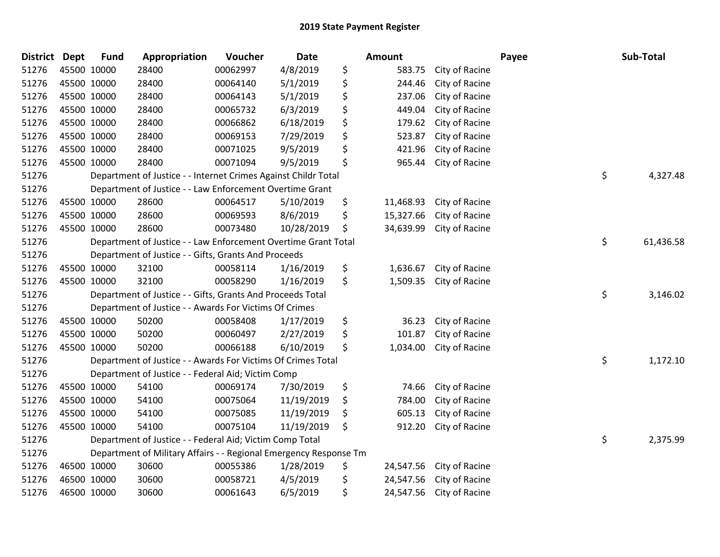| <b>District Dept</b> |             | <b>Fund</b> | Appropriation                                                     | Voucher  | <b>Date</b> | <b>Amount</b>   |                | Payee | Sub-Total |
|----------------------|-------------|-------------|-------------------------------------------------------------------|----------|-------------|-----------------|----------------|-------|-----------|
| 51276                | 45500 10000 |             | 28400                                                             | 00062997 | 4/8/2019    | \$<br>583.75    | City of Racine |       |           |
| 51276                | 45500 10000 |             | 28400                                                             | 00064140 | 5/1/2019    | \$<br>244.46    | City of Racine |       |           |
| 51276                | 45500 10000 |             | 28400                                                             | 00064143 | 5/1/2019    | \$<br>237.06    | City of Racine |       |           |
| 51276                | 45500 10000 |             | 28400                                                             | 00065732 | 6/3/2019    | \$<br>449.04    | City of Racine |       |           |
| 51276                | 45500 10000 |             | 28400                                                             | 00066862 | 6/18/2019   | \$<br>179.62    | City of Racine |       |           |
| 51276                | 45500 10000 |             | 28400                                                             | 00069153 | 7/29/2019   | \$<br>523.87    | City of Racine |       |           |
| 51276                | 45500 10000 |             | 28400                                                             | 00071025 | 9/5/2019    | \$<br>421.96    | City of Racine |       |           |
| 51276                | 45500 10000 |             | 28400                                                             | 00071094 | 9/5/2019    | \$<br>965.44    | City of Racine |       |           |
| 51276                |             |             | Department of Justice - - Internet Crimes Against Childr Total    |          |             |                 |                | \$    | 4,327.48  |
| 51276                |             |             | Department of Justice - - Law Enforcement Overtime Grant          |          |             |                 |                |       |           |
| 51276                | 45500 10000 |             | 28600                                                             | 00064517 | 5/10/2019   | \$<br>11,468.93 | City of Racine |       |           |
| 51276                | 45500 10000 |             | 28600                                                             | 00069593 | 8/6/2019    | \$<br>15,327.66 | City of Racine |       |           |
| 51276                | 45500 10000 |             | 28600                                                             | 00073480 | 10/28/2019  | \$<br>34,639.99 | City of Racine |       |           |
| 51276                |             |             | Department of Justice - - Law Enforcement Overtime Grant Total    |          |             |                 |                | \$    | 61,436.58 |
| 51276                |             |             | Department of Justice - - Gifts, Grants And Proceeds              |          |             |                 |                |       |           |
| 51276                | 45500 10000 |             | 32100                                                             | 00058114 | 1/16/2019   | \$<br>1,636.67  | City of Racine |       |           |
| 51276                | 45500 10000 |             | 32100                                                             | 00058290 | 1/16/2019   | \$<br>1,509.35  | City of Racine |       |           |
| 51276                |             |             | Department of Justice - - Gifts, Grants And Proceeds Total        |          |             |                 |                | \$    | 3,146.02  |
| 51276                |             |             | Department of Justice - - Awards For Victims Of Crimes            |          |             |                 |                |       |           |
| 51276                | 45500 10000 |             | 50200                                                             | 00058408 | 1/17/2019   | \$<br>36.23     | City of Racine |       |           |
| 51276                | 45500 10000 |             | 50200                                                             | 00060497 | 2/27/2019   | \$<br>101.87    | City of Racine |       |           |
| 51276                | 45500 10000 |             | 50200                                                             | 00066188 | 6/10/2019   | \$<br>1,034.00  | City of Racine |       |           |
| 51276                |             |             | Department of Justice - - Awards For Victims Of Crimes Total      |          |             |                 |                | \$    | 1,172.10  |
| 51276                |             |             | Department of Justice - - Federal Aid; Victim Comp                |          |             |                 |                |       |           |
| 51276                | 45500 10000 |             | 54100                                                             | 00069174 | 7/30/2019   | \$<br>74.66     | City of Racine |       |           |
| 51276                | 45500 10000 |             | 54100                                                             | 00075064 | 11/19/2019  | \$<br>784.00    | City of Racine |       |           |
| 51276                | 45500 10000 |             | 54100                                                             | 00075085 | 11/19/2019  | \$<br>605.13    | City of Racine |       |           |
| 51276                | 45500 10000 |             | 54100                                                             | 00075104 | 11/19/2019  | \$<br>912.20    | City of Racine |       |           |
| 51276                |             |             | Department of Justice - - Federal Aid; Victim Comp Total          |          |             |                 |                | \$    | 2,375.99  |
| 51276                |             |             | Department of Military Affairs - - Regional Emergency Response Tm |          |             |                 |                |       |           |
| 51276                |             | 46500 10000 | 30600                                                             | 00055386 | 1/28/2019   | \$<br>24,547.56 | City of Racine |       |           |
| 51276                | 46500 10000 |             | 30600                                                             | 00058721 | 4/5/2019    | \$<br>24,547.56 | City of Racine |       |           |
| 51276                | 46500 10000 |             | 30600                                                             | 00061643 | 6/5/2019    | \$<br>24,547.56 | City of Racine |       |           |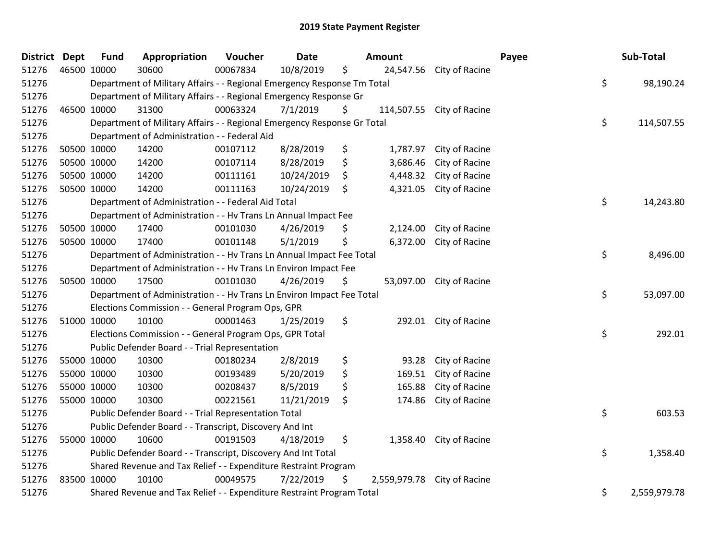| <b>District</b> | <b>Dept</b> | <b>Fund</b> | Appropriation                                                           | Voucher  | <b>Date</b> |    | <b>Amount</b> |                           | Payee | Sub-Total    |  |
|-----------------|-------------|-------------|-------------------------------------------------------------------------|----------|-------------|----|---------------|---------------------------|-------|--------------|--|
| 51276           | 46500 10000 |             | 30600                                                                   | 00067834 | 10/8/2019   | \$ | 24,547.56     | City of Racine            |       |              |  |
| 51276           |             |             | Department of Military Affairs - - Regional Emergency Response Tm Total |          |             |    |               |                           | \$    | 98,190.24    |  |
| 51276           |             |             | Department of Military Affairs - - Regional Emergency Response Gr       |          |             |    |               |                           |       |              |  |
| 51276           | 46500 10000 |             | 31300                                                                   | 00063324 | 7/1/2019    | \$ |               | 114,507.55 City of Racine |       |              |  |
| 51276           |             |             | Department of Military Affairs - - Regional Emergency Response Gr Total |          |             |    |               |                           | \$    | 114,507.55   |  |
| 51276           |             |             | Department of Administration - - Federal Aid                            |          |             |    |               |                           |       |              |  |
| 51276           |             | 50500 10000 | 14200                                                                   | 00107112 | 8/28/2019   | \$ | 1,787.97      | City of Racine            |       |              |  |
| 51276           | 50500 10000 |             | 14200                                                                   | 00107114 | 8/28/2019   | \$ | 3,686.46      | City of Racine            |       |              |  |
| 51276           | 50500 10000 |             | 14200                                                                   | 00111161 | 10/24/2019  | \$ | 4,448.32      | City of Racine            |       |              |  |
| 51276           |             | 50500 10000 | 14200                                                                   | 00111163 | 10/24/2019  | \$ | 4,321.05      | City of Racine            |       |              |  |
| 51276           |             |             | Department of Administration - - Federal Aid Total                      |          |             |    |               |                           | \$    | 14,243.80    |  |
| 51276           |             |             | Department of Administration - - Hv Trans Ln Annual Impact Fee          |          |             |    |               |                           |       |              |  |
| 51276           |             | 50500 10000 | 17400                                                                   | 00101030 | 4/26/2019   | \$ | 2,124.00      | City of Racine            |       |              |  |
| 51276           |             | 50500 10000 | 17400                                                                   | 00101148 | 5/1/2019    | \$ | 6,372.00      | City of Racine            |       |              |  |
| 51276           |             |             | Department of Administration - - Hv Trans Ln Annual Impact Fee Total    |          |             |    |               |                           | \$    | 8,496.00     |  |
| 51276           |             |             | Department of Administration - - Hv Trans Ln Environ Impact Fee         |          |             |    |               |                           |       |              |  |
| 51276           |             | 50500 10000 | 17500                                                                   | 00101030 | 4/26/2019   | \$ | 53,097.00     | City of Racine            |       |              |  |
| 51276           |             |             | Department of Administration - - Hv Trans Ln Environ Impact Fee Total   |          |             |    |               |                           | \$    | 53,097.00    |  |
| 51276           |             |             | Elections Commission - - General Program Ops, GPR                       |          |             |    |               |                           |       |              |  |
| 51276           |             | 51000 10000 | 10100                                                                   | 00001463 | 1/25/2019   | \$ | 292.01        | City of Racine            |       |              |  |
| 51276           |             |             | Elections Commission - - General Program Ops, GPR Total                 |          |             |    |               |                           | \$    | 292.01       |  |
| 51276           |             |             | Public Defender Board - - Trial Representation                          |          |             |    |               |                           |       |              |  |
| 51276           |             | 55000 10000 | 10300                                                                   | 00180234 | 2/8/2019    | \$ | 93.28         | City of Racine            |       |              |  |
| 51276           | 55000 10000 |             | 10300                                                                   | 00193489 | 5/20/2019   | \$ | 169.51        | City of Racine            |       |              |  |
| 51276           | 55000 10000 |             | 10300                                                                   | 00208437 | 8/5/2019    | \$ | 165.88        | City of Racine            |       |              |  |
| 51276           |             | 55000 10000 | 10300                                                                   | 00221561 | 11/21/2019  | \$ | 174.86        | City of Racine            |       |              |  |
| 51276           |             |             | Public Defender Board - - Trial Representation Total                    |          |             |    |               |                           | \$    | 603.53       |  |
| 51276           |             |             | Public Defender Board - - Transcript, Discovery And Int                 |          |             |    |               |                           |       |              |  |
| 51276           |             | 55000 10000 | 10600                                                                   | 00191503 | 4/18/2019   | \$ | 1,358.40      | City of Racine            |       |              |  |
| 51276           |             |             | Public Defender Board - - Transcript, Discovery And Int Total           |          |             |    |               |                           | \$    | 1,358.40     |  |
| 51276           |             |             | Shared Revenue and Tax Relief - - Expenditure Restraint Program         |          |             |    |               |                           |       |              |  |
| 51276           | 83500 10000 |             | 10100                                                                   | 00049575 | 7/22/2019   | \$ | 2,559,979.78  | City of Racine            |       |              |  |
| 51276           |             |             | Shared Revenue and Tax Relief - - Expenditure Restraint Program Total   |          |             |    |               |                           | \$    | 2,559,979.78 |  |